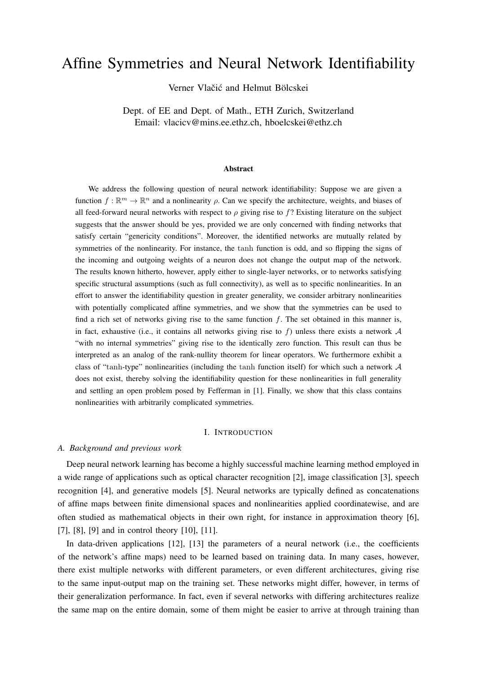# Affine Symmetries and Neural Network Identifiability

Verner Vlačić and Helmut Bölcskei

Dept. of EE and Dept. of Math., ETH Zurich, Switzerland Email: vlacicv@mins.ee.ethz.ch, hboelcskei@ethz.ch

#### Abstract

We address the following question of neural network identifiability: Suppose we are given a function  $f : \mathbb{R}^m \to \mathbb{R}^n$  and a nonlinearity  $\rho$ . Can we specify the architecture, weights, and biases of all feed-forward neural networks with respect to  $\rho$  giving rise to f? Existing literature on the subject suggests that the answer should be yes, provided we are only concerned with finding networks that satisfy certain "genericity conditions". Moreover, the identified networks are mutually related by symmetries of the nonlinearity. For instance, the tanh function is odd, and so flipping the signs of the incoming and outgoing weights of a neuron does not change the output map of the network. The results known hitherto, however, apply either to single-layer networks, or to networks satisfying specific structural assumptions (such as full connectivity), as well as to specific nonlinearities. In an effort to answer the identifiability question in greater generality, we consider arbitrary nonlinearities with potentially complicated affine symmetries, and we show that the symmetries can be used to find a rich set of networks giving rise to the same function  $f$ . The set obtained in this manner is, in fact, exhaustive (i.e., it contains all networks giving rise to f) unless there exists a network  $\mathcal A$ "with no internal symmetries" giving rise to the identically zero function. This result can thus be interpreted as an analog of the rank-nullity theorem for linear operators. We furthermore exhibit a class of "tanh-type" nonlinearities (including the tanh function itself) for which such a network A does not exist, thereby solving the identifiability question for these nonlinearities in full generality and settling an open problem posed by Fefferman in [1]. Finally, we show that this class contains nonlinearities with arbitrarily complicated symmetries.

## I. INTRODUCTION

#### *A. Background and previous work*

Deep neural network learning has become a highly successful machine learning method employed in a wide range of applications such as optical character recognition [2], image classification [3], speech recognition [4], and generative models [5]. Neural networks are typically defined as concatenations of affine maps between finite dimensional spaces and nonlinearities applied coordinatewise, and are often studied as mathematical objects in their own right, for instance in approximation theory [6], [7], [8], [9] and in control theory [10], [11].

In data-driven applications [12], [13] the parameters of a neural network (i.e., the coefficients of the network's affine maps) need to be learned based on training data. In many cases, however, there exist multiple networks with different parameters, or even different architectures, giving rise to the same input-output map on the training set. These networks might differ, however, in terms of their generalization performance. In fact, even if several networks with differing architectures realize the same map on the entire domain, some of them might be easier to arrive at through training than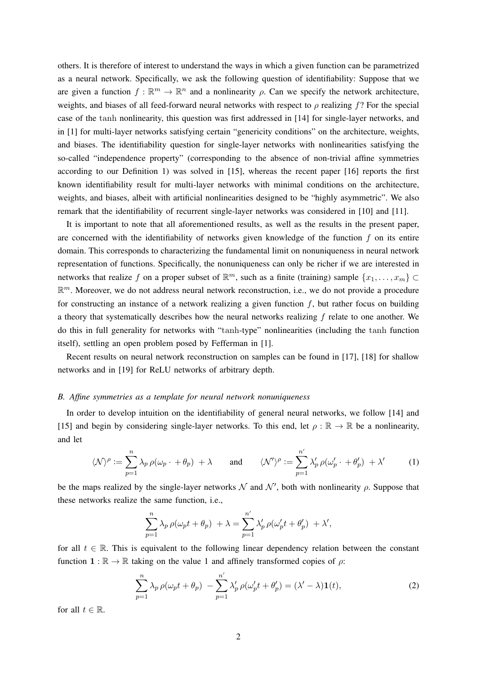others. It is therefore of interest to understand the ways in which a given function can be parametrized as a neural network. Specifically, we ask the following question of identifiability: Suppose that we are given a function  $f : \mathbb{R}^m \to \mathbb{R}^n$  and a nonlinearity  $\rho$ . Can we specify the network architecture, weights, and biases of all feed-forward neural networks with respect to  $\rho$  realizing f? For the special case of the tanh nonlinearity, this question was first addressed in [14] for single-layer networks, and in [1] for multi-layer networks satisfying certain "genericity conditions" on the architecture, weights, and biases. The identifiability question for single-layer networks with nonlinearities satisfying the so-called "independence property" (corresponding to the absence of non-trivial affine symmetries according to our Definition 1) was solved in [15], whereas the recent paper [16] reports the first known identifiability result for multi-layer networks with minimal conditions on the architecture, weights, and biases, albeit with artificial nonlinearities designed to be "highly asymmetric". We also remark that the identifiability of recurrent single-layer networks was considered in [10] and [11].

It is important to note that all aforementioned results, as well as the results in the present paper, are concerned with the identifiability of networks given knowledge of the function  $f$  on its entire domain. This corresponds to characterizing the fundamental limit on nonuniqueness in neural network representation of functions. Specifically, the nonuniqueness can only be richer if we are interested in networks that realize f on a proper subset of  $\mathbb{R}^m$ , such as a finite (training) sample  $\{x_1, \ldots, x_m\} \subset$  $\mathbb{R}^m$ . Moreover, we do not address neural network reconstruction, i.e., we do not provide a procedure for constructing an instance of a network realizing a given function  $f$ , but rather focus on building a theory that systematically describes how the neural networks realizing  $f$  relate to one another. We do this in full generality for networks with "tanh-type" nonlinearities (including the tanh function itself), settling an open problem posed by Fefferman in [1].

Recent results on neural network reconstruction on samples can be found in [17], [18] for shallow networks and in [19] for ReLU networks of arbitrary depth.

#### *B. Affine symmetries as a template for neural network nonuniqueness*

In order to develop intuition on the identifiability of general neural networks, we follow [14] and [15] and begin by considering single-layer networks. To this end, let  $\rho : \mathbb{R} \to \mathbb{R}$  be a nonlinearity, and let

$$
\langle \mathcal{N} \rangle^{\rho} := \sum_{p=1}^{n} \lambda_p \, \rho(\omega_p \cdot + \theta_p) + \lambda \qquad \text{and} \qquad \langle \mathcal{N}' \rangle^{\rho} := \sum_{p=1}^{n'} \lambda'_p \, \rho(\omega'_p \cdot + \theta'_p) + \lambda' \tag{1}
$$

be the maps realized by the single-layer networks  $\mathcal N$  and  $\mathcal N'$ , both with nonlinearity  $\rho$ . Suppose that these networks realize the same function, i.e.,

$$
\sum_{p=1}^{n} \lambda_p \rho(\omega_p t + \theta_p) + \lambda = \sum_{p=1}^{n'} \lambda'_p \rho(\omega'_p t + \theta'_p) + \lambda',
$$

for all  $t \in \mathbb{R}$ . This is equivalent to the following linear dependency relation between the constant function  $\mathbf{1} : \mathbb{R} \to \mathbb{R}$  taking on the value 1 and affinely transformed copies of  $\rho$ :

$$
\sum_{p=1}^{n} \lambda_p \rho(\omega_p t + \theta_p) - \sum_{p=1}^{n'} \lambda'_p \rho(\omega'_p t + \theta'_p) = (\lambda' - \lambda) \mathbf{1}(t),
$$
\n(2)

for all  $t \in \mathbb{R}$ .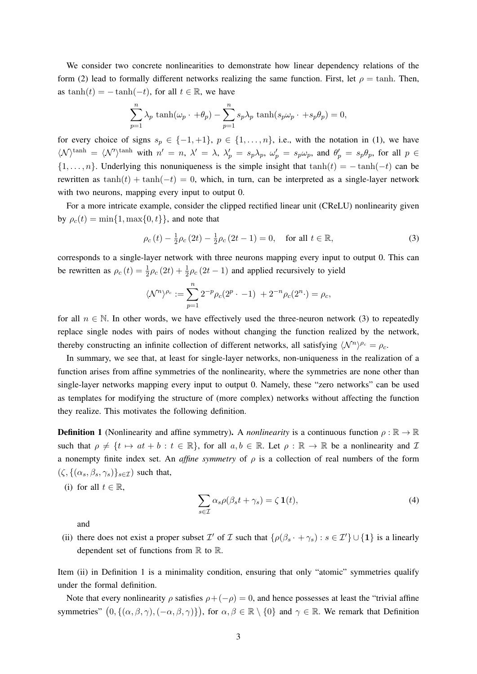We consider two concrete nonlinearities to demonstrate how linear dependency relations of the form (2) lead to formally different networks realizing the same function. First, let  $\rho = \tanh$ . Then, as tanh(t) =  $-\tanh(-t)$ , for all  $t \in \mathbb{R}$ , we have

$$
\sum_{p=1}^{n} \lambda_p \tanh(\omega_p \cdot + \theta_p) - \sum_{p=1}^{n} s_p \lambda_p \tanh(s_p \omega_p \cdot + s_p \theta_p) = 0,
$$

for every choice of signs  $s_p \in \{-1, +1\}$ ,  $p \in \{1, \ldots, n\}$ , i.e., with the notation in (1), we have  $\langle \mathcal{N} \rangle^{\tanh} = \langle \mathcal{N}' \rangle^{\tanh}$  with  $n' = n$ ,  $\lambda' = \lambda$ ,  $\lambda'_p = s_p \lambda_p$ ,  $\omega'_p = s_p \omega_p$ , and  $\theta'_p = s_p \theta_p$ , for all  $p \in$  $\{1, \ldots, n\}$ . Underlying this nonuniqueness is the simple insight that  $tanh(t) = -tanh(-t)$  can be rewritten as  $\tanh(t) + \tanh(-t) = 0$ , which, in turn, can be interpreted as a single-layer network with two neurons, mapping every input to output 0.

For a more intricate example, consider the clipped rectified linear unit (CReLU) nonlinearity given by  $\rho_c(t) = \min\{1, \max\{0, t\}\}\$ , and note that

$$
\rho_c(t) - \frac{1}{2}\rho_c(2t) - \frac{1}{2}\rho_c(2t - 1) = 0, \quad \text{for all } t \in \mathbb{R},
$$
 (3)

corresponds to a single-layer network with three neurons mapping every input to output 0. This can be rewritten as  $\rho_c(t) = \frac{1}{2}\rho_c(2t) + \frac{1}{2}\rho_c(2t-1)$  and applied recursively to yield

$$
\langle \mathcal{N}^n \rangle^{\rho_c} := \sum_{p=1}^n 2^{-p} \rho_c(2^p \cdot -1) + 2^{-n} \rho_c(2^n \cdot) = \rho_c,
$$

for all  $n \in \mathbb{N}$ . In other words, we have effectively used the three-neuron network (3) to repeatedly replace single nodes with pairs of nodes without changing the function realized by the network, thereby constructing an infinite collection of different networks, all satisfying  $\langle \mathcal{N}^n \rangle^{\rho_c} = \rho_c$ .

In summary, we see that, at least for single-layer networks, non-uniqueness in the realization of a function arises from affine symmetries of the nonlinearity, where the symmetries are none other than single-layer networks mapping every input to output 0. Namely, these "zero networks" can be used as templates for modifying the structure of (more complex) networks without affecting the function they realize. This motivates the following definition.

**Definition 1** (Nonlinearity and affine symmetry). A *nonlinearity* is a continuous function  $\rho : \mathbb{R} \to \mathbb{R}$ such that  $\rho \neq \{t \mapsto at + b : t \in \mathbb{R}\},$  for all  $a, b \in \mathbb{R}$ . Let  $\rho : \mathbb{R} \to \mathbb{R}$  be a nonlinearity and  $\mathcal{I}$ a nonempty finite index set. An *affine symmetry* of  $\rho$  is a collection of real numbers of the form  $(\zeta, \{(\alpha_s, \beta_s, \gamma_s)\}_{s\in\mathcal{I}})$  such that,

(i) for all  $t \in \mathbb{R}$ ,

$$
\sum_{s \in \mathcal{I}} \alpha_s \rho(\beta_s t + \gamma_s) = \zeta \mathbf{1}(t),\tag{4}
$$

and

(ii) there does not exist a proper subset  $\mathcal{I}'$  of  $\mathcal{I}$  such that  $\{\rho(\beta_s + \gamma_s) : s \in \mathcal{I}'\} \cup \{1\}$  is a linearly dependent set of functions from  $\mathbb R$  to  $\mathbb R$ .

Item (ii) in Definition 1 is a minimality condition, ensuring that only "atomic" symmetries qualify under the formal definition.

Note that every nonlinearity  $\rho$  satisfies  $\rho + (-\rho) = 0$ , and hence possesses at least the "trivial affine" symmetries"  $(0, \{(\alpha, \beta, \gamma), (-\alpha, \beta, \gamma)\})$ , for  $\alpha, \beta \in \mathbb{R} \setminus \{0\}$  and  $\gamma \in \mathbb{R}$ . We remark that Definition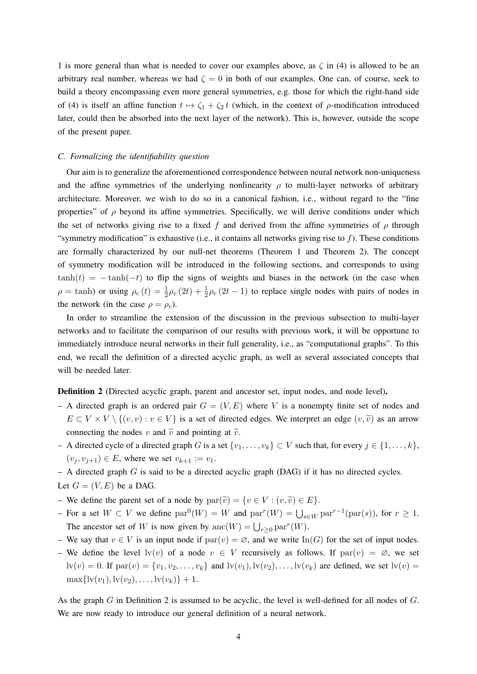1 is more general than what is needed to cover our examples above, as  $\zeta$  in (4) is allowed to be an arbitrary real number, whereas we had  $\zeta = 0$  in both of our examples. One can, of course, seek to build a theory encompassing even more general symmetries, e.g. those for which the right-hand side of (4) is itself an affine function  $t \mapsto \zeta_1 + \zeta_2 t$  (which, in the context of ρ-modification introduced later, could then be absorbed into the next layer of the network). This is, however, outside the scope of the present paper.

#### *C. Formalizing the identifiability question*

Our aim is to generalize the aforementioned correspondence between neural network non-uniqueness and the affine symmetries of the underlying nonlinearity  $\rho$  to multi-layer networks of arbitrary architecture. Moreover, we wish to do so in a canonical fashion, i.e., without regard to the "fine properties" of  $\rho$  beyond its affine symmetries. Specifically, we will derive conditions under which the set of networks giving rise to a fixed f and derived from the affine symmetries of  $\rho$  through "symmetry modification" is exhaustive (i.e., it contains all networks giving rise to  $f$ ). These conditions are formally characterized by our null-net theorems (Theorem 1 and Theorem 2). The concept of symmetry modification will be introduced in the following sections, and corresponds to using  $tanh(t) = -tanh(-t)$  to flip the signs of weights and biases in the network (in the case when  $\rho = \tanh$ ) or using  $\rho_c(t) = \frac{1}{2}\rho_c(2t) + \frac{1}{2}\rho_c(2t-1)$  to replace single nodes with pairs of nodes in the network (in the case  $\rho = \rho_c$ ).

In order to streamline the extension of the discussion in the previous subsection to multi-layer networks and to facilitate the comparison of our results with previous work, it will be opportune to immediately introduce neural networks in their full generality, i.e., as "computational graphs". To this end, we recall the definition of a directed acyclic graph, as well as several associated concepts that will be needed later.

Definition 2 (Directed acyclic graph, parent and ancestor set, input nodes, and node level).

- A directed graph is an ordered pair  $G = (V, E)$  where V is a nonempty finite set of nodes and  $E \subset V \times V \setminus \{(v, v) : v \in V\}$  is a set of directed edges. We interpret an edge  $(v, \tilde{v})$  as an arrow connecting the nodes v and  $\tilde{v}$  and pointing at  $\tilde{v}$ .
- A directed cycle of a directed graph G is a set  $\{v_1, \ldots, v_k\} \subset V$  such that, for every  $j \in \{1, \ldots, k\}$ ,  $(v_i, v_{i+1}) \in E$ , where we set  $v_{k+1} := v_1$ .
- $-$  A directed graph  $G$  is said to be a directed acyclic graph (DAG) if it has no directed cycles.

```
Let G = (V, E) be a DAG.
```
- We define the parent set of a node by  $par(\tilde{v}) = \{v \in V : (v, \tilde{v}) \in E\}.$
- $-$  For a set  $W \subset V$  we define  $par^0(W) = W$  and  $par^r(W) = \bigcup_{s \in W} par^{r-1}(par(s)),$  for  $r ≥ 1$ . The ancestor set of W is now given by  $\text{anc}(W) = \bigcup_{r \geq 0} \text{par}^r(W)$ .
- We say that  $v \in V$  is an input node if  $\text{par}(v) = \emptyset$ , and we write  $\text{In}(G)$  for the set of input nodes.
- We define the level  $\text{lv}(v)$  of a node  $v \in V$  recursively as follows. If  $\text{par}(v) = \emptyset$ , we set  $\mathrm{lv}(v) = 0$ . If  $\mathrm{par}(v) = \{v_1, v_2, \ldots, v_k\}$  and  $\mathrm{lv}(v_1), \mathrm{lv}(v_2), \ldots, \mathrm{lv}(v_k)$  are defined, we set  $\mathrm{lv}(v) =$  $\max\{l v(v_1), l v(v_2), \ldots, l v(v_k)\} + 1.$

As the graph G in Definition 2 is assumed to be acyclic, the level is well-defined for all nodes of G. We are now ready to introduce our general definition of a neural network.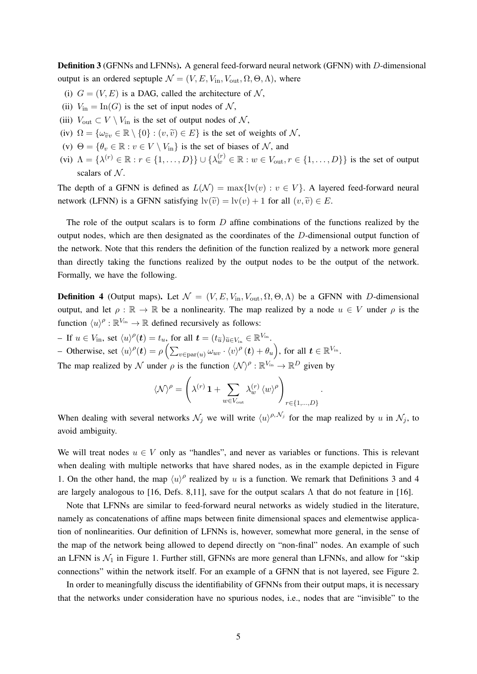Definition 3 (GFNNs and LFNNs). A general feed-forward neural network (GFNN) with D-dimensional output is an ordered septuple  $\mathcal{N} = (V, E, V_{\text{in}}, V_{\text{out}}, \Omega, \Theta, \Lambda)$ , where

- (i)  $G = (V, E)$  is a DAG, called the architecture of N,
- (ii)  $V_{\text{in}} = \text{In}(G)$  is the set of input nodes of N,
- (iii)  $V_{\text{out}} \subset V \setminus V_{\text{in}}$  is the set of output nodes of N,
- (iv)  $\Omega = {\omega_{\tilde{v}v} \in \mathbb{R} \setminus \{0\} : (v, \tilde{v}) \in E}$  is the set of weights of N,
- (v)  $\Theta = \{\theta_v \in \mathbb{R} : v \in V \setminus V_{\text{in}}\}$  is the set of biases of N, and
- (vi)  $\Lambda = \{\lambda^{(r)} \in \mathbb{R} : r \in \{1, \ldots, D\}\}$   $\cup \{\lambda^{(r)}_w \in \mathbb{R} : w \in V_{\text{out}}, r \in \{1, \ldots, D\}\}\$  is the set of output scalars of  $N$ .

The depth of a GFNN is defined as  $L(\mathcal{N}) = \max\{l(v) : v \in V\}$ . A layered feed-forward neural network (LFNN) is a GFNN satisfying  $\text{lv}(\tilde{v}) = \text{lv}(v) + 1$  for all  $(v, \tilde{v}) \in E$ .

The role of the output scalars is to form  $D$  affine combinations of the functions realized by the output nodes, which are then designated as the coordinates of the D-dimensional output function of the network. Note that this renders the definition of the function realized by a network more general than directly taking the functions realized by the output nodes to be the output of the network. Formally, we have the following.

**Definition 4** (Output maps). Let  $\mathcal{N} = (V, E, V_{\text{in}}, V_{\text{out}}, \Omega, \Theta, \Lambda)$  be a GFNN with D-dimensional output, and let  $\rho : \mathbb{R} \to \mathbb{R}$  be a nonlinearity. The map realized by a node  $u \in V$  under  $\rho$  is the function  $\langle u \rangle^{\rho} : \mathbb{R}^{V_{\text{in}}} \to \mathbb{R}$  defined recursively as follows:

- If  $u \in V_{\text{in}}$ , set  $\langle u \rangle^{\rho}(\mathbf{t}) = t_u$ , for all  $\mathbf{t} = (t_{\tilde{u}})_{\tilde{u} \in V_{\text{in}}} \in \mathbb{R}^{V_{\text{in}}}$ .

- Otherwise, set  $\langle u \rangle^{\rho}(\boldsymbol{t}) = \rho \left( \sum_{v \in \text{par}(u)} \omega_{uv} \cdot \langle v \rangle^{\rho}(\boldsymbol{t}) + \theta_u \right)$ , for all  $\boldsymbol{t} \in \mathbb{R}^{V_{\text{in}}}.$ 

The map realized by N under  $\rho$  is the function  $\langle N \rangle^{\rho} : \mathbb{R}^{V_{\text{in}}} \to \mathbb{R}^{D}$  given by

$$
\langle \mathcal{N} \rangle^{\rho} = \left( \lambda^{(r)} \, \mathbf{1} + \sum_{w \in V_{\text{out}}} \lambda_w^{(r)} \, \langle w \rangle^{\rho} \right)_{r \in \{1, \dots, D\}}
$$

.

When dealing with several networks  $\mathcal{N}_j$  we will write  $\langle u \rangle^{\rho, \mathcal{N}_j}$  for the map realized by u in  $\mathcal{N}_j$ , to avoid ambiguity.

We will treat nodes  $u \in V$  only as "handles", and never as variables or functions. This is relevant when dealing with multiple networks that have shared nodes, as in the example depicted in Figure 1. On the other hand, the map  $\langle u \rangle^{\rho}$  realized by u is a function. We remark that Definitions 3 and 4 are largely analogous to [16, Defs. 8,11], save for the output scalars  $\Lambda$  that do not feature in [16].

Note that LFNNs are similar to feed-forward neural networks as widely studied in the literature, namely as concatenations of affine maps between finite dimensional spaces and elementwise application of nonlinearities. Our definition of LFNNs is, however, somewhat more general, in the sense of the map of the network being allowed to depend directly on "non-final" nodes. An example of such an LFNN is  $\mathcal{N}_1$  in Figure 1. Further still, GFNNs are more general than LFNNs, and allow for "skip" connections" within the network itself. For an example of a GFNN that is not layered, see Figure 2.

In order to meaningfully discuss the identifiability of GFNNs from their output maps, it is necessary that the networks under consideration have no spurious nodes, i.e., nodes that are "invisible" to the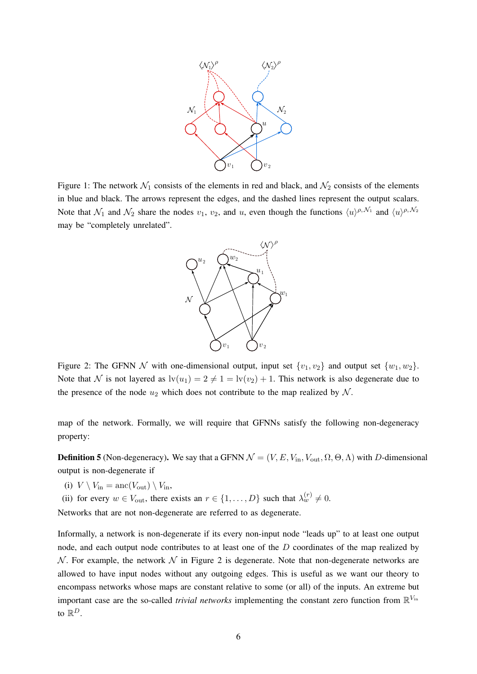

Figure 1: The network  $\mathcal{N}_1$  consists of the elements in red and black, and  $\mathcal{N}_2$  consists of the elements in blue and black. The arrows represent the edges, and the dashed lines represent the output scalars. Note that  $\mathcal{N}_1$  and  $\mathcal{N}_2$  share the nodes  $v_1, v_2$ , and u, even though the functions  $\langle u \rangle^{\rho, \mathcal{N}_1}$  and  $\langle u \rangle^{\rho, \mathcal{N}_2}$ may be "completely unrelated".



Figure 2: The GFNN N with one-dimensional output, input set  $\{v_1, v_2\}$  and output set  $\{w_1, w_2\}$ . Note that N is not layered as  $\text{lv}(u_1) = 2 \neq 1 = \text{lv}(v_2) + 1$ . This network is also degenerate due to the presence of the node  $u_2$  which does not contribute to the map realized by N.

map of the network. Formally, we will require that GFNNs satisfy the following non-degeneracy property:

**Definition 5** (Non-degeneracy). We say that a GFNN  $\mathcal{N} = (V, E, V_{\text{in}}, V_{\text{out}}, \Omega, \Theta, \Lambda)$  with D-dimensional output is non-degenerate if

(i) 
$$
V \setminus V_{\text{in}} = \text{anc}(V_{\text{out}}) \setminus V_{\text{in}}
$$
,

(ii) for every 
$$
w \in V_{\text{out}}
$$
, there exists an  $r \in \{1, ..., D\}$  such that  $\lambda_w^{(r)} \neq 0$ .

Networks that are not non-degenerate are referred to as degenerate.

Informally, a network is non-degenerate if its every non-input node "leads up" to at least one output node, and each output node contributes to at least one of the D coordinates of the map realized by N. For example, the network  $N$  in Figure 2 is degenerate. Note that non-degenerate networks are allowed to have input nodes without any outgoing edges. This is useful as we want our theory to encompass networks whose maps are constant relative to some (or all) of the inputs. An extreme but important case are the so-called *trivial networks* implementing the constant zero function from  $\mathbb{R}^{V_{\text{in}}}$ to  $\mathbb{R}^D$ .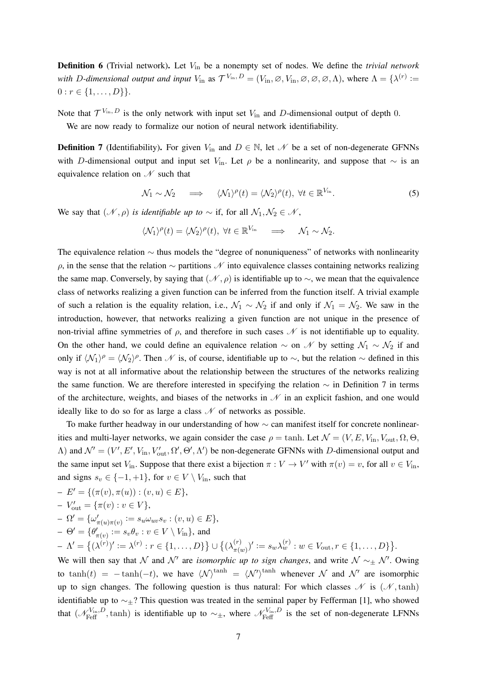Definition 6 (Trivial network). Let  $V_{\text{in}}$  be a nonempty set of nodes. We define the *trivial network with D-dimensional output and input*  $V_{\text{in}}$  as  $\mathcal{T}^{V_{\text{in}}}, D = (V_{\text{in}}, \emptyset, V_{\text{in}}, \emptyset, \emptyset, \emptyset, \Lambda)$ , where  $\Lambda = \{\lambda^{(r)} :=$  $0 : r \in \{1, \ldots, D\}\}.$ 

Note that  $\mathcal{T}^{V_{\text{in}}, D}$  is the only network with input set  $V_{\text{in}}$  and D-dimensional output of depth 0.

We are now ready to formalize our notion of neural network identifiability.

**Definition 7** (Identifiability). For given  $V_{\text{in}}$  and  $D \in \mathbb{N}$ , let  $\mathcal{N}$  be a set of non-degenerate GFNNs with D-dimensional output and input set V<sub>in</sub>. Let  $\rho$  be a nonlinearity, and suppose that  $\sim$  is an equivalence relation on  $\mathcal N$  such that

$$
\mathcal{N}_1 \sim \mathcal{N}_2 \quad \implies \quad \langle \mathcal{N}_1 \rangle^{\rho}(t) = \langle \mathcal{N}_2 \rangle^{\rho}(t), \ \forall t \in \mathbb{R}^{V_{\text{in}}}.
$$

We say that  $(\mathcal{N}, \rho)$  *is identifiable up to* ∼ if, for all  $\mathcal{N}_1, \mathcal{N}_2 \in \mathcal{N}$ ,

$$
\langle \mathcal{N}_1 \rangle^{\rho}(t) = \langle \mathcal{N}_2 \rangle^{\rho}(t), \ \forall t \in \mathbb{R}^{V_{\text{in}}} \quad \Longrightarrow \quad \mathcal{N}_1 \sim \mathcal{N}_2.
$$

The equivalence relation  $\sim$  thus models the "degree of nonuniqueness" of networks with nonlinearity  $ρ$ , in the sense that the relation  $∼$  partitions  $N$  into equivalence classes containing networks realizing the same map. Conversely, by saying that  $(\mathcal{N}, \rho)$  is identifiable up to  $\sim$ , we mean that the equivalence class of networks realizing a given function can be inferred from the function itself. A trivial example of such a relation is the equality relation, i.e.,  $\mathcal{N}_1 \sim \mathcal{N}_2$  if and only if  $\mathcal{N}_1 = \mathcal{N}_2$ . We saw in the introduction, however, that networks realizing a given function are not unique in the presence of non-trivial affine symmetries of  $ρ$ , and therefore in such cases  $\mathcal N$  is not identifiable up to equality. On the other hand, we could define an equivalence relation  $\sim$  on N by setting  $\mathcal{N}_1 \sim \mathcal{N}_2$  if and only if  $\langle \mathcal{N}_1 \rangle$ <sup> $\rho = \langle \mathcal{N}_2 \rangle$ <sup> $\rho$ </sup>. Then  $\mathcal N$  is, of course, identifiable up to  $\sim$ , but the relation  $\sim$  defined in this</sup> way is not at all informative about the relationship between the structures of the networks realizing the same function. We are therefore interested in specifying the relation  $\sim$  in Definition 7 in terms of the architecture, weights, and biases of the networks in  $N$  in an explicit fashion, and one would ideally like to do so for as large a class  $\mathcal N$  of networks as possible.

To make further headway in our understanding of how ∼ can manifest itself for concrete nonlinearities and multi-layer networks, we again consider the case  $\rho = \tanh$ . Let  $\mathcal{N} = (V, E, V_{\text{in}}, V_{\text{out}}, \Omega, \Theta, \Omega)$  $Λ$ ) and  $N' = (V', E', V_{\text{in}}, V'_{\text{out}}, Ω', Θ', Λ')$  be non-degenerate GFNNs with D-dimensional output and the same input set  $V_{\text{in}}$ . Suppose that there exist a bijection  $\pi : V \to V'$  with  $\pi(v) = v$ , for all  $v \in V_{\text{in}}$ , and signs  $s_v \in \{-1, +1\}$ , for  $v \in V \setminus V_{\text{in}}$ , such that

$$
- E' = \{ (\pi(v), \pi(u)) : (v, u) \in E \},
$$

$$
-V'_{\text{out}} = \{\pi(v) : v \in V\},\
$$

$$
- \Omega' = \{ \omega'_{\pi(u)\pi(v)} := s_u \omega_{uv} s_v : (v, u) \in E \},
$$

$$
- \Theta' = \{ \theta'_{\pi(v)} \coloneqq s_v \theta_v : v \in V \setminus V_{\text{in}} \}, \text{ and}
$$

$$
- \Lambda' = \left\{ (\lambda^{(r)})' := \lambda^{(r)} : r \in \{1, ..., D\} \right\} \cup \left\{ (\lambda^{(r)}_{\pi(w)})' := s_w \lambda^{(r)}_w : w \in V_{\text{out}}, r \in \{1, ..., D\} \right\}.
$$

We will then say that N and N' are *isomorphic up to sign changes*, and write  $N \sim_{\pm} N'$ . Owing to  $tanh(t) = -tanh(-t)$ , we have  $\langle \mathcal{N} \rangle^{tanh} = \langle \mathcal{N}' \rangle^{tanh}$  whenever N and N' are isomorphic up to sign changes. The following question is thus natural: For which classes  $\mathcal N$  is  $(\mathcal N, \tanh)$ identifiable up to ∼±? This question was treated in the seminal paper by Fefferman [1], who showed that  $(\mathcal{N}_{\text{Feff}}^{V_{\text{in}},D}, \text{tanh})$  is identifiable up to  $\sim_{\pm}$ , where  $\mathcal{N}_{\text{Feff}}^{V_{\text{in}},D}$  is the set of non-degenerate LFNNs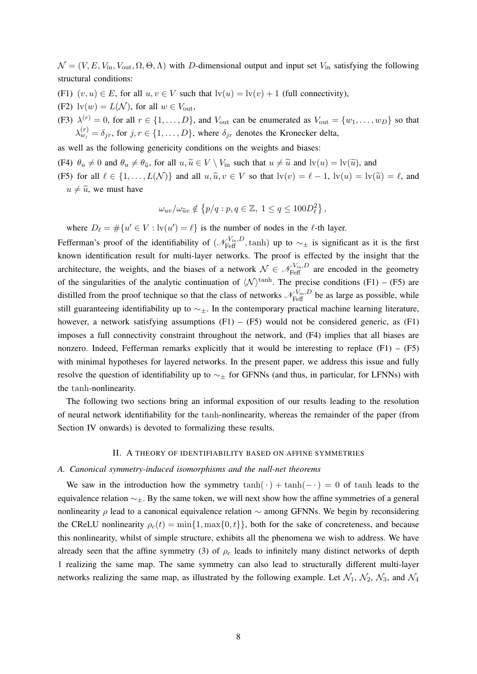$\mathcal{N} = (V, E, V_{\text{in}}, V_{\text{out}}, \Omega, \Theta, \Lambda)$  with D-dimensional output and input set  $V_{\text{in}}$  satisfying the following structural conditions:

- (F1)  $(v, u) \in E$ , for all  $u, v \in V$  such that  $|v(u)| = |v(v)| + 1$  (full connectivity),
- (F2)  $\text{lv}(w) = L(\mathcal{N})$ , for all  $w \in V_{\text{out}}$ ,
- (F3)  $\lambda^{(r)} = 0$ , for all  $r \in \{1, \dots, D\}$ , and  $V_{\text{out}}$  can be enumerated as  $V_{\text{out}} = \{w_1, \dots, w_D\}$  so that  $\lambda_{w_j}^{(r)} = \delta_{jr}$ , for  $j, r \in \{1, ..., D\}$ , where  $\delta_{jr}$  denotes the Kronecker delta,

as well as the following genericity conditions on the weights and biases:

(F4)  $\theta_u \neq 0$  and  $\theta_u \neq \theta_{\tilde{u}}$ , for all  $u, \tilde{u} \in V \setminus V_{\text{in}}$  such that  $u \neq \tilde{u}$  and  $\text{lv}(u) = \text{lv}(\tilde{u})$ , and

(F5) for all  $\ell \in \{1, ..., L(\mathcal{N})\}$  and all  $u, \tilde{u}, v \in V$  so that  $\mathrm{lv}(v) = \ell - 1$ ,  $\mathrm{lv}(u) = \mathrm{lv}(\tilde{u}) = \ell$ , and  $u \neq \tilde{u}$ , we must have

$$
\omega_{uv}/\omega_{\widetilde{u}v} \notin \left\{p/q : p, q \in \mathbb{Z}, 1 \leq q \leq 100D_{\ell}^2\right\},\
$$

where  $D_{\ell} = \#\{u' \in V : \text{lv}(u') = \ell\}$  is the number of nodes in the  $\ell$ -th layer.

Fefferman's proof of the identifiability of  $(\mathcal{N}_{\text{Feff}}^{V_{\text{in}},D}, \tanh)$  up to  $\sim_{\pm}$  is significant as it is the first known identification result for multi-layer networks. The proof is effected by the insight that the architecture, the weights, and the biases of a network  $\mathcal{N} \in \mathcal{N}_{\text{Feff}}^{V_{\text{in}},D}$  are encoded in the geometry of the singularities of the analytic continuation of  $\langle N \rangle^{\text{tanh}}$ . The precise conditions (F1) – (F5) are distilled from the proof technique so that the class of networks  $\mathcal{N}_{\text{Feff}}^{V_{\text{in}},D}$  be as large as possible, while still guaranteeing identifiability up to  $\sim_{\pm}$ . In the contemporary practical machine learning literature, however, a network satisfying assumptions  $(F1) - (F5)$  would not be considered generic, as  $(F1)$ imposes a full connectivity constraint throughout the network, and (F4) implies that all biases are nonzero. Indeed, Fefferman remarks explicitly that it would be interesting to replace  $(F1) - (F5)$ with minimal hypotheses for layered networks. In the present paper, we address this issue and fully resolve the question of identifiability up to  $\sim_{\pm}$  for GFNNs (and thus, in particular, for LFNNs) with the tanh-nonlinearity.

The following two sections bring an informal exposition of our results leading to the resolution of neural network identifiability for the tanh-nonlinearity, whereas the remainder of the paper (from Section IV onwards) is devoted to formalizing these results.

#### II. A THEORY OF IDENTIFIABILITY BASED ON AFFINE SYMMETRIES

#### *A. Canonical symmetry-induced isomorphisms and the null-net theorems*

We saw in the introduction how the symmetry  $\tanh(\cdot) + \tanh(-\cdot) = 0$  of tanh leads to the equivalence relation ∼±. By the same token, we will next show how the affine symmetries of a general nonlinearity  $\rho$  lead to a canonical equivalence relation  $\sim$  among GFNNs. We begin by reconsidering the CReLU nonlinearity  $\rho_c(t) = \min\{1, \max\{0, t\}\}\$ , both for the sake of concreteness, and because this nonlinearity, whilst of simple structure, exhibits all the phenomena we wish to address. We have already seen that the affine symmetry (3) of  $\rho_c$  leads to infinitely many distinct networks of depth 1 realizing the same map. The same symmetry can also lead to structurally different multi-layer networks realizing the same map, as illustrated by the following example. Let  $\mathcal{N}_1$ ,  $\mathcal{N}_2$ ,  $\mathcal{N}_3$ , and  $\mathcal{N}_4$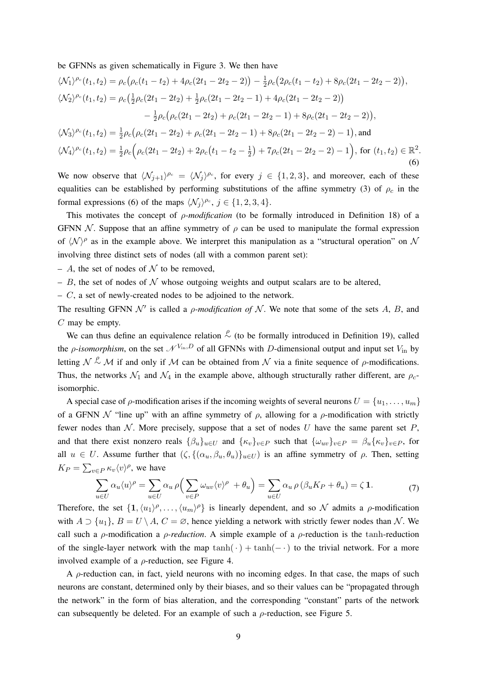be GFNNs as given schematically in Figure 3. We then have

$$
\langle \mathcal{N}_1 \rangle^{\rho_c}(t_1, t_2) = \rho_c \big( \rho_c(t_1 - t_2) + 4\rho_c(2t_1 - 2t_2 - 2) \big) - \frac{1}{2}\rho_c \big( 2\rho_c(t_1 - t_2) + 8\rho_c(2t_1 - 2t_2 - 2) \big),
$$
  
\n
$$
\langle \mathcal{N}_2 \rangle^{\rho_c}(t_1, t_2) = \rho_c \big( \frac{1}{2}\rho_c(2t_1 - 2t_2) + \frac{1}{2}\rho_c(2t_1 - 2t_2 - 1) + 4\rho_c(2t_1 - 2t_2 - 2) \big)
$$
  
\n
$$
- \frac{1}{2}\rho_c \big( \rho_c(2t_1 - 2t_2) + \rho_c(2t_1 - 2t_2 - 1) + 8\rho_c(2t_1 - 2t_2 - 2) \big),
$$
  
\n
$$
\langle \mathcal{N}_3 \rangle^{\rho_c}(t_1, t_2) = \frac{1}{2}\rho_c \big( \rho_c(2t_1 - 2t_2) + \rho_c(2t_1 - 2t_2 - 1) + 8\rho_c(2t_1 - 2t_2 - 2) - 1 \big),
$$
 and  
\n
$$
\langle \mathcal{N}_4 \rangle^{\rho_c}(t_1, t_2) = \frac{1}{2}\rho_c \big( \rho_c(2t_1 - 2t_2) + 2\rho_c\big(t_1 - t_2 - \frac{1}{2}\big) + 7\rho_c(2t_1 - 2t_2 - 2) - 1 \big),
$$
 for  $(t_1, t_2) \in \mathbb{R}^2.$  (6)

We now observe that  $\langle \mathcal{N}_{j+1} \rangle^{\rho_c} = \langle \mathcal{N}_j \rangle^{\rho_c}$ , for every  $j \in \{1, 2, 3\}$ , and moreover, each of these equalities can be established by performing substitutions of the affine symmetry (3) of  $\rho_c$  in the formal expressions (6) of the maps  $\langle \mathcal{N}_j \rangle^{\rho_c}$ ,  $j \in \{1, 2, 3, 4\}$ .

This motivates the concept of ρ*-modification* (to be formally introduced in Definition 18) of a GFNN N. Suppose that an affine symmetry of  $\rho$  can be used to manipulate the formal expression of  $\langle \mathcal{N} \rangle^{\rho}$  as in the example above. We interpret this manipulation as a "structural operation" on N involving three distinct sets of nodes (all with a common parent set):

- A, the set of nodes of  $\mathcal N$  to be removed,
- B, the set of nodes of  $\mathcal N$  whose outgoing weights and output scalars are to be altered,
- $C$ , a set of newly-created nodes to be adjoined to the network.

The resulting GFNN  $\mathcal{N}'$  is called a *ρ-modification of*  $\mathcal{N}$ . We note that some of the sets A, B, and  $C$  may be empty.

We can thus define an equivalence relation  $\stackrel{\rho}{\sim}$  (to be formally introduced in Definition 19), called the *ρ-isomorphism*, on the set  $\mathcal{N}^{V_{\text{in}}, D}$  of all GFNNs with *D*-dimensional output and input set  $V_{\text{in}}$  by letting  $\mathcal{N} \stackrel{\rho}{\sim} \mathcal{M}$  if and only if  $\mathcal M$  can be obtained from  $\mathcal N$  via a finite sequence of  $\rho$ -modifications. Thus, the networks  $\mathcal{N}_1$  and  $\mathcal{N}_4$  in the example above, although structurally rather different, are  $\rho_c$ isomorphic.

A special case of  $\rho$ -modification arises if the incoming weights of several neurons  $U = \{u_1, \ldots, u_m\}$ of a GFNN  $\mathcal N$  "line up" with an affine symmetry of  $\rho$ , allowing for a  $\rho$ -modification with strictly fewer nodes than  $N$ . More precisely, suppose that a set of nodes U have the same parent set P, and that there exist nonzero reals  $\{\beta_u\}_{u\in U}$  and  $\{\kappa_v\}_{v\in P}$  such that  $\{\omega_{uv}\}_{v\in P} = \beta_u\{\kappa_v\}_{v\in P}$ , for all  $u \in U$ . Assume further that  $(\zeta, \{(\alpha_u, \beta_u, \theta_u)\}_{u \in U})$  is an affine symmetry of  $\rho$ . Then, setting  $K_P = \sum_{v \in P} \kappa_v \langle v \rangle^\rho$ , we have

$$
\sum_{u \in U} \alpha_u \langle u \rangle^{\rho} = \sum_{u \in U} \alpha_u \rho \Big( \sum_{v \in P} \omega_{uv} \langle v \rangle^{\rho} + \theta_u \Big) = \sum_{u \in U} \alpha_u \rho \left( \beta_u K_P + \theta_u \right) = \zeta \mathbf{1}.
$$
 (7)

Therefore, the set  $\{1,\langle u_1\rangle^\rho,\ldots,\langle u_m\rangle^\rho\}$  is linearly dependent, and so N admits a  $\rho$ -modification with  $A \supset \{u_1\}$ ,  $B = U \setminus A$ ,  $C = \emptyset$ , hence yielding a network with strictly fewer nodes than N. We call such a  $\rho$ -modification a  $\rho$ -reduction. A simple example of a  $\rho$ -reduction is the tanh-reduction of the single-layer network with the map tanh( $\cdot$ ) + tanh( $-\cdot$ ) to the trivial network. For a more involved example of a  $\rho$ -reduction, see Figure 4.

A  $\rho$ -reduction can, in fact, yield neurons with no incoming edges. In that case, the maps of such neurons are constant, determined only by their biases, and so their values can be "propagated through the network" in the form of bias alteration, and the corresponding "constant" parts of the network can subsequently be deleted. For an example of such a  $\rho$ -reduction, see Figure 5.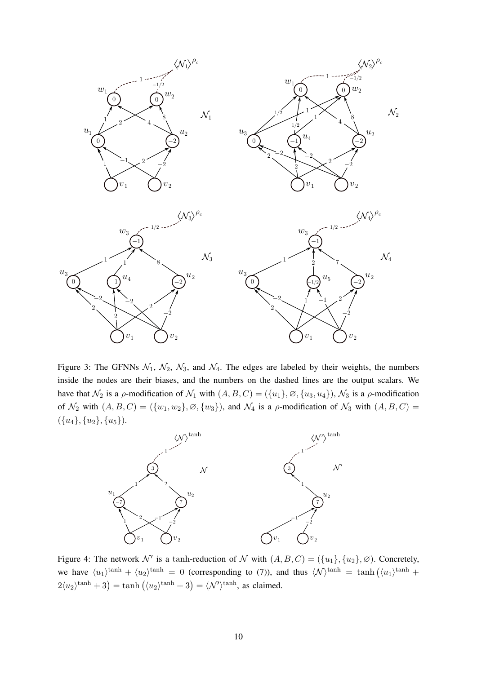

Figure 3: The GFNNs  $\mathcal{N}_1$ ,  $\mathcal{N}_2$ ,  $\mathcal{N}_3$ , and  $\mathcal{N}_4$ . The edges are labeled by their weights, the numbers inside the nodes are their biases, and the numbers on the dashed lines are the output scalars. We have that  $\mathcal{N}_2$  is a  $\rho$ -modification of  $\mathcal{N}_1$  with  $(A, B, C) = (\{u_1\}, \emptyset, \{u_3, u_4\})$ ,  $\mathcal{N}_3$  is a  $\rho$ -modification of  $\mathcal{N}_2$  with  $(A, B, C) = (\{w_1, w_2\}, \emptyset, \{w_3\})$ , and  $\mathcal{N}_4$  is a  $\rho$ -modification of  $\mathcal{N}_3$  with  $(A, B, C)$  =  $({u_4}, {u_2}, {u_5}).$ 



Figure 4: The network  $\mathcal{N}'$  is a tanh-reduction of  $\mathcal{N}$  with  $(A, B, C) = (\{u_1\}, \{u_2\}, \emptyset)$ . Concretely, we have  $\langle u_1 \rangle^{\tanh} + \langle u_2 \rangle^{\tanh} = 0$  (corresponding to (7)), and thus  $\langle \mathcal{N} \rangle^{\tanh} = \tanh \left( \langle u_1 \rangle^{\tanh} + \langle u_2 \rangle^{\tanh} \right)$  $2\langle u_2 \rangle^{\tanh} + 3 = \tanh \left( \langle u_2 \rangle^{\tanh} + 3 \right) = \langle \mathcal{N}' \rangle^{\tanh}$ , as claimed.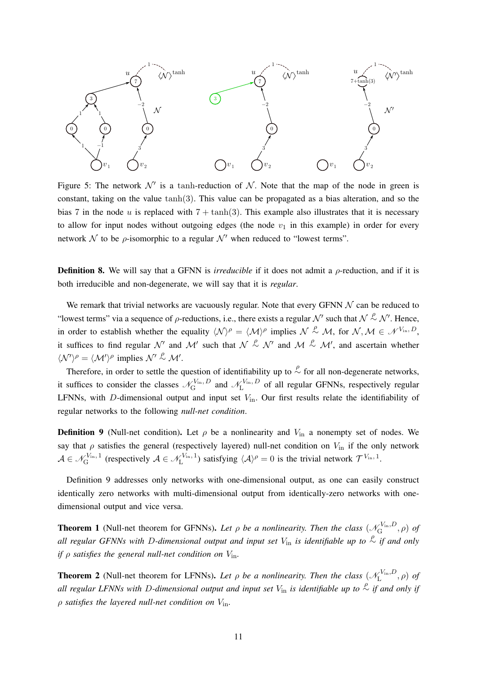

Figure 5: The network  $\mathcal{N}'$  is a tanh-reduction of  $\mathcal{N}$ . Note that the map of the node in green is constant, taking on the value tanh $(3)$ . This value can be propagated as a bias alteration, and so the bias 7 in the node u is replaced with  $7 + \tanh(3)$ . This example also illustrates that it is necessary to allow for input nodes without outgoing edges (the node  $v_1$  in this example) in order for every network  $\mathcal N$  to be  $\rho$ -isomorphic to a regular  $\mathcal N'$  when reduced to "lowest terms".

**Definition 8.** We will say that a GFNN is *irreducible* if it does not admit a *ρ*-reduction, and if it is both irreducible and non-degenerate, we will say that it is *regular*.

We remark that trivial networks are vacuously regular. Note that every GFNN  $\mathcal N$  can be reduced to "lowest terms" via a sequence of  $\rho$ -reductions, i.e., there exists a regular  $\mathcal{N}'$  such that  $\mathcal{N} \stackrel{\rho}{\sim} \mathcal{N}'$ . Hence, in order to establish whether the equality  $\langle N \rangle^{\rho} = \langle M \rangle^{\rho}$  implies  $N \stackrel{\rho}{\sim} M$ , for  $N, M \in \mathcal{N}^{V_{\text{in}}, D}$ , it suffices to find regular  $\mathcal{N}'$  and  $\mathcal{M}'$  such that  $\mathcal{N} \stackrel{\rho}{\sim} \mathcal{N}'$  and  $\mathcal{M} \stackrel{\rho}{\sim} \mathcal{M}'$ , and ascertain whether  $\langle \mathcal{N}' \rangle^{\rho} = \langle \mathcal{M}' \rangle^{\rho}$  implies  $\mathcal{N}' \stackrel{\rho}{\sim} \mathcal{M}'$ .

Therefore, in order to settle the question of identifiability up to  $\stackrel{\rho}{\sim}$  for all non-degenerate networks, it suffices to consider the classes  $\mathcal{N}_{G}^{V_{\text{in}}}, D$  $\mathcal{N}_{\text{G}}^{V_{\text{in}}}, D$  and  $\mathcal{N}_{\text{L}}^{V_{\text{in}}}, D$  $L^{\text{Vin}, D}$  of all regular GFNNs, respectively regular LFNNs, with D-dimensional output and input set  $V_{\text{in}}$ . Our first results relate the identifiability of regular networks to the following *null-net condition*.

**Definition 9** (Null-net condition). Let  $\rho$  be a nonlinearity and  $V_{in}$  a nonempty set of nodes. We say that  $\rho$  satisfies the general (respectively layered) null-net condition on  $V_{\text{in}}$  if the only network  $\mathcal{A} \in \mathscr{N}_{\mathrm{G}}^{V_{\mathrm{in}},\,1}$  $\chi_{\text{G}}^{V_{\text{in}},1}$  (respectively  $\mathcal{A} \in \mathcal{N}_{\text{L}}^{V_{\text{in}},1}$  $\mathcal{L}_{\text{L}}^{V_{\text{in}},1}$ ) satisfying  $\langle A \rangle^{\rho} = 0$  is the trivial network  $\mathcal{T}^{V_{\text{in}},1}$ .

Definition 9 addresses only networks with one-dimensional output, as one can easily construct identically zero networks with multi-dimensional output from identically-zero networks with onedimensional output and vice versa.

**Theorem 1** (Null-net theorem for GFNNs). Let  $\rho$  be a nonlinearity. Then the class  $(\mathcal{N}_{G}^{V_{\text{in}},D})$  $\mathcal{L}_{\mathrm{G}}^{\mathrm{V_{in}},D},\rho)$  of  $a$ *ll regular GFNNs with D-dimensional output and input set*  $V$ <sub>in</sub> is identifiable up to  $\frac{ρ}{α}$  if and only *if*  $\rho$  *satisfies the general null-net condition on*  $V_{\text{in}}$ .

**Theorem 2** (Null-net theorem for LFNNs). Let  $\rho$  be a nonlinearity. Then the class  $(\mathcal{N}_{L}^{V_{in},D})$  $L^{V_{\text{in}},D},\rho)$  of all regular LFNNs with D-dimensional output and input set  $V_{\text{in}}$  is identifiable up to  $\frac{\rho}{\sim}$  if and only if ρ *satisfies the layered null-net condition on* Vin*.*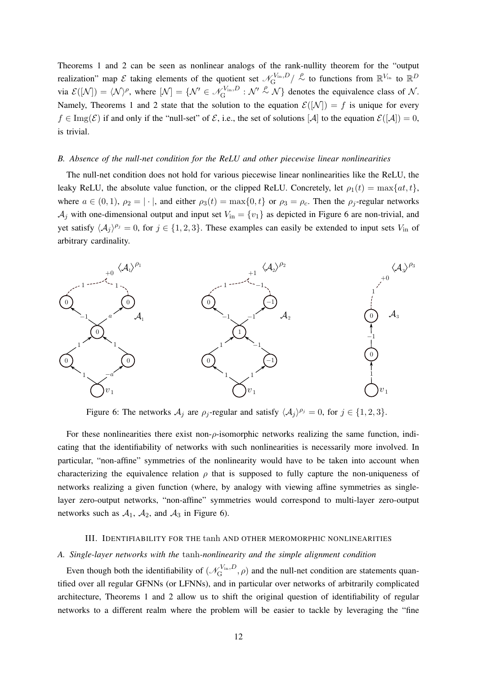Theorems 1 and 2 can be seen as nonlinear analogs of the rank-nullity theorem for the "output realization" map  $\mathcal E$  taking elements of the quotient set  $\mathcal N_G^{V_{\text{in}},D}$  $\chi_{\rm In}^{\rm V_{\rm in}, D} / \overset{\rho}{\sim}$  to functions from  $\mathbb{R}^{V_{\rm in}}$  to  $\mathbb{R}^D$ via  $\mathcal{E}([\mathcal{N}]) = \langle \mathcal{N} \rangle^{\rho}$ , where  $[\mathcal{N}] = {\mathcal{N}'} \in \mathcal{N}_{\mathrm{G}}^{V_{\mathrm{in}},D}$  $\mathcal{L}_{\text{G}}^{V_{\text{in}},D}$  :  $\mathcal{N}' \sim \mathcal{N}$  denotes the equivalence class of  $\mathcal{N}$ . Namely, Theorems 1 and 2 state that the solution to the equation  $\mathcal{E}(|N|) = f$  is unique for every  $f \in \text{Img}(\mathcal{E})$  if and only if the "null-set" of  $\mathcal{E}$ , i.e., the set of solutions  $[\mathcal{A}]$  to the equation  $\mathcal{E}([\mathcal{A}]) = 0$ , is trivial.

#### *B. Absence of the null-net condition for the ReLU and other piecewise linear nonlinearities*

The null-net condition does not hold for various piecewise linear nonlinearities like the ReLU, the leaky ReLU, the absolute value function, or the clipped ReLU. Concretely, let  $\rho_1(t) = \max\{at, t\}$ , where  $a \in (0, 1)$ ,  $\rho_2 = |\cdot|$ , and either  $\rho_3(t) = \max\{0, t\}$  or  $\rho_3 = \rho_c$ . Then the  $\rho_j$ -regular networks  $\mathcal{A}_j$  with one-dimensional output and input set  $V_{\text{in}} = \{v_1\}$  as depicted in Figure 6 are non-trivial, and yet satisfy  $\langle A_j \rangle^{\rho_j} = 0$ , for  $j \in \{1, 2, 3\}$ . These examples can easily be extended to input sets  $V_{\text{in}}$  of arbitrary cardinality.



Figure 6: The networks  $A_j$  are  $\rho_j$ -regular and satisfy  $\langle A_j \rangle^{\rho_j} = 0$ , for  $j \in \{1, 2, 3\}$ .

For these nonlinearities there exist non- $\rho$ -isomorphic networks realizing the same function, indicating that the identifiability of networks with such nonlinearities is necessarily more involved. In particular, "non-affine" symmetries of the nonlinearity would have to be taken into account when characterizing the equivalence relation  $\rho$  that is supposed to fully capture the non-uniqueness of networks realizing a given function (where, by analogy with viewing affine symmetries as singlelayer zero-output networks, "non-affine" symmetries would correspond to multi-layer zero-output networks such as  $A_1$ ,  $A_2$ , and  $A_3$  in Figure 6).

## III. IDENTIFIABILITY FOR THE tanh AND OTHER MEROMORPHIC NONLINEARITIES

#### *A. Single-layer networks with the* tanh*-nonlinearity and the simple alignment condition*

Even though both the identifiability of  $(\mathcal{N}_{G}^{V_{in},D})$  $\zeta_{\rm G}^{\rm Vin}, \rho$  and the null-net condition are statements quantified over all regular GFNNs (or LFNNs), and in particular over networks of arbitrarily complicated architecture, Theorems 1 and 2 allow us to shift the original question of identifiability of regular networks to a different realm where the problem will be easier to tackle by leveraging the "fine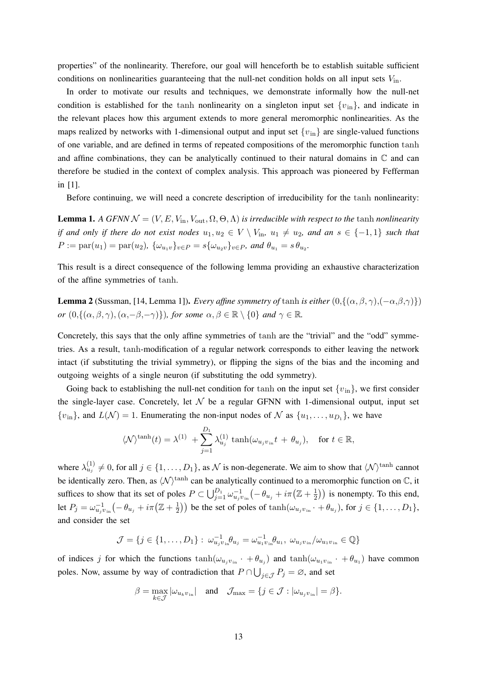properties" of the nonlinearity. Therefore, our goal will henceforth be to establish suitable sufficient conditions on nonlinearities guaranteeing that the null-net condition holds on all input sets  $V_{\text{in}}$ .

In order to motivate our results and techniques, we demonstrate informally how the null-net condition is established for the tanh nonlinearity on a singleton input set  $\{v_{\text{in}}\}$ , and indicate in the relevant places how this argument extends to more general meromorphic nonlinearities. As the maps realized by networks with 1-dimensional output and input set  $\{v_{in}\}\$ are single-valued functions of one variable, and are defined in terms of repeated compositions of the meromorphic function tanh and affine combinations, they can be analytically continued to their natural domains in  $\mathbb C$  and can therefore be studied in the context of complex analysis. This approach was pioneered by Fefferman in [1].

Before continuing, we will need a concrete description of irreducibility for the tanh nonlinearity:

**Lemma 1.** *A GFNN*  $\mathcal{N} = (V, E, V_{\text{in}}, V_{\text{out}}, \Omega, \Theta, \Lambda)$  *is irreducible with respect to the tanh nonlinearity if and only if there do not exist nodes*  $u_1, u_2 \in V \setminus V$ <sub>in</sub>,  $u_1 \neq u_2$ , and an  $s \in \{-1, 1\}$  *such that*  $P := \text{par}(u_1) = \text{par}(u_2), \ \{\omega_{u_1v}\}_{v \in P} = s\{\omega_{u_2v}\}_{v \in P}$ , and  $\theta_{u_1} = s\theta_{u_2}$ .

This result is a direct consequence of the following lemma providing an exhaustive characterization of the affine symmetries of tanh.

**Lemma 2** (Sussman, [14, Lemma 1]). *Every affine symmetry of* tanh *is either*  $(0, \{(\alpha, \beta, \gamma), (-\alpha, \beta, \gamma)\})$ *or*  $(0, \{(\alpha, \beta, \gamma), (\alpha, -\beta, -\gamma)\})$ *, for some*  $\alpha, \beta \in \mathbb{R} \setminus \{0\}$  *and*  $\gamma \in \mathbb{R}$ *.* 

Concretely, this says that the only affine symmetries of tanh are the "trivial" and the "odd" symmetries. As a result, tanh-modification of a regular network corresponds to either leaving the network intact (if substituting the trivial symmetry), or flipping the signs of the bias and the incoming and outgoing weights of a single neuron (if substituting the odd symmetry).

Going back to establishing the null-net condition for tanh on the input set  $\{v_{\text{in}}\}$ , we first consider the single-layer case. Concretely, let  $N$  be a regular GFNN with 1-dimensional output, input set  ${v_{\text{in}}},$  and  $L(\mathcal{N}) = 1$ . Enumerating the non-input nodes of  $\mathcal{N}$  as  ${u_1, \ldots, u_{D_1}}$ , we have

$$
\langle \mathcal{N} \rangle^{\tanh}(t) = \lambda^{(1)} + \sum_{j=1}^{D_1} \lambda_{u_j}^{(1)} \tanh(\omega_{u_j v_{\text{in}}} t + \theta_{u_j}), \quad \text{for } t \in \mathbb{R},
$$

where  $\lambda_{u_j}^{(1)} \neq 0$ , for all  $j \in \{1, \ldots, D_1\}$ , as  $\mathcal N$  is non-degenerate. We aim to show that  $\langle \mathcal N \rangle^{\tanh}$  cannot be identically zero. Then, as  $\langle N \rangle^{\tanh}$  can be analytically continued to a meromorphic function on  $\mathbb{C}$ , it suffices to show that its set of poles  $P \subset \bigcup_{j=1}^{D_1} \omega_{u_j v_{\rm in}}^{-1}(-\theta_{u_j} + i\pi(\mathbb{Z} + \frac{1}{2})$  $(\frac{1}{2})$ ) is nonempty. To this end, let  $P_j = \omega_{u_j v_{\text{in}}}^{-1}(-\theta_{u_j} + i\pi(\mathbb{Z} + \frac{1}{2}))$  $\frac{1}{2})$ ) be the set of poles of  $\tanh(\omega_{u_jv_{\text{in}}}\cdot+\theta_{u_j})$ , for  $j\in\{1,\ldots,D_1\},$ and consider the set

$$
\mathcal{J} = \{ j \in \{1, \ldots, D_1\} : \ \omega_{u_j v_{\text{in}}}^{-1} \theta_{u_j} = \omega_{u_1 v_{\text{in}}}^{-1} \theta_{u_1}, \ \omega_{u_j v_{\text{in}}} / \omega_{u_1 v_{\text{in}}} \in \mathbb{Q} \}
$$

of indices j for which the functions  $\tanh(\omega_{u_j v_{\rm in}} \cdot + \theta_{u_j})$  and  $\tanh(\omega_{u_1 v_{\rm in}} \cdot + \theta_{u_1})$  have common poles. Now, assume by way of contradiction that  $P \cap \bigcup_{j \in \mathcal{J}} P_j = \emptyset$ , and set

$$
\beta = \max_{k \in \mathcal{J}} |\omega_{u_k v_{\text{in}}}| \quad \text{and} \quad \mathcal{J}_{\text{max}} = \{ j \in \mathcal{J} : |\omega_{u_j v_{\text{in}}}| = \beta \}.
$$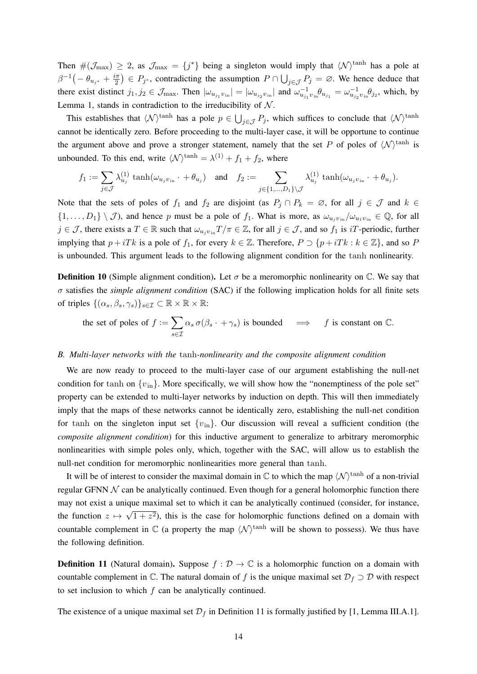Then  $\#(\mathcal{J}_{\max}) \geq 2$ , as  $\mathcal{J}_{\max} = \{j^*\}$  being a singleton would imply that  $\langle \mathcal{N} \rangle^{\tanh}$  has a pole at  $\beta^{-1}(-\theta_{u_{j^*}}+\frac{i\pi}{2})$  $(\frac{i\pi}{2}) \in P_{j^*}$ , contradicting the assumption  $P \cap \bigcup_{j \in \mathcal{J}} P_j = \varnothing$ . We hence deduce that there exist distinct  $j_1, j_2 \in \mathcal{J}_{\text{max}}$ . Then  $|\omega_{u_{j_1}v_{\text{in}}}| = |\omega_{u_{j_2}v_{\text{in}}}|$  and  $\omega_{u_{j_1}v_{\text{in}}}^{-1}\theta_{u_{j_1}} = \omega_{u_{j_2}v_{\text{in}}}^{-1}\theta_{j_2}$ , which, by Lemma 1, stands in contradiction to the irreducibility of  $N$ .

This establishes that  $\langle N \rangle^{\tanh}$  has a pole  $p \in \bigcup_{j \in \mathcal{J}} P_j$ , which suffices to conclude that  $\langle N \rangle^{\tanh}$ cannot be identically zero. Before proceeding to the multi-layer case, it will be opportune to continue the argument above and prove a stronger statement, namely that the set P of poles of  $\langle N \rangle^{\tanh}$  is unbounded. To this end, write  $\langle N \rangle^{\tanh} = \lambda^{(1)} + f_1 + f_2$ , where

$$
f_1:=\sum_{j\in\mathcal{J}}\lambda_{u_j}^{(1)}\tanh(\omega_{u_jv_{\hspace{1pt}\mathrm{in}}}\cdot\,+\,\theta_{u_j})\quad\text{and}\quad f_2:=\sum_{j\in\{1,...,D_1\}\backslash\mathcal{J}}\lambda_{u_j}^{(1)}\tanh(\omega_{u_jv_{\hspace{1pt}\mathrm{in}}}\cdot\,+\,\theta_{u_j}).
$$

Note that the sets of poles of  $f_1$  and  $f_2$  are disjoint (as  $P_j \cap P_k = \emptyset$ , for all  $j \in \mathcal{J}$  and  $k \in \mathcal{J}$  $\{1,\ldots,D_1\}\setminus\mathcal{J}$ , and hence p must be a pole of  $f_1$ . What is more, as  $\omega_{u_jv_{\rm in}}/\omega_{u_1v_{\rm in}}\in\mathbb{Q}$ , for all  $j \in \mathcal{J}$ , there exists a  $T \in \mathbb{R}$  such that  $\omega_{u_i v_{i\text{in}}} T/\pi \in \mathbb{Z}$ , for all  $j \in \mathcal{J}$ , and so  $f_1$  is iT-periodic, further implying that  $p + iTk$  is a pole of  $f_1$ , for every  $k \in \mathbb{Z}$ . Therefore,  $P \supset \{p + iTk : k \in \mathbb{Z}\}\)$ , and so P is unbounded. This argument leads to the following alignment condition for the tanh nonlinearity.

**Definition 10** (Simple alignment condition). Let  $\sigma$  be a meromorphic nonlinearity on  $\mathbb{C}$ . We say that  $\sigma$  satisfies the *simple alignment condition* (SAC) if the following implication holds for all finite sets of triples  $\{(\alpha_s, \beta_s, \gamma_s)\}_{s \in \mathcal{I}} \subset \mathbb{R} \times \mathbb{R} \times \mathbb{R}$ :

the set of poles of  $f := \sum$ s∈I  $\alpha_s \sigma(\beta_s \cdot + \gamma_s)$  is bounded  $\implies$  f is constant on  $\mathbb{C}$ .

## *B. Multi-layer networks with the* tanh*-nonlinearity and the composite alignment condition*

We are now ready to proceed to the multi-layer case of our argument establishing the null-net condition for tanh on  $\{v_{in}\}\$ . More specifically, we will show how the "nonemptiness of the pole set" property can be extended to multi-layer networks by induction on depth. This will then immediately imply that the maps of these networks cannot be identically zero, establishing the null-net condition for tanh on the singleton input set  $\{v_{\text{in}}\}$ . Our discussion will reveal a sufficient condition (the *composite alignment condition*) for this inductive argument to generalize to arbitrary meromorphic nonlinearities with simple poles only, which, together with the SAC, will allow us to establish the null-net condition for meromorphic nonlinearities more general than tanh.

It will be of interest to consider the maximal domain in  $\mathbb C$  to which the map  $\langle \mathcal N \rangle^{\tanh}$  of a non-trivial regular GFNN  $N$  can be analytically continued. Even though for a general holomorphic function there may not exist a unique maximal set to which it can be analytically continued (consider, for instance, the function  $z \mapsto \sqrt{1 + z^2}$ , this is the case for holomorphic functions defined on a domain with countable complement in  $\mathbb C$  (a property the map  $\langle \mathcal N \rangle^{\tanh}$  will be shown to possess). We thus have the following definition.

**Definition 11** (Natural domain). Suppose  $f : \mathcal{D} \to \mathbb{C}$  is a holomorphic function on a domain with countable complement in  $\mathbb C$ . The natural domain of f is the unique maximal set  $\mathcal D_f \supset \mathcal D$  with respect to set inclusion to which f can be analytically continued.

The existence of a unique maximal set  $\mathcal{D}_f$  in Definition 11 is formally justified by [1, Lemma III.A.1].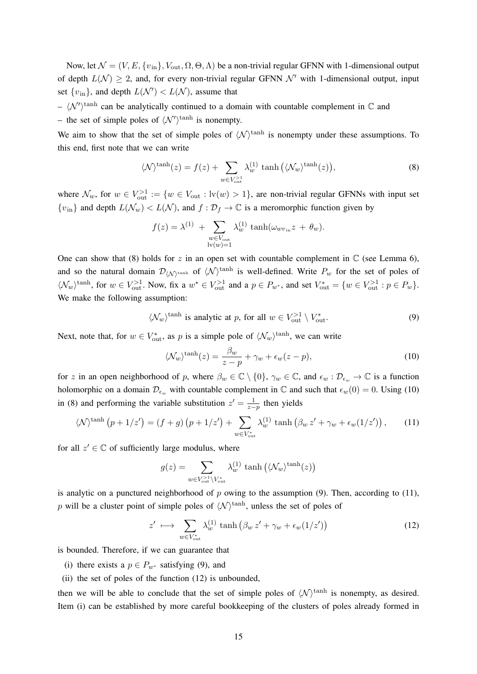Now, let  $\mathcal{N} = (V, E, \{v_{in}\}, V_{out}, \Omega, \Theta, \Lambda)$  be a non-trivial regular GFNN with 1-dimensional output of depth  $L(\mathcal{N}) \geq 2$ , and, for every non-trivial regular GFNN  $\mathcal{N}'$  with 1-dimensional output, input set  $\{v_{\text{in}}\}$ , and depth  $L(\mathcal{N}') < L(\mathcal{N})$ , assume that

 $- \langle \mathcal{N}' \rangle^{\tanh}$  can be analytically continued to a domain with countable complement in  $\mathbb C$  and – the set of simple poles of  $\langle \mathcal{N}' \rangle^{\tanh}$  is nonempty.

We aim to show that the set of simple poles of  $\langle N \rangle^{\text{tanh}}$  is nonempty under these assumptions. To this end, first note that we can write

$$
\langle \mathcal{N} \rangle^{\tanh}(z) = f(z) + \sum_{w \in V_{\text{out}}^{>1}} \lambda_w^{(1)} \tanh\left(\langle \mathcal{N}_w \rangle^{\tanh}(z)\right),\tag{8}
$$

where  $\mathcal{N}_w$ , for  $w \in V_{\text{out}}^{>1} := \{w \in V_{\text{out}} : \text{lv}(w) > 1\}$ , are non-trivial regular GFNNs with input set  ${v_{\text{in}}}$  and depth  $L(\mathcal{N}_w) < L(\mathcal{N})$ , and  $f : \mathcal{D}_f \to \mathbb{C}$  is a meromorphic function given by

$$
f(z) = \lambda^{(1)} + \sum_{\substack{w \in V_{\text{out}} \\ \text{lv}(w) = 1}} \lambda_w^{(1)} \tanh(\omega_{w v_{\text{in}}} z + \theta_w).
$$

One can show that (8) holds for z in an open set with countable complement in  $\mathbb C$  (see Lemma 6), and so the natural domain  $\mathcal{D}_{\langle N \rangle^{\text{tanh}}}$  of  $\langle N \rangle^{\text{tanh}}$  is well-defined. Write  $P_w$  for the set of poles of  $\langle \mathcal{N}_w \rangle^{\text{tanh}}$ , for  $w \in V_{\text{out}}^{>1}$ . Now, fix a  $w^* \in V_{\text{out}}^{>1}$  and a  $p \in P_{w^*}$ , and set  $V_{\text{out}}^* = \{w \in V_{\text{out}}^{>1} : p \in P_w\}$ . We make the following assumption:

$$
\langle \mathcal{N}_w \rangle^{\text{tanh}}
$$
 is analytic at *p*, for all  $w \in V_{\text{out}}^{>1} \setminus V_{\text{out}}^*$ . (9)

Next, note that, for  $w \in V_{\text{out}}^*$ , as p is a simple pole of  $\langle \mathcal{N}_w \rangle^{\text{tanh}}$ , we can write

$$
\langle \mathcal{N}_w \rangle^{\tanh}(z) = \frac{\beta_w}{z - p} + \gamma_w + \epsilon_w (z - p), \tag{10}
$$

for z in an open neighborhood of p, where  $\beta_w \in \mathbb{C} \setminus \{0\}$ ,  $\gamma_w \in \mathbb{C}$ , and  $\epsilon_w : \mathcal{D}_{\epsilon_w} \to \mathbb{C}$  is a function holomorphic on a domain  $\mathcal{D}_{\epsilon_m}$  with countable complement in C and such that  $\epsilon_w(0) = 0$ . Using (10) in (8) and performing the variable substitution  $z' = \frac{1}{z-p}$  then yields

$$
\langle \mathcal{N} \rangle^{\tanh} \left( p + 1/z' \right) = (f + g) \left( p + 1/z' \right) + \sum_{w \in V_{\text{out}}^*} \lambda_w^{(1)} \tanh \left( \beta_w \, z' + \gamma_w + \epsilon_w (1/z') \right), \tag{11}
$$

for all  $z' \in \mathbb{C}$  of sufficiently large modulus, where

$$
g(z) = \sum_{w \in V_{\text{out}}^{>1} \backslash V_{\text{out}}^{*}} \lambda_w^{(1)} \tanh (\langle \mathcal{N}_w \rangle^{\tanh}(z))
$$

is analytic on a punctured neighborhood of p owing to the assumption  $(9)$ . Then, according to (11), p will be a cluster point of simple poles of  $\langle N \rangle^{\text{tanh}}$ , unless the set of poles of

$$
z' \longmapsto \sum_{w \in V_{\text{out}}^*} \lambda_w^{(1)} \tanh \left( \beta_w \, z' + \gamma_w + \epsilon_w (1/z') \right) \tag{12}
$$

is bounded. Therefore, if we can guarantee that

- (i) there exists a  $p \in P_{w^*}$  satisfying (9), and
- (ii) the set of poles of the function (12) is unbounded,

then we will be able to conclude that the set of simple poles of  $\langle N \rangle^{\tanh}$  is nonempty, as desired. Item (i) can be established by more careful bookkeeping of the clusters of poles already formed in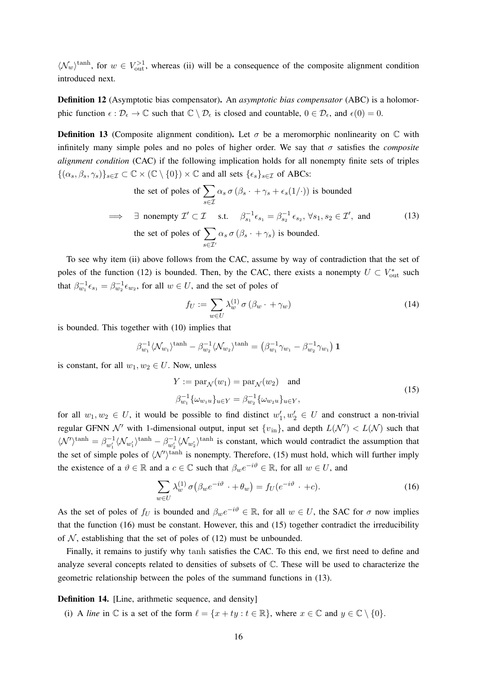$\langle \mathcal{N}_w \rangle^{\text{tanh}}$ , for  $w \in V_{\text{out}}^{>1}$ , whereas (ii) will be a consequence of the composite alignment condition introduced next.

Definition 12 (Asymptotic bias compensator). An *asymptotic bias compensator* (ABC) is a holomorphic function  $\epsilon : \mathcal{D}_{\epsilon} \to \mathbb{C}$  such that  $\mathbb{C} \setminus \mathcal{D}_{\epsilon}$  is closed and countable,  $0 \in \mathcal{D}_{\epsilon}$ , and  $\epsilon(0) = 0$ .

**Definition 13** (Composite alignment condition). Let  $\sigma$  be a meromorphic nonlinearity on  $\mathbb C$  with infinitely many simple poles and no poles of higher order. We say that  $\sigma$  satisfies the *composite alignment condition* (CAC) if the following implication holds for all nonempty finite sets of triples  $\{(\alpha_s, \beta_s, \gamma_s)\}_{s\in\mathcal{I}} \subset \mathbb{C}\times(\mathbb{C}\setminus\{0\})\times\mathbb{C}$  and all sets  $\{\epsilon_s\}_{s\in\mathcal{I}}$  of ABCs:

the set of poles of 
$$
\sum_{s \in \mathcal{I}} \alpha_s \sigma(\beta_s \cdot + \gamma_s + \epsilon_s(1/\cdot))
$$
 is bounded  
\n $\implies \exists$  nonempty  $\mathcal{I}' \subset \mathcal{I}$  s.t.  $\beta_{s_1}^{-1} \epsilon_{s_1} = \beta_{s_2}^{-1} \epsilon_{s_2}, \forall s_1, s_2 \in \mathcal{I}'$ , and  
\nthe set of poles of  $\sum_{s \in \mathcal{I}'} \alpha_s \sigma(\beta_s \cdot + \gamma_s)$  is bounded. (13)

To see why item (ii) above follows from the CAC, assume by way of contradiction that the set of poles of the function (12) is bounded. Then, by the CAC, there exists a nonempty  $U \subset V_{\text{out}}^*$  such that  $\beta_{w_1}^{-1} \epsilon_{s_1} = \beta_{w_2}^{-1} \epsilon_{w_2}$ , for all  $w \in U$ , and the set of poles of

$$
f_U := \sum_{w \in U} \lambda_w^{(1)} \sigma \left( \beta_w \cdot + \gamma_w \right) \tag{14}
$$

is bounded. This together with (10) implies that

$$
\beta_{w_1}^{-1} \langle \mathcal{N}_{w_1} \rangle^{\tanh} - \beta_{w_2}^{-1} \langle \mathcal{N}_{w_2} \rangle^{\tanh} = (\beta_{w_1}^{-1} \gamma_{w_1} - \beta_{w_2}^{-1} \gamma_{w_1}) \mathbf{1}
$$

is constant, for all  $w_1, w_2 \in U$ . Now, unless

$$
Y := \text{par}_{\mathcal{N}}(w_1) = \text{par}_{\mathcal{N}}(w_2) \quad \text{and}
$$
  

$$
\beta_{w_1}^{-1} \{\omega_{w_1 u}\}_{u \in Y} = \beta_{w_2}^{-1} \{\omega_{w_2 u}\}_{u \in Y},
$$
 (15)

for all  $w_1, w_2 \in U$ , it would be possible to find distinct  $w'_1, w'_2 \in U$  and construct a non-trivial regular GFNN  $\mathcal{N}'$  with 1-dimensional output, input set  $\{v_{\text{in}}\}$ , and depth  $L(\mathcal{N}') < L(\mathcal{N})$  such that  $\langle \mathcal{N}' \rangle^{\text{tanh}} = \beta_{w_1'}^{-1} \langle \mathcal{N}_{w_1'} \rangle^{\text{tanh}} - \beta_{w_2'}^{-1} \langle \mathcal{N}_{w_2'} \rangle^{\text{tanh}}$  is constant, which would contradict the assumption that the set of simple poles of  $\langle N' \rangle^{\tanh}$  is nonempty. Therefore, (15) must hold, which will further imply the existence of a  $\vartheta \in \mathbb{R}$  and a  $c \in \mathbb{C}$  such that  $\beta_w e^{-i\vartheta} \in \mathbb{R}$ , for all  $w \in U$ , and

$$
\sum_{w \in U} \lambda_w^{(1)} \sigma \left( \beta_w e^{-i\vartheta} \cdot + \theta_w \right) = f_U(e^{-i\vartheta} \cdot + c). \tag{16}
$$

As the set of poles of  $f_U$  is bounded and  $\beta_w e^{-i\theta} \in \mathbb{R}$ , for all  $w \in U$ , the SAC for  $\sigma$  now implies that the function (16) must be constant. However, this and (15) together contradict the irreducibility of  $N$ , establishing that the set of poles of (12) must be unbounded.

Finally, it remains to justify why tanh satisfies the CAC. To this end, we first need to define and analyze several concepts related to densities of subsets of C. These will be used to characterize the geometric relationship between the poles of the summand functions in (13).

#### Definition 14. [Line, arithmetic sequence, and density]

(i) A *line* in  $\mathbb C$  is a set of the form  $\ell = \{x + ty : t \in \mathbb R\}$ , where  $x \in \mathbb C$  and  $y \in \mathbb C \setminus \{0\}$ .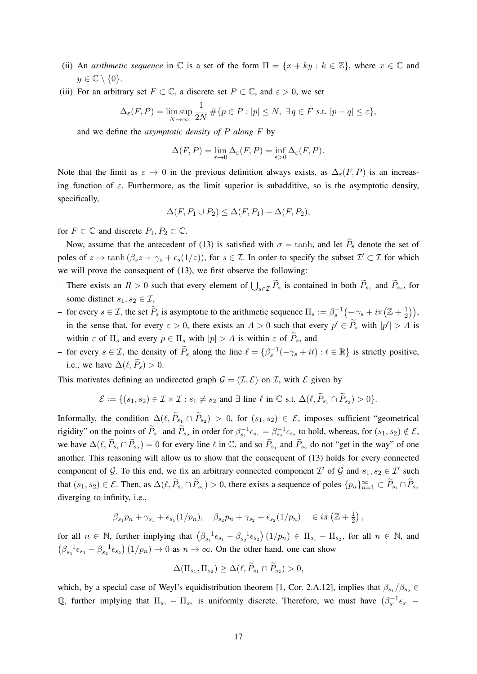- (ii) An *arithmetic sequence* in  $\mathbb C$  is a set of the form  $\Pi = \{x + ky : k \in \mathbb Z\}$ , where  $x \in \mathbb C$  and  $y \in \mathbb{C} \setminus \{0\}.$
- (iii) For an arbitrary set  $F \subset \mathbb{C}$ , a discrete set  $P \subset \mathbb{C}$ , and  $\varepsilon > 0$ , we set

$$
\Delta_{\varepsilon}(F, P) = \limsup_{N \to \infty} \frac{1}{2N} \# \{ p \in P : |p| \le N, \ \exists q \in F \text{ s.t. } |p - q| \le \varepsilon \},
$$

and we define the *asymptotic density of* P *along* F by

$$
\Delta(F, P) = \lim_{\varepsilon \to 0} \Delta_{\varepsilon}(F, P) = \inf_{\varepsilon > 0} \Delta_{\varepsilon}(F, P).
$$

Note that the limit as  $\varepsilon \to 0$  in the previous definition always exists, as  $\Delta_{\varepsilon}(F, P)$  is an increasing function of  $\varepsilon$ . Furthermore, as the limit superior is subadditive, so is the asymptotic density, specifically,

$$
\Delta(F, P_1 \cup P_2) \le \Delta(F, P_1) + \Delta(F, P_2),
$$

for  $F \subset \mathbb{C}$  and discrete  $P_1, P_2 \subset \mathbb{C}$ .

Now, assume that the antecedent of (13) is satisfied with  $\sigma = \tanh$ , and let  $\widetilde{P}_s$  denote the set of poles of  $z \mapsto \tanh (\beta_s z + \gamma_s + \epsilon_s(1/z))$ , for  $s \in \mathcal{I}$ . In order to specify the subset  $\mathcal{I}' \subset \mathcal{I}$  for which we will prove the consequent of (13), we first observe the following:

- There exists an  $R > 0$  such that every element of  $\bigcup_{s \in \mathcal{I}} P_s$  is contained in both  $P_{s_1}$  and  $P_{s_2}$ , for some distinct  $s_1, s_2 \in \mathcal{I}$ ,
- for every  $s \in \mathcal{I}$ , the set  $\widetilde{P}_s$  is asymptotic to the arithmetic sequence  $\Pi_s := \beta_s^{-1}(-\gamma_s + i\pi(\mathbb{Z} + \frac{1}{2})$  $(\frac{1}{2})$ , in the sense that, for every  $\varepsilon > 0$ , there exists an  $A > 0$  such that every  $p' \in \tilde{P}_s$  with  $|p'| > A$  is within  $\varepsilon$  of  $\Pi_s$  and every  $p \in \Pi_s$  with  $|p| > A$  is within  $\varepsilon$  of  $\widetilde{P}_s$ , and
- for every  $s \in \mathcal{I}$ , the density of  $\widetilde{P}_s$  along the line  $\ell = \{\beta_s^{-1}(-\gamma_s + it) : t \in \mathbb{R}\}\)$  is strictly positive, i.e., we have  $\Delta(\ell, \widetilde{P}_s) > 0$ .

This motivates defining an undirected graph  $\mathcal{G} = (\mathcal{I}, \mathcal{E})$  on  $\mathcal{I}$ , with  $\mathcal{E}$  given by

$$
\mathcal{E} := \{ (s_1, s_2) \in \mathcal{I} \times \mathcal{I} : s_1 \neq s_2 \text{ and } \exists \text{ line } \ell \text{ in } \mathbb{C} \text{ s.t. } \Delta(\ell, \widetilde{P}_{s_1} \cap \widetilde{P}_{s_2}) > 0 \}.
$$

Informally, the condition  $\Delta(\ell, P_{s_1} \cap P_{s_2}) > 0$ , for  $(s_1, s_2) \in \mathcal{E}$ , imposes sufficient "geometrical rigidity" on the points of  $\widetilde{P}_{s_1}$  and  $\widetilde{P}_{s_2}$  in order for  $\beta_{s_1}^{-1} \epsilon_{s_1} = \beta_{s_2}^{-1} \epsilon_{s_2}$  to hold, whereas, for  $(s_1, s_2) \notin \mathcal{E}$ , we have  $\Delta(\ell, \widetilde{P}_{s_1} \cap \widetilde{P}_{s_2}) = 0$  for every line  $\ell$  in  $\mathbb{C}$ , and so  $\widetilde{P}_{s_1}$  and  $\widetilde{P}_{s_2}$  do not "get in the way" of one another. This reasoning will allow us to show that the consequent of (13) holds for every connected component of G. To this end, we fix an arbitrary connected component  $\mathcal{I}'$  of G and  $s_1, s_2 \in \mathcal{I}'$  such that  $(s_1, s_2) \in \mathcal{E}$ . Then, as  $\Delta(\ell, \tilde{P}_{s_1} \cap \tilde{P}_{s_2}) > 0$ , there exists a sequence of poles  $\{p_n\}_{n=1}^{\infty} \subset \tilde{P}_{s_1} \cap \tilde{P}_{s_2}$ diverging to infinity, i.e.,

$$
\beta_{s_1} p_n + \gamma_{s_1} + \epsilon_{s_1} (1/p_n), \quad \beta_{s_2} p_n + \gamma_{s_2} + \epsilon_{s_2} (1/p_n) \quad \in i \pi \left( \mathbb{Z} + \frac{1}{2} \right),
$$

for all  $n \in \mathbb{N}$ , further implying that  $(\beta_{s_1}^{-1} \epsilon_{s_1} - \beta_{s_2}^{-1} \epsilon_{s_2}) (1/p_n) \in \Pi_{s_1} - \Pi_{s_2}$ , for all  $n \in \mathbb{N}$ , and  $(\beta_{s_1}^{-1}\epsilon_{s_1} - \beta_{s_2}^{-1}\epsilon_{s_2})$   $(1/p_n) \to 0$  as  $n \to \infty$ . On the other hand, one can show

$$
\Delta(\Pi_{s_1}, \Pi_{s_2}) \geq \Delta(\ell, P_{s_1} \cap P_{s_2}) > 0,
$$

which, by a special case of Weyl's equidistribution theorem [1, Cor. 2.A.12], implies that  $\beta_{s_1}/\beta_{s_2} \in$ Q, further implying that  $\Pi_{s_1} - \Pi_{s_2}$  is uniformly discrete. Therefore, we must have  $(\beta_{s_1}^{-1} \epsilon_{s_1} - \beta_{s_2})$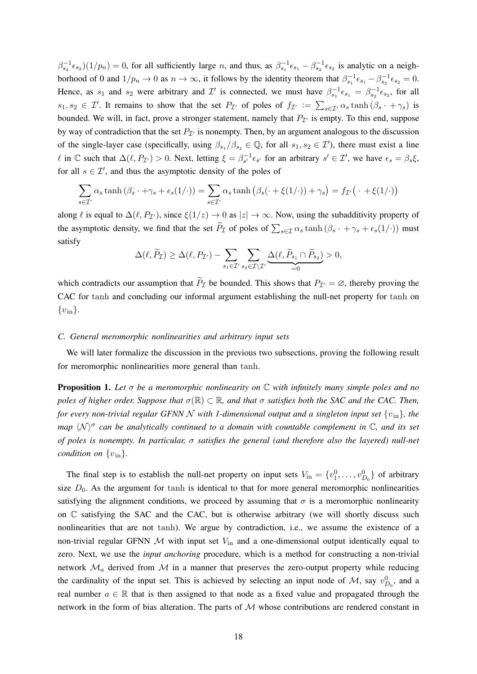$\beta_{s_2}^{-1} \epsilon_{s_2}$   $(1/p_n) = 0$ , for all sufficiently large *n*, and thus, as  $\beta_{s_1}^{-1} \epsilon_{s_1} - \beta_{s_2}^{-1} \epsilon_{s_2}$  is analytic on a neighborhood of 0 and  $1/p_n \to 0$  as  $n \to \infty$ , it follows by the identity theorem that  $\beta_{s_1}^{-1} \epsilon_{s_1} - \beta_{s_2}^{-1} \epsilon_{s_2} = 0$ . Hence, as  $s_1$  and  $s_2$  were arbitrary and  $\mathcal{I}'$  is connected, we must have  $\beta_{s_1}^{-1} \epsilon_{s_1} = \beta_{s_2}^{-1} \epsilon_{s_2}$ , for all  $s_1, s_2 \in \mathcal{I}'$ . It remains to show that the set  $P_{\mathcal{I}'}$  of poles of  $f_{\mathcal{I}'} := \sum_{s \in \mathcal{I}'} \alpha_s \tanh(\beta_s + \gamma_s)$  is bounded. We will, in fact, prove a stronger statement, namely that  $P_{\mathcal{I}}$  is empty. To this end, suppose by way of contradiction that the set  $P_{\mathcal{I}}$  is nonempty. Then, by an argument analogous to the discussion of the single-layer case (specifically, using  $\beta_{s_1}/\beta_{s_2} \in \mathbb{Q}$ , for all  $s_1, s_2 \in \mathcal{I}'$ ), there must exist a line  $\ell$  in  $\mathbb C$  such that  $\Delta(\ell, P_{\mathcal{I}'}) > 0$ . Next, letting  $\xi = \beta_{s'}^{-1} \epsilon_{s'}$  for an arbitrary  $s' \in \mathcal{I}'$ , we have  $\epsilon_s = \beta_s \xi$ , for all  $s \in \mathcal{I}'$ , and thus the asymptotic density of the poles of

$$
\sum_{s \in \mathcal{I}'} \alpha_s \tanh(\beta_s \cdot + \gamma_s + \epsilon_s(1/\cdot)) = \sum_{s \in \mathcal{I}'} \alpha_s \tanh(\beta_s(\cdot + \xi(1/\cdot)) + \gamma_s) = f_{\mathcal{I}'}(\cdot + \xi(1/\cdot))
$$

along  $\ell$  is equal to  $\Delta(\ell, P_{\mathcal{I}'})$ , since  $\xi(1/z) \to 0$  as  $|z| \to \infty$ . Now, using the subadditivity property of the asymptotic density, we find that the set  $P_{\mathcal{I}}$  of poles of  $\sum_{s\in\mathcal{I}}\alpha_s \tanh(\beta_s\cdot + \gamma_s + \epsilon_s(1/\cdot))$  must satisfy

$$
\Delta(\ell, \widetilde{P}_{\mathcal{I}}) \geq \Delta(\ell, P_{\mathcal{I}'}) - \sum_{s_1 \in \mathcal{I}'} \sum_{s_2 \in \mathcal{I} \setminus \mathcal{I}'} \underline{\Delta(\ell, \widetilde{P}_{s_1} \cap \widetilde{P}_{s_2})} > 0,
$$

which contradicts our assumption that  $\widetilde{P}_{\mathcal{I}}$  be bounded. This shows that  $P_{\mathcal{I}} = \emptyset$ , thereby proving the CAC for tanh and concluding our informal argument establishing the null-net property for tanh on  $\{v_{\rm in}\}.$ 

## *C. General meromorphic nonlinearities and arbitrary input sets*

We will later formalize the discussion in the previous two subsections, proving the following result for meromorphic nonlinearities more general than tanh.

Proposition 1. *Let* σ *be a meromorphic nonlinearity on* C *with infinitely many simple poles and no poles of higher order. Suppose that*  $\sigma(\mathbb{R}) \subset \mathbb{R}$ *, and that*  $\sigma$  *satisfies both the SAC and the CAC. Then, for every non-trivial regular GFNN N with 1-dimensional output and a singleton input set*  $\{v_{\rm in}\}\$ *, the map*  $\langle \mathcal{N} \rangle^{\sigma}$  can be analytically continued to a domain with countable complement in  $\mathbb{C}$ , and its set *of poles is nonempty. In particular,* σ *satisfies the general (and therefore also the layered) null-net condition on*  $\{v_{\text{in}}\}.$ 

The final step is to establish the null-net property on input sets  $V_{\text{in}} = \{v_1^0, \dots, v_{D_0}^0\}$  of arbitrary size  $D_0$ . As the argument for tanh is identical to that for more general meromorphic nonlinearities satisfying the alignment conditions, we proceed by assuming that  $\sigma$  is a meromorphic nonlinearity on  $\mathbb C$  satisfying the SAC and the CAC, but is otherwise arbitrary (we will shortly discuss such nonlinearities that are not tanh). We argue by contradiction, i.e., we assume the existence of a non-trivial regular GFNN  $M$  with input set  $V_{\text{in}}$  and a one-dimensional output identically equal to zero. Next, we use the *input anchoring* procedure, which is a method for constructing a non-trivial network  $\mathcal{M}_a$  derived from  $\mathcal M$  in a manner that preserves the zero-output property while reducing the cardinality of the input set. This is achieved by selecting an input node of M, say  $v_{D_0}^0$ , and a real number  $a \in \mathbb{R}$  that is then assigned to that node as a fixed value and propagated through the network in the form of bias alteration. The parts of  $M$  whose contributions are rendered constant in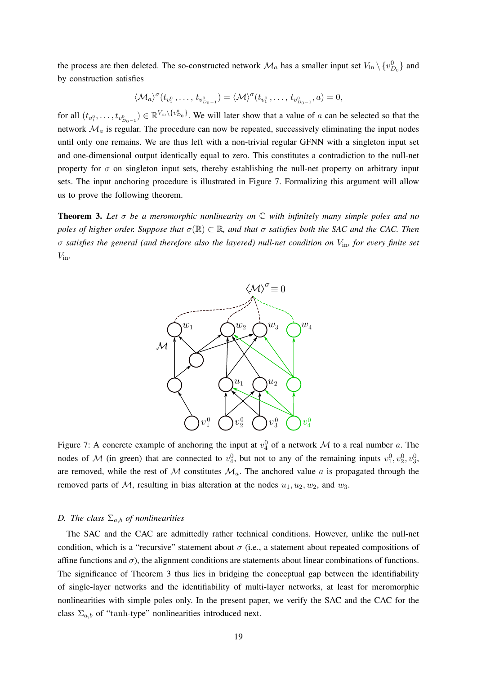the process are then deleted. The so-constructed network  $\mathcal{M}_a$  has a smaller input set  $V_{\text{in}} \setminus \{v_{D_0}^0\}$  and by construction satisfies

$$
\langle \mathcal{M}_a \rangle^{\sigma} (t_{v_1^0}, \dots, t_{v_{D_0 - 1}^0}) = \langle \mathcal{M} \rangle^{\sigma} (t_{v_1^0}, \dots, t_{v_{D_0 - 1}^0}, a) = 0,
$$

for all  $(t_{v_1^0},...,t_{v_{D_0-1}^0}) \in \mathbb{R}^{V_{\text{in}}\setminus \{v_{D_0}^0\}}$ . We will later show that a value of a can be selected so that the network  $\mathcal{M}_a$  is regular. The procedure can now be repeated, successively eliminating the input nodes until only one remains. We are thus left with a non-trivial regular GFNN with a singleton input set and one-dimensional output identically equal to zero. This constitutes a contradiction to the null-net property for  $\sigma$  on singleton input sets, thereby establishing the null-net property on arbitrary input sets. The input anchoring procedure is illustrated in Figure 7. Formalizing this argument will allow us to prove the following theorem.

Theorem 3. *Let* σ *be a meromorphic nonlinearity on* C *with infinitely many simple poles and no poles of higher order. Suppose that*  $σ(R) ⊂ R$ *, and that*  $σ$  *satisfies both the SAC and the CAC. Then* σ *satisfies the general (and therefore also the layered) null-net condition on* Vin*, for every finite set*  $V_{\rm in}$ .



Figure 7: A concrete example of anchoring the input at  $v_4^0$  of a network M to a real number a. The nodes of M (in green) that are connected to  $v_4^0$ , but not to any of the remaining inputs  $v_1^0, v_2^0, v_3^0$ , are removed, while the rest of  $M$  constitutes  $M_a$ . The anchored value a is propagated through the removed parts of M, resulting in bias alteration at the nodes  $u_1, u_2, w_2$ , and  $w_3$ .

## *D.* The class  $\Sigma_{a,b}$  of nonlinearities

The SAC and the CAC are admittedly rather technical conditions. However, unlike the null-net condition, which is a "recursive" statement about  $\sigma$  (i.e., a statement about repeated compositions of affine functions and  $\sigma$ ), the alignment conditions are statements about linear combinations of functions. The significance of Theorem 3 thus lies in bridging the conceptual gap between the identifiability of single-layer networks and the identifiability of multi-layer networks, at least for meromorphic nonlinearities with simple poles only. In the present paper, we verify the SAC and the CAC for the class  $\Sigma_{a,b}$  of "tanh-type" nonlinearities introduced next.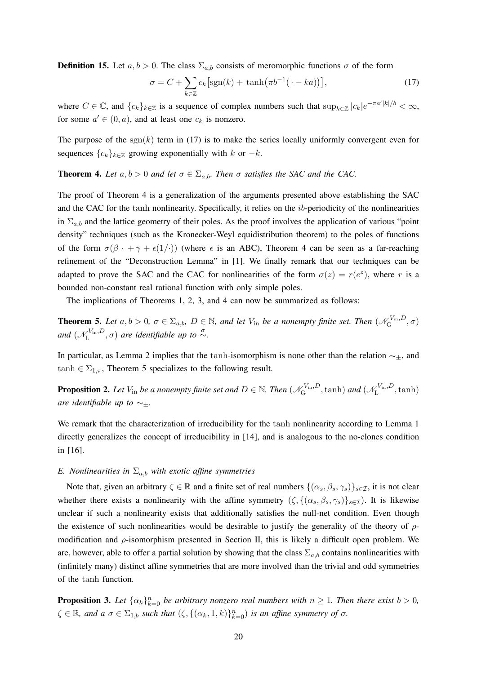**Definition 15.** Let  $a, b > 0$ . The class  $\Sigma_{a,b}$  consists of meromorphic functions  $\sigma$  of the form

$$
\sigma = C + \sum_{k \in \mathbb{Z}} c_k \left[ \text{sgn}(k) + \tanh(\pi b^{-1}(\cdot - ka)) \right],\tag{17}
$$

where  $C \in \mathbb{C}$ , and  $\{c_k\}_{k\in \mathbb{Z}}$  is a sequence of complex numbers such that  $\sup_{k\in \mathbb{Z}} |c_k|e^{-\pi a' |k|/b} < \infty$ , for some  $a' \in (0, a)$ , and at least one  $c_k$  is nonzero.

The purpose of the  $sgn(k)$  term in (17) is to make the series locally uniformly convergent even for sequences  ${c_k}_{k \in \mathbb{Z}}$  growing exponentially with k or  $-k$ .

## **Theorem 4.** *Let*  $a, b > 0$  *and let*  $\sigma \in \Sigma_{a,b}$ *. Then*  $\sigma$  *satisfies the SAC and the CAC.*

The proof of Theorem 4 is a generalization of the arguments presented above establishing the SAC and the CAC for the tanh nonlinearity. Specifically, it relies on the ib-periodicity of the nonlinearities in  $\Sigma_{a,b}$  and the lattice geometry of their poles. As the proof involves the application of various "point" density" techniques (such as the Kronecker-Weyl equidistribution theorem) to the poles of functions of the form  $\sigma(\beta \cdot + \gamma + \epsilon(1/\cdot))$  (where  $\epsilon$  is an ABC), Theorem 4 can be seen as a far-reaching refinement of the "Deconstruction Lemma" in [1]. We finally remark that our techniques can be adapted to prove the SAC and the CAC for nonlinearities of the form  $\sigma(z) = r(e^z)$ , where r is a bounded non-constant real rational function with only simple poles.

The implications of Theorems 1, 2, 3, and 4 can now be summarized as follows:

**Theorem 5.** Let  $a, b > 0$ ,  $\sigma \in \Sigma_{a,b}$ ,  $D \in \mathbb{N}$ , and let  $V_{\text{in}}$  be a nonempty finite set. Then  $(\mathcal{N}_{\text{G}}^{V_{\text{in}}}, D)$  $\mathcal{L}_{\mathrm{G}}^{\mathrm{V_{in}},D},\sigma)$ *and*  $(\mathcal{N}_{\mathrm{L}}^{V_{\mathrm{in}},D})$  $L^{\vee_{\text{in}},D}$ ,  $\sigma$ ) are identifiable up to  $\stackrel{\sigma}{\sim}$ .

In particular, as Lemma 2 implies that the tanh-isomorphism is none other than the relation  $\sim_{\pm}$ , and  $tanh \in \Sigma_{1,\pi}$ , Theorem 5 specializes to the following result.

**Proposition 2.** Let  $V_{\text{in}}$  be a nonempty finite set and  $D \in \mathbb{N}$ . Then  $(\mathscr{N}_{\text{G}}^{V_{\text{in}}}, D)$  $\chi_{\rm G}^{V_{\rm in},D},$   $\tanh)$  *and*  $(\mathscr{N}_{\rm L}^{V_{\rm in},D})$  $L^{V_{\text{in}},D}$ , tanh) *are identifiable up to* ∼±*.*

We remark that the characterization of irreducibility for the tanh nonlinearity according to Lemma 1 directly generalizes the concept of irreducibility in [14], and is analogous to the no-clones condition in [16].

#### *E. Nonlinearities in*  $\Sigma_{a,b}$  *with exotic affine symmetries*

Note that, given an arbitrary  $\zeta \in \mathbb{R}$  and a finite set of real numbers  $\{(\alpha_s, \beta_s, \gamma_s)\}_{s \in \mathcal{I}}$ , it is not clear whether there exists a nonlinearity with the affine symmetry  $(\zeta, \{(\alpha_s, \beta_s, \gamma_s)\}_{s \in \mathcal{I}})$ . It is likewise unclear if such a nonlinearity exists that additionally satisfies the null-net condition. Even though the existence of such nonlinearities would be desirable to justify the generality of the theory of  $\rho$ modification and  $\rho$ -isomorphism presented in Section II, this is likely a difficult open problem. We are, however, able to offer a partial solution by showing that the class  $\Sigma_{a,b}$  contains nonlinearities with (infinitely many) distinct affine symmetries that are more involved than the trivial and odd symmetries of the tanh function.

**Proposition 3.** Let  $\{\alpha_k\}_{k=0}^n$  be arbitrary nonzero real numbers with  $n \geq 1$ . Then there exist  $b > 0$ ,  $\zeta \in \mathbb{R}$ , and  $a \sigma \in \Sigma_{1,b}$  *such that*  $(\zeta, \{(\alpha_k, 1, k)\}_{k=0}^n)$  *is an affine symmetry of*  $\sigma$ *.*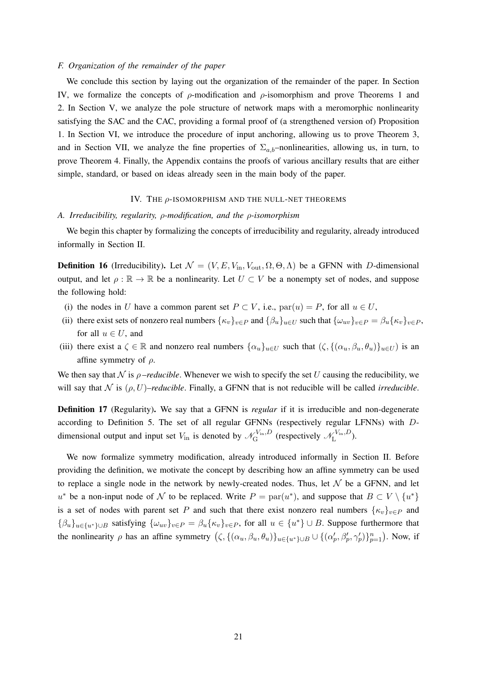## *F. Organization of the remainder of the paper*

We conclude this section by laying out the organization of the remainder of the paper. In Section IV, we formalize the concepts of  $\rho$ -modification and  $\rho$ -isomorphism and prove Theorems 1 and 2. In Section V, we analyze the pole structure of network maps with a meromorphic nonlinearity satisfying the SAC and the CAC, providing a formal proof of (a strengthened version of) Proposition 1. In Section VI, we introduce the procedure of input anchoring, allowing us to prove Theorem 3, and in Section VII, we analyze the fine properties of  $\Sigma_{a,b}$ –nonlinearities, allowing us, in turn, to prove Theorem 4. Finally, the Appendix contains the proofs of various ancillary results that are either simple, standard, or based on ideas already seen in the main body of the paper.

## IV. THE  $\rho$ -ISOMORPHISM AND THE NULL-NET THEOREMS

*A. Irreducibility, regularity,* ρ*-modification, and the* ρ*-isomorphism*

We begin this chapter by formalizing the concepts of irreducibility and regularity, already introduced informally in Section II.

**Definition 16** (Irreducibility). Let  $\mathcal{N} = (V, E, V_{\text{in}}, V_{\text{out}}, \Omega, \Theta, \Lambda)$  be a GFNN with D-dimensional output, and let  $\rho : \mathbb{R} \to \mathbb{R}$  be a nonlinearity. Let  $U \subset V$  be a nonempty set of nodes, and suppose the following hold:

- (i) the nodes in U have a common parent set  $P \subset V$ , i.e.,  $par(u) = P$ , for all  $u \in U$ ,
- (ii) there exist sets of nonzero real numbers  $\{\kappa_v\}_{v\in P}$  and  $\{\beta_u\}_{u\in U}$  such that  $\{\omega_{uv}\}_{v\in P} = \beta_u\{\kappa_v\}_{v\in P}$ , for all  $u \in U$ , and
- (iii) there exist a  $\zeta \in \mathbb{R}$  and nonzero real numbers  $\{\alpha_u\}_{u \in U}$  such that  $(\zeta, \{(\alpha_u, \beta_u, \theta_u)\}_{u \in U})$  is an affine symmetry of  $\rho$ .

We then say that  $\mathcal N$  is  $\rho$ -reducible. Whenever we wish to specify the set U causing the reducibility, we will say that  $\mathcal N$  is  $(\rho, U)$ *–reducible*. Finally, a GFNN that is not reducible will be called *irreducible*.

Definition 17 (Regularity). We say that a GFNN is *regular* if it is irreducible and non-degenerate according to Definition 5. The set of all regular GFNNs (respectively regular LFNNs) with Ddimensional output and input set  $V_{\text{in}}$  is denoted by  $\mathcal{N}_{\text{G}}^{V_{\text{in}},D}$  $\chi_{\text{G}}^{V_{\text{in}},D}$  (respectively  $\mathscr{N}_{\text{L}}^{V_{\text{in}},D}$  $\mathcal{L}^{V_{\text{in}},D}$ ).

We now formalize symmetry modification, already introduced informally in Section II. Before providing the definition, we motivate the concept by describing how an affine symmetry can be used to replace a single node in the network by newly-created nodes. Thus, let  $\mathcal N$  be a GFNN, and let u<sup>\*</sup> be a non-input node of N to be replaced. Write  $P = \text{par}(u^*)$ , and suppose that  $B \subset V \setminus \{u^*\}$ is a set of nodes with parent set P and such that there exist nonzero real numbers  $\{\kappa_v\}_{v\in P}$  and  ${\{\beta_u\}}_{u \in \{u^*\}\cup B}$  satisfying  ${\{\omega_{uv}\}}_{v \in P} = \beta_u {\{\kappa_v\}}_{v \in P}$ , for all  $u \in \{u^*\} \cup B$ . Suppose furthermore that the nonlinearity  $\rho$  has an affine symmetry  $(\zeta, \{(\alpha_u, \beta_u, \theta_u)\}_{u \in \{u^*\}\cup B} \cup \{(\alpha'_p, \beta'_p, \gamma'_p)\}_{p=1}^n$ . Now, if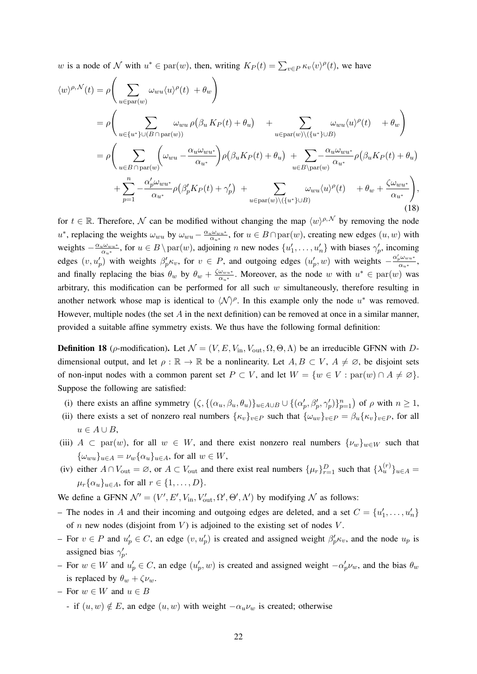w is a node of N with  $u^* \in \text{par}(w)$ , then, writing  $K_P(t) = \sum_{v \in P} \kappa_v \langle v \rangle^{\rho}(t)$ , we have

$$
\langle w \rangle^{\rho, \mathcal{N}}(t) = \rho \Bigg( \sum_{u \in \text{par}(w)} \omega_{wu} \langle u \rangle^{\rho}(t) + \theta_w \Bigg) \n= \rho \Bigg( \sum_{u \in \{u^*\} \cup (B \cap \text{par}(w))} \omega_{wu} \rho \big( \beta_u K_P(t) + \theta_u \big) + \sum_{u \in \text{par}(w) \setminus (\{u^*\} \cup B)} \omega_{wu} \langle u \rangle^{\rho}(t) + \theta_w \Bigg) \n= \rho \Bigg( \sum_{u \in B \cap \text{par}(w)} \Big( \omega_{wu} - \frac{\alpha_u \omega_{wu^*}}{\alpha_{u^*}} \Big) \rho \big( \beta_u K_P(t) + \theta_u \big) + \sum_{u \in B \setminus \text{par}(w)} \frac{\alpha_u \omega_{wu^*}}{\alpha_{u^*}} \rho \big( \beta_u K_P(t) + \theta_u \big) \n+ \sum_{p=1}^n -\frac{\alpha'_p \omega_{wu^*}}{\alpha_{u^*}} \rho \big( \beta'_p K_P(t) + \gamma'_p \big) + \sum_{u \in \text{par}(w) \setminus (\{u^*\} \cup B)} \omega_{wu} \langle u \rangle^{\rho}(t) + \theta_w + \frac{\zeta \omega_{wu^*}}{\alpha_{u^*}} \Bigg),
$$
\n(18)

for  $t \in \mathbb{R}$ . Therefore, N can be modified without changing the map  $\langle w \rangle^{\rho, \mathcal{N}}$  by removing the node  $u^*$ , replacing the weights  $\omega_{wu}$  by  $\omega_{wu} - \frac{\alpha_u \omega_{wu^*}}{\alpha_{u^*}}$  $\frac{u^{\omega_{wu^*}}}{\alpha_{u^*}}$ , for  $u \in B \cap \text{par}(w)$ , creating new edges  $(u, w)$  with weights  $-\frac{\alpha_u \omega_{wu^*}}{\alpha}$  $\frac{u\omega_{wu^*}}{\alpha_{u^*}}$ , for  $u \in B \setminus \text{par}(w)$ , adjoining n new nodes  $\{u'_1, \dots, u'_n\}$  with biases  $\gamma'_p$ , incoming edges  $(v, u_p')$  with weights  $\beta'_p \kappa_v$ , for  $v \in P$ , and outgoing edges  $(u_p', w)$  with weights  $-\frac{\alpha'_p \omega_{w} u^*}{\alpha_{w} u^*}$  $\frac{1}{\alpha_{u^*}},$ and finally replacing the bias  $\theta_w$  by  $\theta_w + \frac{\zeta \omega_{wu^*}}{\alpha_{uu^*}}$  $\frac{\omega_{wu^*}}{\alpha_{u^*}}$ . Moreover, as the node w with  $u^* \in \text{par}(w)$  was arbitrary, this modification can be performed for all such  $w$  simultaneously, therefore resulting in another network whose map is identical to  $\langle N \rangle^{\rho}$ . In this example only the node  $u^*$  was removed. However, multiple nodes (the set  $A$  in the next definition) can be removed at once in a similar manner, provided a suitable affine symmetry exists. We thus have the following formal definition:

**Definition 18** (*ρ*-modification). Let  $\mathcal{N} = (V, E, V_{\text{in}}, V_{\text{out}}, \Omega, \Theta, \Lambda)$  be an irreducible GFNN with *D*dimensional output, and let  $\rho : \mathbb{R} \to \mathbb{R}$  be a nonlinearity. Let  $A, B \subset V$ ,  $A \neq \emptyset$ , be disjoint sets of non-input nodes with a common parent set  $P \subset V$ , and let  $W = \{w \in V : \text{par}(w) \cap A \neq \emptyset\}.$ Suppose the following are satisfied:

- (i) there exists an affine symmetry  $(\zeta, \{(\alpha_u, \beta_u, \theta_u)\}_{u \in A \cup B} \cup \{(\alpha'_p, \beta'_p, \gamma'_p)\}_{p=1}^n)$  of  $\rho$  with  $n \ge 1$ ,
- (ii) there exists a set of nonzero real numbers  $\{\kappa_v\}_{v\in P}$  such that  $\{\omega_{uv}\}_{v\in P} = \beta_u \{\kappa_v\}_{v\in P}$ , for all  $u \in A \cup B$ ,
- (iii)  $A \subset \text{par}(w)$ , for all  $w \in W$ , and there exist nonzero real numbers  $\{\nu_w\}_{w \in W}$  such that  ${\{\omega_{wu}\}}_{u\in A} = \nu_w{\{\alpha_u\}}_{u\in A}$ , for all  $w \in W$ ,
- (iv) either  $A \cap V_{\text{out}} = \emptyset$ , or  $A \subset V_{\text{out}}$  and there exist real numbers  $\{\mu_r\}_{r=1}^D$  such that  $\{\lambda_u^{(r)}\}_{u \in A} =$  $\mu_r\{\alpha_u\}_{u\in A}$ , for all  $r \in \{1,\ldots,D\}$ .

We define a GFNN  $\mathcal{N}' = (V', E', V_{\text{in}}, V'_{\text{out}}, \Omega', \Theta', \Lambda')$  by modifying  $\mathcal N$  as follows:

- The nodes in A and their incoming and outgoing edges are deleted, and a set  $C = \{u'_1, \ldots, u'_n\}$ of  $n$  new nodes (disjoint from  $V$ ) is adjoined to the existing set of nodes  $V$ .
- − For  $v \in P$  and  $u'_p \in C$ , an edge  $(v, u'_p)$  is created and assigned weight  $\beta'_p \kappa_v$ , and the node  $u_p$  is assigned bias  $\gamma'_p$ .
- For  $w \in W$  and  $u'_p \in C$ , an edge  $(u'_p, w)$  is created and assigned weight  $-\alpha'_p\nu_w$ , and the bias  $\theta_w$ is replaced by  $\theta_w + \zeta \nu_w$ .
- For  $w \in W$  and  $u \in B$

- if  $(u, w) \notin E$ , an edge  $(u, w)$  with weight  $-\alpha_u \nu_w$  is created; otherwise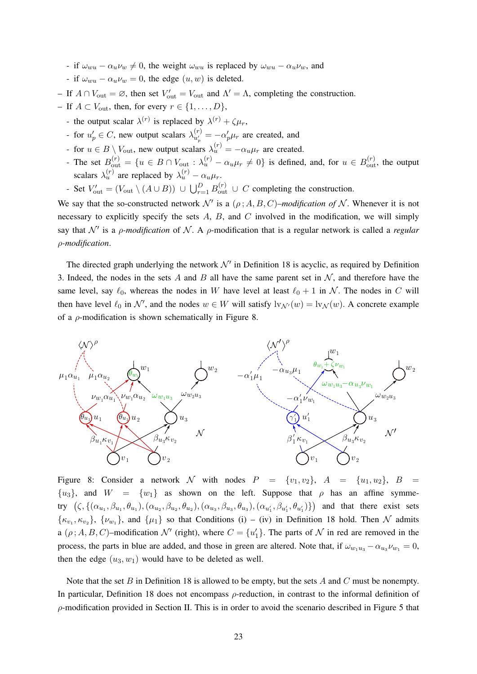- if  $\omega_{wu} \alpha_u \nu_w \neq 0$ , the weight  $\omega_{wu}$  is replaced by  $\omega_{wu} \alpha_u \nu_w$ , and
- if  $\omega_{wu} \alpha_u \nu_w = 0$ , the edge  $(u, w)$  is deleted.
- $−$  If  $A ∩ V<sub>out</sub> = ∅$ , then set  $V<sub>out</sub>' = V<sub>out</sub>$  and  $Λ' = Λ$ , completing the construction.
- If  $A \subset V_{\text{out}}$ , then, for every  $r \in \{1, \ldots, D\}$ ,
	- the output scalar  $\lambda^{(r)}$  is replaced by  $\lambda^{(r)} + \zeta \mu_r$ ,
	- for  $u'_p \in C$ , new output scalars  $\lambda_{u'_p}^{(r)}$  $\alpha_{u'_n}^{(r)} = -\alpha_p' \mu_r$  are created, and
	- Figure for  $u \in B \setminus V_{\text{out}}$ , new output scalars  $\lambda_u^{(r)} = -\alpha_u \mu_r$  are created.
	- The set  $B_{\text{out}}^{(r)} = \{u \in B \cap V_{\text{out}} : \lambda_u^{(r)} \alpha_u \mu_r \neq 0\}$  is defined, and, for  $u \in B_{\text{out}}^{(r)}$ , the output scalars  $\lambda_u^{(r)}$  are replaced by  $\lambda_u^{(r)} - \alpha_u \mu_r$ .
	- Set  $V'_{\text{out}} = (V_{\text{out}} \setminus (A \cup B)) \cup \bigcup_{r=1}^{D} B_{\text{out}}^{(r)} \cup C$  completing the construction.

We say that the so-constructed network  $\mathcal{N}'$  is a  $(\rho; A, B, C)$ *–modification of* N. Whenever it is not necessary to explicitly specify the sets  $A$ ,  $B$ , and  $C$  involved in the modification, we will simply say that  $\mathcal{N}'$  is a *ρ-modification* of  $\mathcal{N}$ . A *ρ*-modification that is a regular network is called a *regular* ρ*-modification*.

The directed graph underlying the network  $\mathcal{N}'$  in Definition 18 is acyclic, as required by Definition 3. Indeed, the nodes in the sets A and B all have the same parent set in  $\mathcal{N}$ , and therefore have the same level, say  $\ell_0$ , whereas the nodes in W have level at least  $\ell_0 + 1$  in N. The nodes in C will then have level  $\ell_0$  in  $\mathcal{N}'$ , and the nodes  $w \in W$  will satisfy  $\mathrm{lv}_{\mathcal{N}'}(w) = \mathrm{lv}_{\mathcal{N}}(w)$ . A concrete example of a  $\rho$ -modification is shown schematically in Figure 8.



Figure 8: Consider a network N with nodes  $P = \{v_1, v_2\}$ ,  $A = \{u_1, u_2\}$ ,  $B =$  ${u_3}$ , and  $W = {w_1}$  as shown on the left. Suppose that  $\rho$  has an affine symmetry  $(\zeta, \{(\alpha_{u_1}, \beta_{u_1}, \theta_{u_1}), (\alpha_{u_2}, \beta_{u_2}, \theta_{u_2}), (\alpha_{u_3}, \beta_{u_3}, \theta_{u_3}), (\alpha_{u'_1}, \beta_{u'_1}, \theta_{u'_1})\})$  and that there exist sets  $\{\kappa_{v_1}, \kappa_{v_2}\}, \{\nu_{w_1}\}\$ , and  $\{\mu_1\}$  so that Conditions (i) – (iv) in Definition 18 hold. Then N admits a  $(\rho; A, B, C)$ -modification  $\mathcal{N}'$  (right), where  $C = \{u'_1\}$ . The parts of  $\mathcal N$  in red are removed in the process, the parts in blue are added, and those in green are altered. Note that, if  $\omega_{w_1u_3} - \alpha_{u_3}\nu_{w_1} = 0$ , then the edge  $(u_3, w_1)$  would have to be deleted as well.

Note that the set B in Definition 18 is allowed to be empty, but the sets A and C must be nonempty. In particular, Definition 18 does not encompass  $\rho$ -reduction, in contrast to the informal definition of  $\rho$ -modification provided in Section II. This is in order to avoid the scenario described in Figure 5 that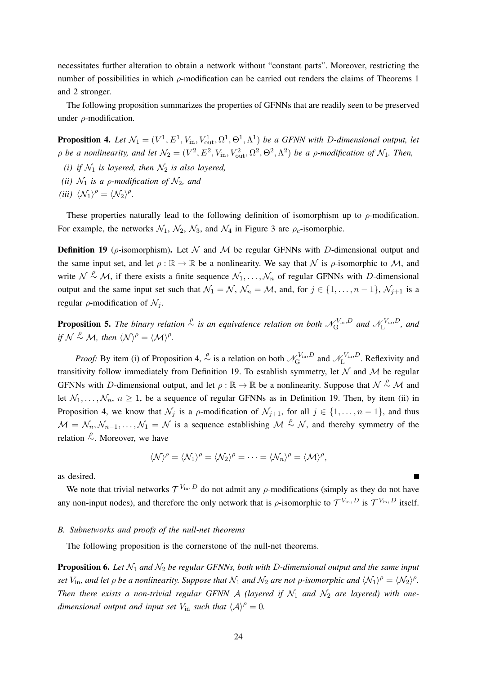necessitates further alteration to obtain a network without "constant parts". Moreover, restricting the number of possibilities in which  $\rho$ -modification can be carried out renders the claims of Theorems 1 and 2 stronger.

The following proposition summarizes the properties of GFNNs that are readily seen to be preserved under  $\rho$ -modification.

**Proposition 4.** Let  $\mathcal{N}_1 = (V^1, E^1, V_{\text{in}}, V_{\text{out}}^1, \Omega^1, \Theta^1, \Lambda^1)$  be a GFNN with D-dimensional output, let  $\rho$  *be a nonlinearity, and let*  $\mathcal{N}_2 = (V^2, E^2, V_{\text{in}}, V_{\text{out}}^2, \Omega^2, \Theta^2, \Lambda^2)$  *be a*  $\rho$ *-modification of*  $\mathcal{N}_1$ *. Then,* 

- *(i) if*  $\mathcal{N}_1$  *is layered, then*  $\mathcal{N}_2$  *is also layered,*
- *(ii)*  $\mathcal{N}_1$  *is a p-modification of*  $\mathcal{N}_2$ *, and*
- *(iii)*  $\langle \mathcal{N}_1 \rangle^{\rho} = \langle \mathcal{N}_2 \rangle^{\rho}$ *.*

These properties naturally lead to the following definition of isomorphism up to  $\rho$ -modification. For example, the networks  $\mathcal{N}_1$ ,  $\mathcal{N}_2$ ,  $\mathcal{N}_3$ , and  $\mathcal{N}_4$  in Figure 3 are  $\rho_c$ -isomorphic.

**Definition 19** ( $\rho$ -isomorphism). Let N and M be regular GFNNs with D-dimensional output and the same input set, and let  $\rho : \mathbb{R} \to \mathbb{R}$  be a nonlinearity. We say that N is  $\rho$ -isomorphic to M, and write  $N \stackrel{\rho}{\sim} M$ , if there exists a finite sequence  $\mathcal{N}_1, \ldots, \mathcal{N}_n$  of regular GFNNs with D-dimensional output and the same input set such that  $\mathcal{N}_1 = \mathcal{N}$ ,  $\mathcal{N}_n = \mathcal{M}$ , and, for  $j \in \{1, \ldots, n-1\}$ ,  $\mathcal{N}_{j+1}$  is a regular  $\rho$ -modification of  $\mathcal{N}_i$ .

**Proposition 5.** The binary relation  $\stackrel{\rho}{\sim}$  is an equivalence relation on both  $\mathcal{N}_{\rm G}^{\rm V_{\rm in},D}$  $\chi_{\rm G}^{V_{\rm in},D}$  and  $\mathscr{N}_{\rm L}^{V_{\rm in},D}$  $\int_{L}^{V_{\text{in}},D}$ , and *if*  $\mathcal{N} \overset{\rho}{\sim} \mathcal{M}$ *, then*  $\langle \mathcal{N} \rangle^{\rho} = \langle \mathcal{M} \rangle^{\rho}$ *.* 

*Proof:* By item (i) of Proposition 4,  $\stackrel{\rho}{\sim}$  is a relation on both  $\mathcal{N}_{\rm G}^{V_{\rm in},D}$  $\chi_{\text{G}}^{V_{\text{in}},D}$  and  $\mathscr{N}_{\text{L}}^{V_{\text{in}},D}$  $L^{\nu_{\rm in}, D}$ . Reflexivity and transitivity follow immediately from Definition 19. To establish symmetry, let  $N$  and  $M$  be regular GFNNs with D-dimensional output, and let  $\rho : \mathbb{R} \to \mathbb{R}$  be a nonlinearity. Suppose that  $\mathcal{N} \stackrel{\rho}{\sim} \mathcal{M}$  and let  $\mathcal{N}_1, \ldots, \mathcal{N}_n, n \ge 1$ , be a sequence of regular GFNNs as in Definition 19. Then, by item (ii) in Proposition 4, we know that  $\mathcal{N}_j$  is a  $\rho$ -modification of  $\mathcal{N}_{j+1}$ , for all  $j \in \{1, \ldots, n-1\}$ , and thus  $\mathcal{M} = \mathcal{N}_n, \mathcal{N}_{n-1}, \ldots, \mathcal{N}_1 = \mathcal{N}$  is a sequence establishing  $\mathcal{M} \stackrel{\rho}{\sim} \mathcal{N}$ , and thereby symmetry of the relation  $\stackrel{\rho}{\sim}$ . Moreover, we have

$$
\langle \mathcal{N} \rangle^{\rho} = \langle \mathcal{N}_1 \rangle^{\rho} = \langle \mathcal{N}_2 \rangle^{\rho} = \cdots = \langle \mathcal{N}_n \rangle^{\rho} = \langle \mathcal{M} \rangle^{\rho},
$$

as desired.

We note that trivial networks  $\mathcal{T}^{V_{\text{in}}, D}$  do not admit any  $\rho$ -modifications (simply as they do not have any non-input nodes), and therefore the only network that is  $\rho$ -isomorphic to  $\mathcal{T}^{V_{\text{in}}},D$  is  $\mathcal{T}^{V_{\text{in}}},D$  itself.

#### *B. Subnetworks and proofs of the null-net theorems*

The following proposition is the cornerstone of the null-net theorems.

**Proposition 6.** Let  $\mathcal{N}_1$  and  $\mathcal{N}_2$  be regular GFNNs, both with D-dimensional output and the same input *set*  $V_{\text{in}}$ , and let  $\rho$  be a nonlinearity. Suppose that  $\mathcal{N}_1$  and  $\mathcal{N}_2$  are not  $\rho$ -isomorphic and  $\langle \mathcal{N}_1 \rangle^\rho = \langle \mathcal{N}_2 \rangle^\rho$ . *Then there exists a non-trivial regular GFNN A (layered if*  $N_1$  *and*  $N_2$  *are layered) with onedimensional output and input set*  $V_{\text{in}}$  *such that*  $\langle A \rangle^{\rho} = 0$ *.*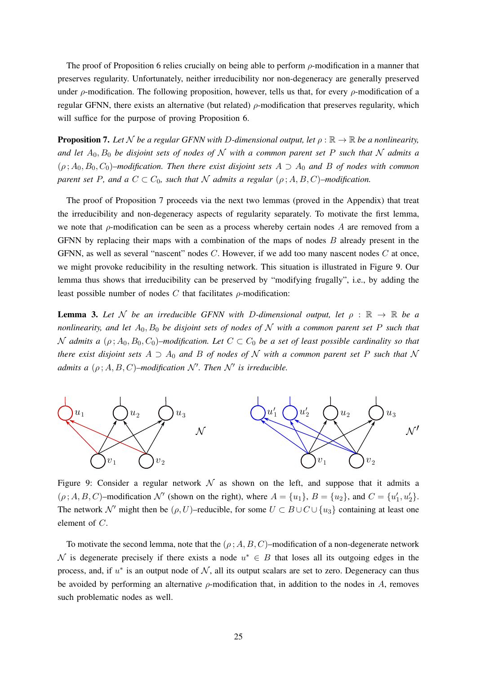The proof of Proposition 6 relies crucially on being able to perform  $\rho$ -modification in a manner that preserves regularity. Unfortunately, neither irreducibility nor non-degeneracy are generally preserved under  $\rho$ -modification. The following proposition, however, tells us that, for every  $\rho$ -modification of a regular GFNN, there exists an alternative (but related)  $ρ$ -modification that preserves regularity, which will suffice for the purpose of proving Proposition 6.

**Proposition 7.** Let N be a regular GFNN with D-dimensional output, let  $\rho : \mathbb{R} \to \mathbb{R}$  be a nonlinearity, and let  $A_0$ ,  $B_0$  be disjoint sets of nodes of N with a common parent set P such that N admits a  $(\rho, A_0, B_0, C_0)$ –modification. Then there exist disjoint sets  $A \supset A_0$  and B of nodes with common *parent set* P, and a  $C \subset C_0$ , such that N admits a regular  $(\rho; A, B, C)$ –modification.

The proof of Proposition 7 proceeds via the next two lemmas (proved in the Appendix) that treat the irreducibility and non-degeneracy aspects of regularity separately. To motivate the first lemma, we note that  $\rho$ -modification can be seen as a process whereby certain nodes A are removed from a GFNN by replacing their maps with a combination of the maps of nodes  $B$  already present in the GFNN, as well as several "nascent" nodes C. However, if we add too many nascent nodes C at once, we might provoke reducibility in the resulting network. This situation is illustrated in Figure 9. Our lemma thus shows that irreducibility can be preserved by "modifying frugally", i.e., by adding the least possible number of nodes  $C$  that facilitates  $\rho$ -modification:

**Lemma 3.** Let N be an irreducible GFNN with D-dimensional output, let  $\rho : \mathbb{R} \to \mathbb{R}$  be a *nonlinearity, and let*  $A_0$ ,  $B_0$  *be disjoint sets of nodes of* N *with a common parent set* P *such that* N admits a  $(\rho; A_0, B_0, C_0)$ –modification. Let  $C \subset C_0$  be a set of least possible cardinality so that *there exist disjoint sets*  $A \supset A_0$  *and*  $B$  *of nodes of*  $N$  *with a common parent set*  $P$  *such that*  $N$ *admits a*  $(\rho; A, B, C)$ –modification  $\mathcal{N}'$ . Then  $\mathcal{N}'$  is irreducible.



Figure 9: Consider a regular network  $\mathcal N$  as shown on the left, and suppose that it admits a  $(\rho; A, B, C)$ –modification  $\mathcal{N}'$  (shown on the right), where  $A = \{u_1\}$ ,  $B = \{u_2\}$ , and  $C = \{u'_1, u'_2\}$ . The network N' might then be  $(\rho, U)$ –reducible, for some  $U \subset B \cup C \cup \{u_3\}$  containing at least one element of C.

To motivate the second lemma, note that the  $(\rho; A, B, C)$ –modification of a non-degenerate network N is degenerate precisely if there exists a node  $u^* \in B$  that loses all its outgoing edges in the process, and, if  $u^*$  is an output node of  $N$ , all its output scalars are set to zero. Degeneracy can thus be avoided by performing an alternative  $\rho$ -modification that, in addition to the nodes in A, removes such problematic nodes as well.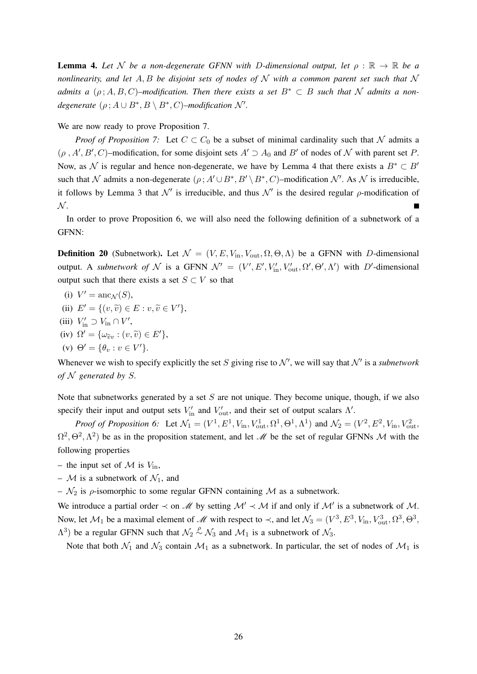**Lemma 4.** Let N be a non-degenerate GFNN with D-dimensional output, let  $\rho : \mathbb{R} \to \mathbb{R}$  be a *nonlinearity, and let* A, B *be disjoint sets of nodes of* N *with a common parent set such that* N *admits a*  $(\rho; A, B, C)$ –modification. Then there exists a set  $B^* \subset B$  such that N admits a non*degenerate*  $(\rho : A \cup B^*, B \setminus B^*, C)$ –*modification*  $\mathcal{N}'$ .

We are now ready to prove Proposition 7.

*Proof of Proposition 7:* Let  $C \subset C_0$  be a subset of minimal cardinality such that N admits a  $(\rho, A', B', C)$ –modification, for some disjoint sets  $A' \supset A_0$  and  $B'$  of nodes of N with parent set P. Now, as N is regular and hence non-degenerate, we have by Lemma 4 that there exists a  $B^* \subset B'$ such that N admits a non-degenerate  $(\rho : A' \cup B^*, B' \setminus B^*, C)$ -modification N'. As N is irreducible, it follows by Lemma 3 that  $\mathcal{N}'$  is irreducible, and thus  $\mathcal{N}'$  is the desired regular  $\rho$ -modification of  $\mathcal{N}.$ 

In order to prove Proposition 6, we will also need the following definition of a subnetwork of a GFNN:

**Definition 20** (Subnetwork). Let  $\mathcal{N} = (V, E, V_{\text{in}}, V_{\text{out}}, \Omega, \Theta, \Lambda)$  be a GFNN with D-dimensional output. A *subnetwork of* N is a GFNN  $\mathcal{N}' = (V', E', V'_{\text{in}}, V'_{\text{out}}, \Omega', \Theta', \Lambda')$  with D'-dimensional output such that there exists a set  $S \subset V$  so that

- (i)  $V' = \text{anc}_{\mathcal{N}}(S)$ ,
- (ii)  $E' = \{(v, \tilde{v}) \in E : v, \tilde{v} \in V'\},$
- (iii)  $V'_{\text{in}} \supset V_{\text{in}} \cap V'$ ,
- (iv)  $\Omega' = {\omega_{\widetilde{v}v} : (v, \widetilde{v}) \in E'}$ ,
- (v)  $\Theta' = {\theta_v : v \in V'}$ .

Whenever we wish to specify explicitly the set S giving rise to  $\mathcal{N}'$ , we will say that  $\mathcal{N}'$  is a *subnetwork of* N *generated by* S*.*

Note that subnetworks generated by a set  $S$  are not unique. They become unique, though, if we also specify their input and output sets  $V'_{\text{in}}$  and  $V'_{\text{out}}$ , and their set of output scalars  $\Lambda'$ .

*Proof of Proposition 6:* Let  $\mathcal{N}_1 = (V^1, E^1, V_{\text{in}}, V_{\text{out}}^1, \Omega^1, \Theta^1, \Lambda^1)$  and  $\mathcal{N}_2 = (V^2, E^2, V_{\text{in}}, V_{\text{out}}^2, \Omega^1, \Theta^1, \Lambda^1)$  $\Omega^2$ ,  $\Theta^2$ ,  $\Lambda^2$ ) be as in the proposition statement, and let M be the set of regular GFNNs M with the following properties

– the input set of  $\mathcal M$  is  $V_{\text{in}}$ ,

–  $M$  is a subnetwork of  $\mathcal{N}_1$ , and

–  $\mathcal{N}_2$  is  $\rho$ -isomorphic to some regular GFNN containing  $\mathcal M$  as a subnetwork.

We introduce a partial order  $\prec$  on M by setting  $\mathcal{M}' \prec \mathcal{M}$  if and only if  $\mathcal{M}'$  is a subnetwork of M. Now, let  $M_1$  be a maximal element of M with respect to  $\prec$ , and let  $\mathcal{N}_3 = (V^3, E^3, V_{\rm in}, V_{\rm out}^3, \Omega^3, \Theta^3,$  $\Lambda$ <sup>3</sup>) be a regular GFNN such that  $\mathcal{N}_2 \overset{\rho}{\sim} \mathcal{N}_3$  and  $\mathcal{M}_1$  is a subnetwork of  $\mathcal{N}_3$ .

Note that both  $\mathcal{N}_1$  and  $\mathcal{N}_3$  contain  $\mathcal{M}_1$  as a subnetwork. In particular, the set of nodes of  $\mathcal{M}_1$  is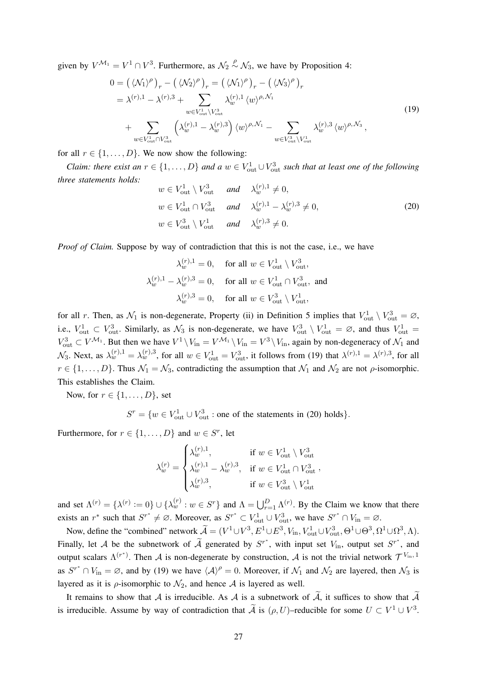given by  $V^{\mathcal{M}_1} = V^1 \cap V^3$ . Furthermore, as  $\mathcal{N}_2 \overset{\rho}{\sim} \mathcal{N}_3$ , we have by Proposition 4:

$$
0 = \left(\langle \mathcal{N}_1 \rangle^\rho\right)_r - \left(\langle \mathcal{N}_2 \rangle^\rho\right)_r = \left(\langle \mathcal{N}_1 \rangle^\rho\right)_r - \left(\langle \mathcal{N}_3 \rangle^\rho\right)_r
$$
  
\n
$$
= \lambda^{(r),1} - \lambda^{(r),3} + \sum_{w \in V_{\text{out}}^1 \setminus V_{\text{out}}^3} \lambda_w^{(r),1} \langle w \rangle^{\rho,\mathcal{N}_1}
$$
  
\n
$$
+ \sum_{w \in V_{\text{out}}^1 \cap V_{\text{out}}^3} \left(\lambda_w^{(r),1} - \lambda_w^{(r),3}\right) \langle w \rangle^{\rho,\mathcal{N}_1} - \sum_{w \in V_{\text{out}}^3 \setminus V_{\text{out}}^1} \lambda_w^{(r),3} \langle w \rangle^{\rho,\mathcal{N}_3},
$$
\n(19)

for all  $r \in \{1, \ldots, D\}$ . We now show the following:

*Claim: there exist an*  $r \in \{1, ..., D\}$  *and a*  $w \in V_{\text{out}}^1 \cup V_{\text{out}}^3$  *such that at least one of the following three statements holds:*

$$
w \in V_{\text{out}}^1 \setminus V_{\text{out}}^3 \quad \text{and} \quad \lambda_w^{(r),1} \neq 0,
$$
  
\n
$$
w \in V_{\text{out}}^1 \cap V_{\text{out}}^3 \quad \text{and} \quad \lambda_w^{(r),1} - \lambda_w^{(r),3} \neq 0,
$$
  
\n
$$
w \in V_{\text{out}}^3 \setminus V_{\text{out}}^1 \quad \text{and} \quad \lambda_w^{(r),3} \neq 0.
$$
\n(20)

*Proof of Claim.* Suppose by way of contradiction that this is not the case, i.e., we have

$$
\lambda_w^{(r),1} = 0, \quad \text{for all } w \in V_{\text{out}}^1 \setminus V_{\text{out}}^3,
$$
  

$$
\lambda_w^{(r),1} - \lambda_w^{(r),3} = 0, \quad \text{for all } w \in V_{\text{out}}^1 \cap V_{\text{out}}^3, \text{ and}
$$
  

$$
\lambda_w^{(r),3} = 0, \quad \text{for all } w \in V_{\text{out}}^3 \setminus V_{\text{out}}^1,
$$

for all r. Then, as  $\mathcal{N}_1$  is non-degenerate, Property (ii) in Definition 5 implies that  $V_{\text{out}}^1 \setminus V_{\text{out}}^3 = \emptyset$ , i.e.,  $V_{\text{out}}^1 \subset V_{\text{out}}^3$ . Similarly, as  $\mathcal{N}_3$  is non-degenerate, we have  $V_{\text{out}}^3 \setminus V_{\text{out}}^1 = \emptyset$ , and thus  $V_{\text{out}}^1 =$  $V_{\text{out}}^3 \subset V^{\mathcal{M}_1}$ . But then we have  $V^1 \setminus V_{\text{in}} = V^{\mathcal{M}_1} \setminus V_{\text{in}} = V^3 \setminus V_{\text{in}}$ , again by non-degeneracy of  $\mathcal{N}_1$  and  $\mathcal{N}_3$ . Next, as  $\lambda_w^{(r),1} = \lambda_w^{(r),3}$ , for all  $w \in V_{\text{out}}^1 = V_{\text{out}}^3$ , it follows from (19) that  $\lambda^{(r),1} = \lambda^{(r),3}$ , for all  $r \in \{1, \ldots, D\}$ . Thus  $\mathcal{N}_1 = \mathcal{N}_3$ , contradicting the assumption that  $\mathcal{N}_1$  and  $\mathcal{N}_2$  are not  $\rho$ -isomorphic. This establishes the Claim.

Now, for  $r \in \{1, \ldots, D\}$ , set

 $S^r = \{w \in V_{\text{out}}^1 \cup V_{\text{out}}^3 : \text{one of the statements in (20) holds}\}.$ 

Furthermore, for  $r \in \{1, ..., D\}$  and  $w \in S^r$ , let

$$
\lambda_w^{(r)} = \begin{cases}\n\lambda_w^{(r),1}, & \text{if } w \in V_{\text{out}}^1 \setminus V_{\text{out}}^3 \\
\lambda_w^{(r),1} - \lambda_w^{(r),3}, & \text{if } w \in V_{\text{out}}^1 \cap V_{\text{out}}^3 \\
\lambda_w^{(r),3}, & \text{if } w \in V_{\text{out}}^3 \setminus V_{\text{out}}^1\n\end{cases}
$$

and set  $\Lambda^{(r)} = {\lambda^{(r)}} := 0$   $\cup$   $\{\lambda_w^{(r)} : w \in S^r\}$  and  $\Lambda = \bigcup_{r=1}^D \Lambda^{(r)}$ . By the Claim we know that there exists an  $r^*$  such that  $S^{r^*} \neq \emptyset$ . Moreover, as  $S^{r^*} \subset V_{\text{out}}^1 \cup V_{\text{out}}^3$ , we have  $S^{r^*} \cap V_{\text{in}} = \emptyset$ .

Now, define the "combined" network  $\widetilde{\mathcal{A}} = (V^1 \cup V^3, E^1 \cup E^3, V_{\text{in}}, V_{\text{out}}^1 \cup V_{\text{out}}^3, \Theta^1 \cup \Theta^3, \Omega^1 \cup \Omega^3, \Lambda)$ . Finally, let A be the subnetwork of  $\tilde{A}$  generated by  $S^{r^*}$ , with input set  $V_{\text{in}}$ , output set  $S^{r^*}$ , and output scalars  $\Lambda^{(r^*)}$ . Then A is non-degenerate by construction, A is not the trivial network  $\mathcal{T}^{V_{\text{in}},1}$ as  $S^{r^*} \cap V_{\text{in}} = \emptyset$ , and by (19) we have  $\langle A \rangle^{\rho} = 0$ . Moreover, if  $\mathcal{N}_1$  and  $\mathcal{N}_2$  are layered, then  $\mathcal{N}_3$  is layered as it is  $\rho$ -isomorphic to  $\mathcal{N}_2$ , and hence A is layered as well.

It remains to show that A is irreducible. As A is a subnetwork of  $\tilde{A}$ , it suffices to show that  $\tilde{A}$ is irreducible. Assume by way of contradiction that  $\tilde{A}$  is  $(\rho, U)$ –reducible for some  $U \subset V^1 \cup V^3$ .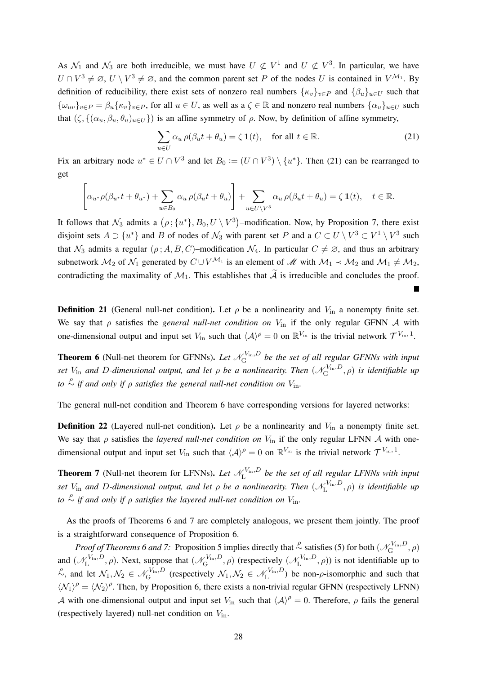As  $\mathcal{N}_1$  and  $\mathcal{N}_3$  are both irreducible, we must have  $U \not\subset V^1$  and  $U \not\subset V^3$ . In particular, we have  $U \cap V^3 \neq \emptyset$ ,  $U \setminus V^3 \neq \emptyset$ , and the common parent set P of the nodes U is contained in  $V^{\mathcal{M}_1}$ . By definition of reducibility, there exist sets of nonzero real numbers  $\{\kappa_v\}_{v\in P}$  and  $\{\beta_u\}_{u\in U}$  such that  ${\{\omega_{uv}\}}_{v\in P} = \beta_u{\{\kappa_v\}}_{v\in P}$ , for all  $u \in U$ , as well as  $a \in \mathbb{R}$  and nonzero real numbers  ${\{\alpha_u\}}_{u\in U}$  such that  $(\zeta, \{(\alpha_u, \beta_u, \theta_u)_{u \in U}\})$  is an affine symmetry of  $\rho$ . Now, by definition of affine symmetry,

$$
\sum_{u \in U} \alpha_u \rho(\beta_u t + \theta_u) = \zeta \mathbf{1}(t), \quad \text{for all } t \in \mathbb{R}.
$$
 (21)

Fix an arbitrary node  $u^* \in U \cap V^3$  and let  $B_0 := (U \cap V^3) \setminus \{u^*\}$ . Then (21) can be rearranged to get

$$
\left[\alpha_{u^*}\rho(\beta_{u^*}t+\theta_{u^*})+\sum_{u\in B_0}\alpha_u\,\rho(\beta_{u}t+\theta_{u})\right]+\sum_{u\in U\backslash V^3}\alpha_u\,\rho(\beta_{u}t+\theta_{u})=\zeta\,\mathbf{1}(t),\quad t\in\mathbb{R}.
$$

It follows that  $\mathcal{N}_3$  admits a  $(\rho; \{u^*\}, B_0, U \setminus V^3)$ -modification. Now, by Proposition 7, there exist disjoint sets  $A \supset \{u^*\}$  and B of nodes of  $\mathcal{N}_3$  with parent set P and a  $C \subset U \setminus V^3 \subset V^1 \setminus V^3$  such that  $\mathcal{N}_3$  admits a regular  $(\rho; A, B, C)$ –modification  $\mathcal{N}_4$ . In particular  $C \neq \emptyset$ , and thus an arbitrary subnetwork  $M_2$  of  $\mathcal{N}_1$  generated by  $C \cup V^{\mathcal{M}_1}$  is an element of  $\mathcal{M}$  with  $\mathcal{M}_1 \prec \mathcal{M}_2$  and  $\mathcal{M}_1 \neq \mathcal{M}_2$ , contradicting the maximality of  $\mathcal{M}_1$ . This establishes that  $\widetilde{\mathcal{A}}$  is irreducible and concludes the proof.

**Definition 21** (General null-net condition). Let  $\rho$  be a nonlinearity and  $V_{\text{in}}$  a nonempty finite set. We say that  $\rho$  satisfies the *general null-net condition on*  $V_{\text{in}}$  if the only regular GFNN A with one-dimensional output and input set  $V_{\text{in}}$  such that  $\langle A \rangle^{\rho} = 0$  on  $\mathbb{R}^{V_{\text{in}}}$  is the trivial network  $\mathcal{T}^{V_{\text{in}}$ , 1.

**Theorem 6** (Null-net theorem for GFNNs). Let  $\mathcal{N}_{G}^{V_{\text{in}},D}$  $\hat{G}^{\text{Vin},D}_{\text{G}}$  be the set of all regular GFNNs with input *set*  $V_{\text{in}}$  and D-dimensional output, and let  $\rho$  be a nonlinearity. Then  $(\mathscr{N}_{\text{G}}^{V_{\text{in}}},D)$  $\zeta_{\mathrm{G}}^{\mathrm{Vin},D},\rho)$  is identifiable up *to*  $\stackrel{\rho}{\sim}$  *if and only if*  $\rho$  *satisfies the general null-net condition on*  $V_{\rm in}$ *.* 

The general null-net condition and Theorem 6 have corresponding versions for layered networks:

**Definition 22** (Layered null-net condition). Let  $\rho$  be a nonlinearity and  $V_{in}$  a nonempty finite set. We say that  $\rho$  satisfies the *layered null-net condition on*  $V_{in}$  if the only regular LFNN A with onedimensional output and input set  $V_{\text{in}}$  such that  $\langle A \rangle^{\rho} = 0$  on  $\mathbb{R}^{V_{\text{in}}}$  is the trivial network  $\mathcal{T}^{V_{\text{in}},1}$ .

**Theorem 7** (Null-net theorem for LFNNs). Let  $\mathcal{N}_{L}^{V_{\text{in}},D}$  $L_{\text{L}}^{\text{V}_{\text{in}},D}$  be the set of all regular LFNNs with input *set*  $V_{\text{in}}$  and D-dimensional output, and let  $\rho$  be a nonlinearity. Then  $(\mathscr{N}_{\text{L}}^{V_{\text{in}},D})$  $L^{V_{\text{in}},D}$ ,  $\rho$ ) *is identifiable up to*  $\stackrel{\rho}{\sim}$  *if and only if*  $\rho$  *satisfies the layered null-net condition on*  $V_{\rm in}$ *.* 

As the proofs of Theorems 6 and 7 are completely analogous, we present them jointly. The proof is a straightforward consequence of Proposition 6.

*Proof of Theorems 6 and 7:* Proposition 5 implies directly that  $\stackrel{\rho}{\sim}$  satisfies (5) for both ( $\mathcal{N}_{\rm G}^{V_{\rm in},D}$  $\mathcal{L}_{\mathrm{G}}^{\mathrm{V_{in}},D},\rho)$ and  $(\mathcal{N}_{\mathrm{L}}^{V_{\mathrm{in}},D})$  $L_{\text{L}}^{\text{V}_{\text{in}},D}$ ,  $\rho$ ). Next, suppose that  $(\mathscr{N}_{\text{G}}^{\text{V}_{\text{in}},D})$  $\mathcal{L}_{\text{G}}^{V_{\text{in}},D}, \rho$ ) (respectively  $(\mathcal{N}_{\text{L}}^{V_{\text{in}},D})$  $L^{V_{\text{in}}, D}$ ,  $\rho$ ) is not identifiable up to  $\mathcal{L}$ , and let  $\mathcal{N}_1, \mathcal{N}_2 \in \mathcal{N}_{\mathrm{G}}^{V_{\mathrm{in}}, D}$  $\mathcal{N}_{\text{G}}^{V_{\text{in}},D}$  (respectively  $\mathcal{N}_1, \mathcal{N}_2 \in \mathcal{N}_{\text{L}}^{V_{\text{in}},D}$  $L^{V_{\text{in}}, D}$ ) be non- $\rho$ -isomorphic and such that  $\langle \mathcal{N}_1 \rangle^{\rho} = \langle \mathcal{N}_2 \rangle^{\rho}$ . Then, by Proposition 6, there exists a non-trivial regular GFNN (respectively LFNN) A with one-dimensional output and input set  $V_{\text{in}}$  such that  $\langle A \rangle^{\rho} = 0$ . Therefore,  $\rho$  fails the general (respectively layered) null-net condition on  $V_{\text{in}}$ .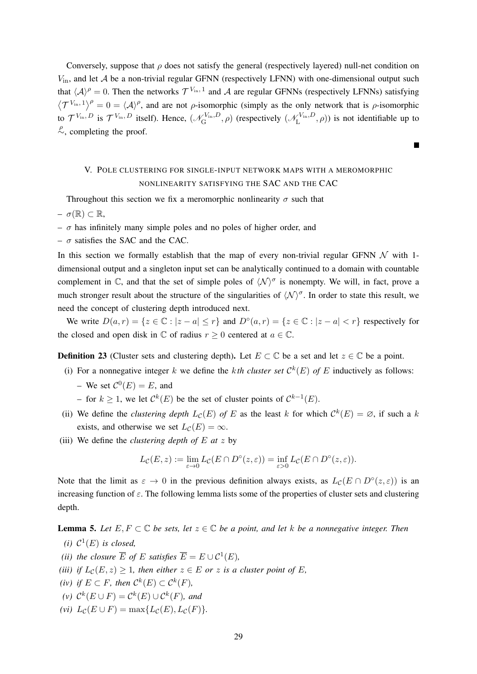Conversely, suppose that  $\rho$  does not satisfy the general (respectively layered) null-net condition on  $V_{\text{in}}$ , and let A be a non-trivial regular GFNN (respectively LFNN) with one-dimensional output such that  $\langle A \rangle^{\rho} = 0$ . Then the networks  $\mathcal{T}^{V_{\text{in}},1}$  and A are regular GFNNs (respectively LFNNs) satisfying  $\langle \mathcal{T}^{V_{\text{in}},1} \rangle^{\rho} = 0 = \langle \mathcal{A} \rangle^{\rho}$ , and are not  $\rho$ -isomorphic (simply as the only network that is  $\rho$ -isomorphic to  $\mathcal{T}^{V_{\text{in}}, D}$  is  $\mathcal{T}^{V_{\text{in}}, D}$  itself). Hence,  $(\mathcal{N}_{\text{G}}^{V_{\text{in}}, D})$  $\mathcal{L}_{\text{G}}^{V_{\text{in}},D}, \rho$ ) (respectively  $(\mathcal{N}_{\text{L}}^{V_{\text{in}},D})$  $L^{V_{\text{in}}, D}$ ,  $\rho$ ) is not identifiable up to  $\stackrel{\rho}{\sim}$ , completing the proof.

## V. POLE CLUSTERING FOR SINGLE-INPUT NETWORK MAPS WITH A MEROMORPHIC NONLINEARITY SATISFYING THE SAC AND THE CAC

Throughout this section we fix a meromorphic nonlinearity  $\sigma$  such that  $– \sigma(\mathbb{R}) \subset \mathbb{R}$ ,

- $\sigma$  has infinitely many simple poles and no poles of higher order, and
- $\sigma$  satisfies the SAC and the CAC.

In this section we formally establish that the map of every non-trivial regular GFNN  $\mathcal N$  with 1dimensional output and a singleton input set can be analytically continued to a domain with countable complement in  $\mathbb C$ , and that the set of simple poles of  $\langle \mathcal N \rangle^{\sigma}$  is nonempty. We will, in fact, prove a much stronger result about the structure of the singularities of  $\langle \mathcal{N} \rangle^{\sigma}$ . In order to state this result, we need the concept of clustering depth introduced next.

We write  $D(a,r) = \{z \in \mathbb{C} : |z - a| \le r\}$  and  $D^{\circ}(a,r) = \{z \in \mathbb{C} : |z - a| < r\}$  respectively for the closed and open disk in  $\mathbb C$  of radius  $r \geq 0$  centered at  $a \in \mathbb C$ .

**Definition 23** (Cluster sets and clustering depth). Let  $E \subset \mathbb{C}$  be a set and let  $z \in \mathbb{C}$  be a point.

- (i) For a nonnegative integer k we define the kth cluster set  $\mathcal{C}^k(E)$  of E inductively as follows: - We set  $\mathcal{C}^0(E) = E$ , and
	- − for  $k \ge 1$ , we let  $\mathcal{C}^k(E)$  be the set of cluster points of  $\mathcal{C}^{k-1}(E)$ .
- (ii) We define the *clustering depth*  $L_{\mathcal{C}}(E)$  of E as the least k for which  $\mathcal{C}^k(E) = \emptyset$ , if such a k exists, and otherwise we set  $L_c(E) = \infty$ .
- (iii) We define the *clustering depth of* E *at* z by

$$
L_{\mathcal{C}}(E, z) := \lim_{\varepsilon \to 0} L_{\mathcal{C}}(E \cap D^{\circ}(z, \varepsilon)) = \inf_{\varepsilon > 0} L_{\mathcal{C}}(E \cap D^{\circ}(z, \varepsilon)).
$$

Note that the limit as  $\varepsilon \to 0$  in the previous definition always exists, as  $L_{\mathcal{C}}(E \cap D^{\circ}(z, \varepsilon))$  is an increasing function of  $\varepsilon$ . The following lemma lists some of the properties of cluster sets and clustering depth.

**Lemma 5.** Let  $E, F \subset \mathbb{C}$  be sets, let  $z \in \mathbb{C}$  be a point, and let k be a nonnegative integer. Then

- (*i*)  $\mathcal{C}^1(E)$  *is closed*,
- *(ii) the closure*  $\overline{E}$  *of*  $E$  *satisfies*  $\overline{E} = E \cup C^1(E)$ *,*
- *(iii) if*  $L_c(E, z) \geq 1$ *, then either*  $z \in E$  *or*  $z$  *is a cluster point of*  $E$ *,*
- *(iv) if*  $E \subset F$ *, then*  $C^k(E) \subset C^k(F)$ *,*
- $(\nu)$   $\mathcal{C}^k(E \cup F) = \mathcal{C}^k(E) \cup \mathcal{C}^k(F)$ *, and*
- $(vi)$   $L_{\mathcal{C}}(E \cup F) = \max\{L_{\mathcal{C}}(E), L_{\mathcal{C}}(F)\}.$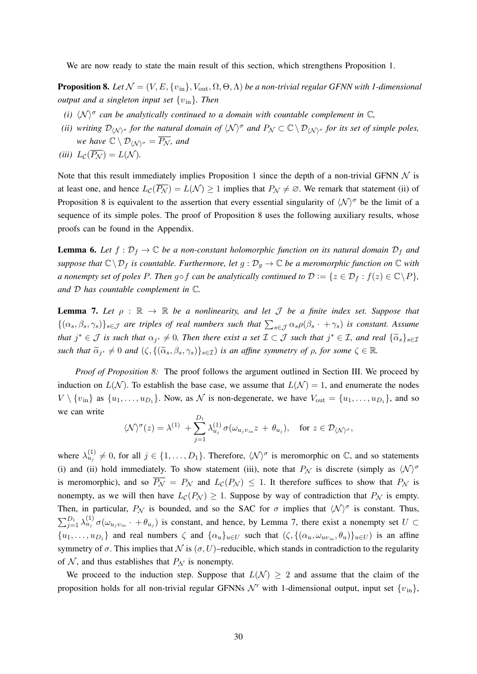We are now ready to state the main result of this section, which strengthens Proposition 1.

**Proposition 8.** Let  $\mathcal{N} = (V, E, \{v_{in}\}, V_{out}, \Omega, \Theta, \Lambda)$  be a non-trivial regular GFNN with 1-dimensional *output and a singleton input set* {vin}*. Then*

- *(i)*  $\langle N \rangle^{\sigma}$  can be analytically continued to a domain with countable complement in  $\mathbb{C}$ ,
- *(ii) writing*  $\mathcal{D}_{\langle \mathcal{N} \rangle^{\sigma}}$  *for the natural domain of*  $\langle \mathcal{N} \rangle^{\sigma}$  *and*  $P_{\mathcal{N}} \subset \mathbb{C} \setminus \mathcal{D}_{\langle \mathcal{N} \rangle^{\sigma}}$  *for its set of simple poles, we have*  $\mathbb{C} \setminus \mathcal{D}_{\langle \mathcal{N} \rangle^{\sigma}} = \overline{P_{\mathcal{N}}}$ *, and*

$$
(iii) L_{\mathcal{C}}(\overline{P_{\mathcal{N}}}) = L(\mathcal{N}).
$$

Note that this result immediately implies Proposition 1 since the depth of a non-trivial GFNN  $\mathcal N$  is at least one, and hence  $L_{\mathcal{C}}(\overline{P_{\mathcal{N}}}) = L(\mathcal{N}) \geq 1$  implies that  $P_{\mathcal{N}} \neq \emptyset$ . We remark that statement (ii) of Proposition 8 is equivalent to the assertion that every essential singularity of  $\langle N \rangle^{\sigma}$  be the limit of a sequence of its simple poles. The proof of Proposition 8 uses the following auxiliary results, whose proofs can be found in the Appendix.

**Lemma 6.** Let  $f: \mathcal{D}_f \to \mathbb{C}$  be a non-constant holomorphic function on its natural domain  $\mathcal{D}_f$  and *suppose that*  $\mathbb{C}\setminus\mathcal{D}_f$  *is countable. Furthermore, let*  $g:\mathcal{D}_g\to\mathbb{C}$  *be a meromorphic function on*  $\mathbb C$  *with a* nonempty set of poles P. Then  $g \circ f$  can be analytically continued to  $\mathcal{D} := \{z \in \mathcal{D}_f : f(z) \in \mathbb{C} \backslash P\}$ , *and* D *has countable complement in* C*.*

**Lemma 7.** Let  $\rho : \mathbb{R} \to \mathbb{R}$  be a nonlinearity, and let  $\mathcal{J}$  be a finite index set. Suppose that  $\{(\alpha_s, \beta_s, \gamma_s)\}_{s \in J}$  are triples of real numbers such that  $\sum_{s \in J} \alpha_s \rho(\beta_s + \gamma_s)$  is constant. Assume  $x^* + \mathcal{J}$  *is such that*  $\alpha_{j^*} \neq 0$ . Then there exist a set  $\mathcal{I} \subset \mathcal{J}$  such that  $j^* \in \mathcal{I}$ , and real  $\{\widetilde{\alpha}_s\}_{s \in \mathcal{I}}$  $such that \ \widetilde{\alpha}_{j^*} \neq 0 \ and \ (\zeta, \{(\widetilde{\alpha}_s, \beta_s, \gamma_s)\}_{s \in \mathcal{I}}) \ \ is \ an \ affine \ symmetry \ of \ \rho, \ for \ some \ \ \zeta \in \mathbb{R}$ .

*Proof of Proposition 8:* The proof follows the argument outlined in Section III. We proceed by induction on  $L(\mathcal{N})$ . To establish the base case, we assume that  $L(\mathcal{N}) = 1$ , and enumerate the nodes  $V \setminus \{v_{\text{in}}\}$  as  $\{u_1, \ldots, u_{D_1}\}\$ . Now, as N is non-degenerate, we have  $V_{\text{out}} = \{u_1, \ldots, u_{D_1}\}\$ , and so we can write

$$
\langle \mathcal{N} \rangle^{\sigma}(z) = \lambda^{(1)} + \sum_{j=1}^{D_1} \lambda_{u_j}^{(1)} \sigma(\omega_{u_j v_{\text{in}}} z + \theta_{u_j}), \quad \text{for } z \in \mathcal{D}_{\langle \mathcal{N} \rangle^{\sigma}},
$$

where  $\lambda_{u_j}^{(1)} \neq 0$ , for all  $j \in \{1, ..., D_1\}$ . Therefore,  $\langle \mathcal{N} \rangle^{\sigma}$  is meromorphic on  $\mathbb{C}$ , and so statements (i) and (ii) hold immediately. To show statement (iii), note that  $P_N$  is discrete (simply as  $\langle N \rangle^{\sigma}$ is meromorphic), and so  $\overline{P_{\mathcal{N}}} = P_{\mathcal{N}}$  and  $L_{\mathcal{C}}(P_{\mathcal{N}}) \leq 1$ . It therefore suffices to show that  $P_{\mathcal{N}}$  is nonempty, as we will then have  $L_{\mathcal{C}}(P_{\mathcal{N}}) \geq 1$ . Suppose by way of contradiction that  $P_{\mathcal{N}}$  is empty. Then, in particular,  $P_N$  is bounded, and so the SAC for  $\sigma$  implies that  $\langle N \rangle^{\sigma}$  is constant. Thus,  $\sum_{j=1}^{D_1} \lambda_{u_j}^{(1)} \sigma(\omega_{u_j v_{\rm in}} \cdot + \theta_{u_j})$  is constant, and hence, by Lemma 7, there exist a nonempty set  $U \subset$  $\{u_1,\ldots,u_{D_1}\}\$  and real numbers  $\zeta$  and  $\{\alpha_u\}_{u\in U}\$  such that  $(\zeta,\{(\alpha_u,\omega_{uv_{in}},\theta_u)\}_{u\in U})$  is an affine symmetry of  $\sigma$ . This implies that  $\mathcal N$  is  $(\sigma, U)$ –reducible, which stands in contradiction to the regularity of  $N$ , and thus establishes that  $P_N$  is nonempty.

We proceed to the induction step. Suppose that  $L(\mathcal{N}) \geq 2$  and assume that the claim of the proposition holds for all non-trivial regular GFNNs  $\mathcal{N}'$  with 1-dimensional output, input set  $\{v_{\text{in}}\},$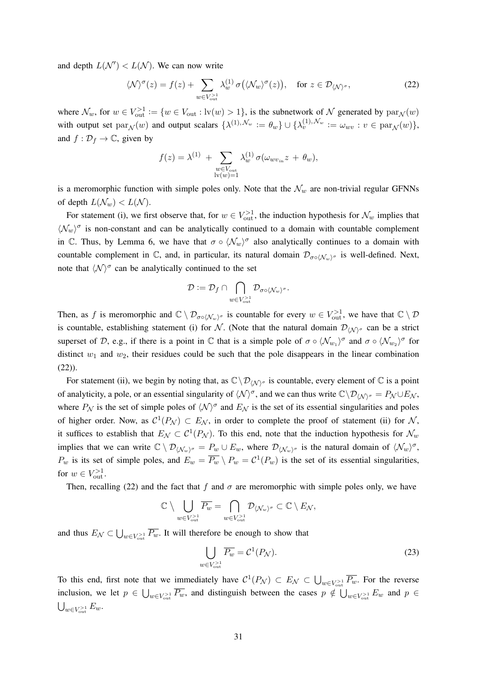and depth  $L(\mathcal{N}') < L(\mathcal{N})$ . We can now write

$$
\langle \mathcal{N} \rangle^{\sigma}(z) = f(z) + \sum_{w \in V_{\text{out}}^{>1}} \lambda_w^{(1)} \sigma\big(\langle \mathcal{N}_w \rangle^{\sigma}(z)\big), \quad \text{for } z \in \mathcal{D}_{\langle \mathcal{N} \rangle^{\sigma}}, \tag{22}
$$

where  $\mathcal{N}_w$ , for  $w \in V_{\text{out}}^{\geq 1} := \{w \in V_{\text{out}} : \text{lv}(w) > 1\}$ , is the subnetwork of  $\mathcal N$  generated by  $\text{par}_{\mathcal N}(w)$ with output set  $\text{par}_{\mathcal{N}}(w)$  and output scalars  $\{\lambda^{(1),\mathcal{N}_w} := \theta_w\} \cup \{\lambda^{(1),\mathcal{N}_w}_v := \omega_{wv} : v \in \text{par}_{\mathcal{N}}(w)\},$ and  $f: \mathcal{D}_f \to \mathbb{C}$ , given by

$$
f(z) = \lambda^{(1)} + \sum_{\substack{w \in V_{\text{out}} \\ \text{iv}(w) = 1}} \lambda_w^{(1)} \sigma(\omega_{w v_{\text{in}}} z + \theta_w),
$$

is a meromorphic function with simple poles only. Note that the  $\mathcal{N}_w$  are non-trivial regular GFNNs of depth  $L(\mathcal{N}_w) < L(\mathcal{N})$ .

For statement (i), we first observe that, for  $w \in V_{\text{out}}^{>1}$ , the induction hypothesis for  $\mathcal{N}_w$  implies that  $\langle \mathcal{N}_w \rangle^{\sigma}$  is non-constant and can be analytically continued to a domain with countable complement in C. Thus, by Lemma 6, we have that  $\sigma \circ \langle \mathcal{N}_w \rangle^{\sigma}$  also analytically continues to a domain with countable complement in  $\mathbb C$ , and, in particular, its natural domain  $\mathcal D_{\sigma \circ (\mathcal N_w)^{\sigma}}$  is well-defined. Next, note that  $\langle \mathcal{N} \rangle^{\sigma}$  can be analytically continued to the set

$$
\mathcal{D}:=\mathcal{D}_f\cap\bigcap_{w\in V_{\rm out}^{>1}}\mathcal{D}_{\sigma\circ \langle \mathcal{N}_w\rangle^\sigma}.
$$

Then, as f is meromorphic and  $\mathbb{C} \setminus \mathcal{D}_{\sigma \circ \langle \mathcal{N}_w \rangle^{\sigma}}$  is countable for every  $w \in V_{\text{out}}^{>1}$ , we have that  $\mathbb{C} \setminus \mathcal{D}$ is countable, establishing statement (i) for N. (Note that the natural domain  $\mathcal{D}_{\langle \mathcal{N} \rangle^{\sigma}}$  can be a strict superset of D, e.g., if there is a point in  $\mathbb C$  that is a simple pole of  $\sigma \circ \langle \mathcal{N}_{w_1} \rangle^{\sigma}$  and  $\sigma \circ \langle \mathcal{N}_{w_2} \rangle^{\sigma}$  for distinct  $w_1$  and  $w_2$ , their residues could be such that the pole disappears in the linear combination (22)).

For statement (ii), we begin by noting that, as  $\mathbb{C}\setminus\mathcal{D}_{\langle\mathcal{N}\rangle^{\sigma}}$  is countable, every element of  $\mathbb C$  is a point of analyticity, a pole, or an essential singularity of  $\langle N \rangle^{\sigma}$ , and we can thus write  $\mathbb{C}\setminus\mathcal{D}_{\langle N \rangle^{\sigma}} = P_N \cup E_N$ , where  $P_N$  is the set of simple poles of  $\langle N \rangle^{\sigma}$  and  $E_N$  is the set of its essential singularities and poles of higher order. Now, as  $C^1(P_{\mathcal{N}}) \subset E_{\mathcal{N}}$ , in order to complete the proof of statement (ii) for N, it suffices to establish that  $E_N \subset C^1(P_N)$ . To this end, note that the induction hypothesis for  $\mathcal{N}_w$ implies that we can write  $\mathbb{C} \setminus \mathcal{D}_{\langle \mathcal{N}_w \rangle^{\sigma}} = P_w \cup E_w$ , where  $\mathcal{D}_{\langle \mathcal{N}_w \rangle^{\sigma}}$  is the natural domain of  $\langle \mathcal{N}_w \rangle^{\sigma}$ ,  $P_w$  is its set of simple poles, and  $E_w = \overline{P_w} \setminus P_w = C^1(P_w)$  is the set of its essential singularities, for  $w \in V_{\text{out}}^{>1}$ .

Then, recalling (22) and the fact that f and  $\sigma$  are meromorphic with simple poles only, we have

$$
\mathbb{C}\setminus \bigcup_{w\in V_{\text{out}}^{>1}}\overline{P_w}=\bigcap_{w\in V_{\text{out}}^{>1}}\mathcal{D}_{\langle \mathcal{N}_w\rangle^{\sigma}}\subset \mathbb{C}\setminus E_{\mathcal{N}},
$$

and thus  $E_N \subset \bigcup_{w \in V_{out}^{>1}} \overline{P_w}$ . It will therefore be enough to show that

$$
\bigcup_{w \in V_{\text{out}}^{>1}} \overline{P_w} = \mathcal{C}^1(P_{\mathcal{N}}). \tag{23}
$$

To this end, first note that we immediately have  $C^1(P_{\mathcal{N}}) \subset E_{\mathcal{N}} \subset \bigcup_{w \in V_{\text{out}} > 1} \overline{P_w}$ . For the reverse inclusion, we let  $p \in \bigcup_{w \in V_{out}} \overline{P_w}$ , and distinguish between the cases  $p \notin \bigcup_{w \in V_{out}} E_w$  and  $p \in$  $\bigcup_{w\in V_{\text{out}}^{>1}} E_w.$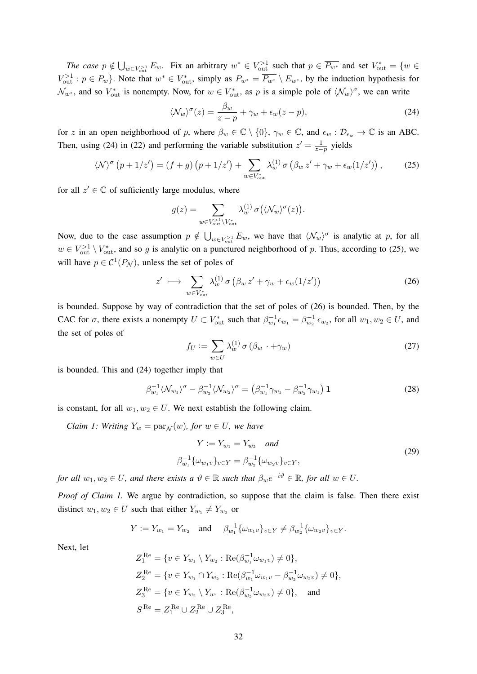*The case*  $p \notin \bigcup_{w \in V_{\text{out}}^{>1}} E_w$ . Fix an arbitrary  $w^* \in V_{\text{out}}^{>1}$  such that  $p \in \overline{P_{w^*}}$  and set  $V_{\text{out}}^* = \{w \in V_{\text{out}}^{>1} : w \in V_{\text{out}}^{>1} \}$  $V_{\text{out}}^{>1}: p \in P_w$ . Note that  $w^* \in V_{\text{out}}^*$ , simply as  $P_{w^*} = \overline{P_{w^*}} \setminus E_{w^*}$ , by the induction hypothesis for  $\mathcal{N}_{w^*}$ , and so  $V_{\text{out}}^*$  is nonempty. Now, for  $w \in V_{\text{out}}^*$ , as p is a simple pole of  $\langle \mathcal{N}_w \rangle^{\sigma}$ , we can write

$$
\langle \mathcal{N}_w \rangle^{\sigma}(z) = \frac{\beta_w}{z - p} + \gamma_w + \epsilon_w (z - p), \tag{24}
$$

for z in an open neighborhood of p, where  $\beta_w \in \mathbb{C} \setminus \{0\}$ ,  $\gamma_w \in \mathbb{C}$ , and  $\epsilon_w : \mathcal{D}_{\epsilon_w} \to \mathbb{C}$  is an ABC. Then, using (24) in (22) and performing the variable substitution  $z' = \frac{1}{z-p}$  yields

$$
\langle \mathcal{N} \rangle^{\sigma} \left( p + 1/z' \right) = \left( f + g \right) \left( p + 1/z' \right) + \sum_{w \in V_{\text{out}}^*} \lambda_w^{(1)} \sigma \left( \beta_w z' + \gamma_w + \epsilon_w (1/z') \right), \tag{25}
$$

for all  $z' \in \mathbb{C}$  of sufficiently large modulus, where

$$
g(z) = \sum_{w \in V_{\text{out}}^{>1} \backslash V_{\text{out}}^{*}} \lambda_{w}^{(1)} \sigma(\langle \mathcal{N}_{w} \rangle^{\sigma}(z)).
$$

Now, due to the case assumption  $p \notin \bigcup_{w \in V_{out}} E_w$ , we have that  $\langle \mathcal{N}_w \rangle^{\sigma}$  is analytic at p, for all  $w \in V_{\text{out}}^{>1} \setminus V_{\text{out}}^*$ , and so g is analytic on a punctured neighborhood of p. Thus, according to (25), we will have  $p \in C^1(P_N)$ , unless the set of poles of

$$
z' \longmapsto \sum_{w \in V_{\text{out}}^*} \lambda_w^{(1)} \sigma \left( \beta_w \, z' + \gamma_w + \epsilon_w (1/z') \right) \tag{26}
$$

is bounded. Suppose by way of contradiction that the set of poles of (26) is bounded. Then, by the CAC for  $\sigma$ , there exists a nonempty  $U \subset V_{\text{out}}^*$  such that  $\beta_{w_1}^{-1} \epsilon_{w_1} = \beta_{w_2}^{-1} \epsilon_{w_2}$ , for all  $w_1, w_2 \in U$ , and the set of poles of

$$
f_U := \sum_{w \in U} \lambda_w^{(1)} \sigma \left( \beta_w \cdot + \gamma_w \right) \tag{27}
$$

is bounded. This and (24) together imply that

$$
\beta_{w_1}^{-1} \langle \mathcal{N}_{w_1} \rangle^{\sigma} - \beta_{w_2}^{-1} \langle \mathcal{N}_{w_2} \rangle^{\sigma} = \left( \beta_{w_1}^{-1} \gamma_{w_1} - \beta_{w_2}^{-1} \gamma_{w_1} \right) \mathbf{1}
$$
\n(28)

is constant, for all  $w_1, w_2 \in U$ . We next establish the following claim.

*Claim 1: Writing*  $Y_w = \text{par}_{\mathcal{N}}(w)$ *, for*  $w \in U$ *, we have* 

$$
Y := Y_{w_1} = Y_{w_2} \quad and
$$
  
\n
$$
\beta_{w_1}^{-1} \{\omega_{w_1 v}\}_{v \in Y} = \beta_{w_2}^{-1} \{\omega_{w_2 v}\}_{v \in Y},
$$
\n(29)

*for all*  $w_1, w_2 \in U$ *, and there exists a*  $\vartheta \in \mathbb{R}$  *such that*  $\beta_w e^{-i\vartheta} \in \mathbb{R}$ *, for all*  $w \in U$ *.* 

*Proof of Claim 1.* We argue by contradiction, so suppose that the claim is false. Then there exist distinct  $w_1, w_2 \in U$  such that either  $Y_{w_1} \neq Y_{w_2}$  or

$$
Y := Y_{w_1} = Y_{w_2} \quad \text{and} \quad \beta_{w_1}^{-1} \{ \omega_{w_1 v} \}_{v \in Y} \neq \beta_{w_2}^{-1} \{ \omega_{w_2 v} \}_{v \in Y}.
$$

Next, let

$$
Z_1^{\text{Re}} = \{v \in Y_{w_1} \setminus Y_{w_2} : \text{Re}(\beta_{w_1}^{-1} \omega_{w_1 v}) \neq 0\},
$$
  
\n
$$
Z_2^{\text{Re}} = \{v \in Y_{w_1} \cap Y_{w_2} : \text{Re}(\beta_{w_1}^{-1} \omega_{w_1 v} - \beta_{w_2}^{-1} \omega_{w_2 v}) \neq 0\},
$$
  
\n
$$
Z_3^{\text{Re}} = \{v \in Y_{w_2} \setminus Y_{w_1} : \text{Re}(\beta_{w_2}^{-1} \omega_{w_2 v}) \neq 0\}, \text{ and}
$$
  
\n
$$
S^{\text{Re}} = Z_1^{\text{Re}} \cup Z_2^{\text{Re}} \cup Z_3^{\text{Re}},
$$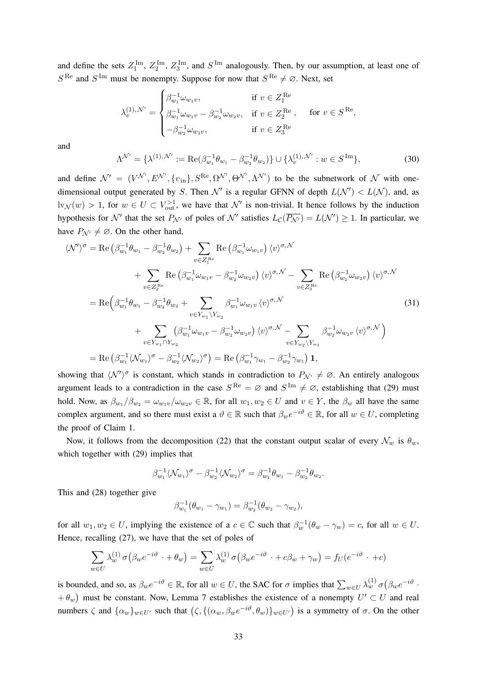and define the sets  $Z_1^{\text{Im}}, Z_2^{\text{Im}}, Z_3^{\text{Im}}$ , and  $S^{\text{Im}}$  analogously. Then, by our assumption, at least one of  $S^{\text{Re}}$  and  $S^{\text{Im}}$  must be nonempty. Suppose for now that  $S^{\text{Re}} \neq \emptyset$ . Next, set

$$
\lambda_v^{(1),\, \mathcal{N}'} = \begin{cases} \beta_{w_1}^{-1} \omega_{w_1 v}, & \text{if } v \in Z_1^{\text{Re}} \\ \beta_{w_1}^{-1} \omega_{w_1 v} - \beta_{w_2}^{-1} \omega_{w_2 v}, & \text{if } v \in Z_2^{\text{Re}}, \quad \text{for } v \in S^{\text{Re}}, \\ -\beta_{w_2}^{-1} \omega_{w_2 v}, & \text{if } v \in Z_3^{\text{Re}} \end{cases}
$$

and

$$
\Lambda^{\mathcal{N}'} = \{\lambda^{(1),\mathcal{N}'} := \text{Re}(\beta_{w_1}^{-1}\theta_{w_1} - \beta_{w_2}^{-1}\theta_{w_2})\} \cup \{\lambda_v^{(1),\mathcal{N}'} : w \in S^{\text{Im}}\},\tag{30}
$$

and define  $\mathcal{N}' = (V^{\mathcal{N}'}, E^{\mathcal{N}'}, \{v_{\text{in}}\}, S^{\text{Re}}, \Omega^{\mathcal{N}'}, \Theta^{\mathcal{N}'}, \Lambda^{\mathcal{N}'})$  to be the subnetwork of  $\mathcal N$  with onedimensional output generated by S. Then  $\mathcal{N}'$  is a regular GFNN of depth  $L(\mathcal{N}') < L(\mathcal{N})$ , and, as  $\text{lv}_{\mathcal{N}}(w) > 1$ , for  $w \in U \subset V_{\text{out}}^{>1}$ , we have that  $\mathcal{N}'$  is non-trivial. It hence follows by the induction hypothesis for  $\mathcal{N}'$  that the set  $P_{\mathcal{N}'}$  of poles of  $\mathcal{N}'$  satisfies  $L_{\mathcal{C}}(\overline{P_{\mathcal{N}'}}) = L(\mathcal{N}') \geq 1$ . In particular, we have  $P_{\mathcal{N}'} \neq \emptyset$ . On the other hand,

$$
\langle \mathcal{N}' \rangle^{\sigma} = \text{Re} \left( \beta_{w_1}^{-1} \theta_{w_1} - \beta_{w_2}^{-1} \theta_{w_2} \right) + \sum_{v \in Z_1^{\text{Re}}} \text{Re} \left( \beta_{w_1}^{-1} \omega_{w_1 v} \right) \langle v \rangle^{\sigma, \mathcal{N}} \n+ \sum_{v \in Z_2^{\text{Re}}} \text{Re} \left( \beta_{w_1}^{-1} \omega_{w_1 v} - \beta_{w_2}^{-1} \omega_{w_2 v} \right) \langle v \rangle^{\sigma, \mathcal{N}} - \sum_{v \in Z_3^{\text{Re}}} \text{Re} \left( \beta_{w_2}^{-1} \omega_{w_2 v} \right) \langle v \rangle^{\sigma, \mathcal{N}} \n= \text{Re} \left( \beta_{w_1}^{-1} \theta_{w_1} - \beta_{w_2}^{-1} \theta_{w_2} + \sum_{v \in Y_{w_1} \setminus Y_{w_2}} \beta_{w_1}^{-1} \omega_{w_1 v} \langle v \rangle^{\sigma, \mathcal{N}} \n+ \sum_{v \in Y_{w_1} \setminus Y_{w_2}} \left( \beta_{w_1}^{-1} \omega_{w_1 v} - \beta_{w_2}^{-1} \omega_{w_2 v} \right) \langle v \rangle^{\sigma, \mathcal{N}} - \sum_{v \in Y_{w_2} \setminus Y_{w_1}} \beta_{w_2}^{-1} \omega_{w_2 v} \langle v \rangle^{\sigma, \mathcal{N}} \right) \n= \text{Re} \left( \beta_{w_1}^{-1} \langle \mathcal{N}_{w_1} \rangle^{\sigma} - \beta_{w_2}^{-1} \langle \mathcal{N}_{w_2} \rangle^{\sigma} \right) = \text{Re} \left( \beta_{w_1}^{-1} \gamma_{w_1} - \beta_{w_2}^{-1} \gamma_{w_1} \right) \mathbf{1},
$$
\n(31)

showing that  $\langle \mathcal{N}' \rangle^{\sigma}$  is constant, which stands in contradiction to  $P_{\mathcal{N}'} \neq \emptyset$ . An entirely analogous argument leads to a contradiction in the case  $S^{\text{Re}} = \emptyset$  and  $S^{\text{Im}} \neq \emptyset$ , establishing that (29) must hold. Now, as  $\beta_{w_1}/\beta_{w_2} = \omega_{w_1v}/\omega_{w_2v} \in \mathbb{R}$ , for all  $w_1, w_2 \in U$  and  $v \in Y$ , the  $\beta_w$  all have the same complex argument, and so there must exist a  $\vartheta \in \mathbb{R}$  such that  $\beta_w e^{-i\vartheta} \in \mathbb{R}$ , for all  $w \in U$ , completing the proof of Claim 1.

Now, it follows from the decomposition (22) that the constant output scalar of every  $\mathcal{N}_w$  is  $\theta_w$ , which together with (29) implies that

$$
\beta_{w_1}^{-1} \langle \mathcal{N}_{w_1} \rangle^{\sigma} - \beta_{w_2}^{-1} \langle \mathcal{N}_{w_2} \rangle^{\sigma} = \beta_{w_1}^{-1} \theta_{w_1} - \beta_{w_2}^{-1} \theta_{w_2}.
$$

This and (28) together give

$$
\beta_{w_1}^{-1}(\theta_{w_1} - \gamma_{w_1}) = \beta_{w_2}^{-1}(\theta_{w_2} - \gamma_{w_2}),
$$

for all  $w_1, w_2 \in U$ , implying the existence of a  $c \in \mathbb{C}$  such that  $\beta_w^{-1}(\theta_w - \gamma_w) = c$ , for all  $w \in U$ . Hence, recalling (27), we have that the set of poles of

$$
\sum_{w \in U} \lambda_w^{(1)} \sigma(\beta_w e^{-i\vartheta} \cdot + \theta_w) = \sum_{w \in U} \lambda_w^{(1)} \sigma(\beta_w e^{-i\vartheta} \cdot + c\beta_w + \gamma_w) = f_U(e^{-i\vartheta} \cdot + c)
$$

is bounded, and so, as  $\beta_w e^{-i\theta} \in \mathbb{R}$ , for all  $w \in U$ , the SAC for  $\sigma$  implies that  $\sum_{w \in U} \lambda_w^{(1)} \sigma(\beta_w e^{-i\theta} \cdot \mathbb{R}^d)$  $+ \theta_w$ ) must be constant. Now, Lemma 7 establishes the existence of a nonempty  $U' \subset U$  and real numbers  $\zeta$  and  $\{\alpha_w\}_{w\in U'}$  such that  $(\zeta, \{(\alpha_w, \beta_w e^{-i\vartheta}, \theta_w)\}_{w\in U'})$  is a symmetry of  $\sigma$ . On the other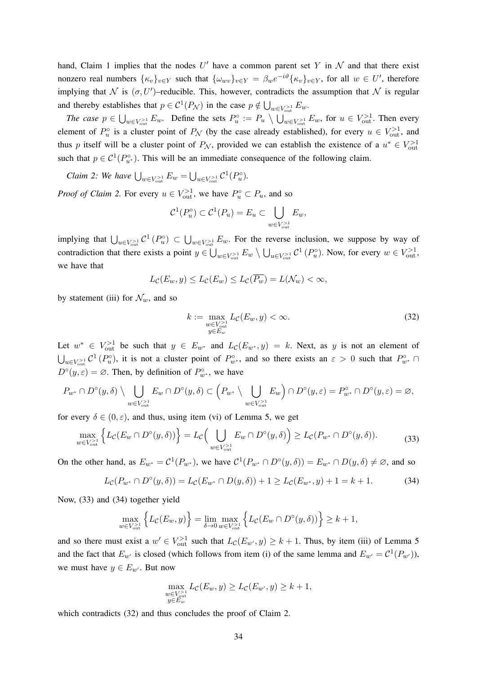hand, Claim 1 implies that the nodes  $U'$  have a common parent set Y in N and that there exist nonzero real numbers  $\{\kappa_v\}_{v\in Y}$  such that  $\{\omega_{wv}\}_{v\in Y} = \beta_w e^{-i\vartheta} \{\kappa_v\}_{v\in Y}$ , for all  $w \in U'$ , therefore implying that N is  $(\sigma, U')$ -reducible. This, however, contradicts the assumption that N is regular and thereby establishes that  $p \in C^1(P_{\mathcal{N}})$  in the case  $p \notin \bigcup_{w \in V_{\text{out}} > 1} E_w$ .

*The case*  $p \in \bigcup_{w \in V_{\text{out}}^{>1}} E_w$ . Define the sets  $P_u^{\circ} := P_u \setminus \bigcup_{w \in V_{\text{out}}^{>1}} E_w$ , for  $u \in V_{\text{out}}^{>1}$ . Then every element of  $P_u^{\circ}$  is a cluster point of  $P_{\mathcal{N}}$  (by the case already established), for every  $u \in V_{\text{out}}^{>1}$ , and thus p itself will be a cluster point of  $P_N$ , provided we can establish the existence of a  $u^* \in V_{\text{out}}^{>1}$ such that  $p \in C^1(P_{u^*}^{\circ})$ . This will be an immediate consequence of the following claim.

*Claim 2: We have*  $\bigcup_{w \in V_{\text{out}}^{>1}} E_w = \bigcup_{u \in V_{\text{out}}^{>1}} C^1(P_u^{\circ})$ .

*Proof of Claim 2.* For every  $u \in V_{\text{out}}^{>1}$ , we have  $P_u^{\circ} \subset P_u$ , and so

$$
\mathcal{C}^1(P_u^{\circ}) \subset \mathcal{C}^1(P_u) = E_u \subset \bigcup_{w \in V_{\text{out}}^{>1}} E_w,
$$

implying that  $\bigcup_{u\in V_{\text{out}}^{>1}} C^1(P_u^{\circ}) \subset \bigcup_{w\in V_{\text{out}}^{>1}} E_w$ . For the reverse inclusion, we suppose by way of contradiction that there exists a point  $y \in \bigcup_{w \in V_{\text{out}}^{>1}} E_w \setminus \bigcup_{u \in V_{\text{out}}^{>1}} C^1(P_u^{\circ})$ . Now, for every  $w \in V_{\text{out}}^{>1}$ , we have that

$$
L_{\mathcal{C}}(E_w, y) \le L_{\mathcal{C}}(E_w) \le L_{\mathcal{C}}(P_w) = L(\mathcal{N}_w) < \infty,
$$

by statement (iii) for  $\mathcal{N}_w$ , and so

$$
k := \max_{\substack{w \in V > 1 \\ y \in E_w^{\text{out}}}} L_{\mathcal{C}}(E_w, y) < \infty. \tag{32}
$$

Let  $w^* \in V_{\text{out}}^{>1}$  be such that  $y \in E_{w^*}$  and  $L_c(E_{w^*}, y) = k$ . Next, as y is not an element of  $\bigcup_{u\in V_{out}^{>1}}$   $\mathcal{C}^1(P_u^{\circ})$ , it is not a cluster point of  $P_{w^*}^{\circ}$ , and so there exists an  $\varepsilon > 0$  such that  $P_{w^*}^{\circ}$  $D^{\circ}(y, \varepsilon) = \emptyset$ . Then, by definition of  $P_{w^*}^{\circ}$ , we have

$$
P_{w^*} \cap D^{\circ}(y,\delta) \setminus \bigcup_{w \in V_{\text{out}}^{>1}} E_w \cap D^{\circ}(y,\delta) \subset \left(P_{w^*} \setminus \bigcup_{w \in V_{\text{out}}^{>1}} E_w\right) \cap D^{\circ}(y,\varepsilon) = P_{w^*}^{\circ} \cap D^{\circ}(y,\varepsilon) = \varnothing,
$$

for every  $\delta \in (0, \varepsilon)$ , and thus, using item (vi) of Lemma 5, we get

$$
\max_{w \in V_{\text{out}}^{>1}} \left\{ L_{\mathcal{C}}(E_w \cap D^{\circ}(y,\delta)) \right\} = L_{\mathcal{C}} \Big( \bigcup_{w \in V_{\text{out}}^{>1}} E_w \cap D^{\circ}(y,\delta) \Big) \ge L_{\mathcal{C}}(P_{w^*} \cap D^{\circ}(y,\delta)). \tag{33}
$$

On the other hand, as  $E_{w^*} = C^1(P_{w^*})$ , we have  $C^1(P_{w^*} \cap D^{\circ}(y, \delta)) = E_{w^*} \cap D(y, \delta) \neq \emptyset$ , and so

$$
L_{\mathcal{C}}(P_{w^*} \cap D^{\circ}(y,\delta)) = L_{\mathcal{C}}(E_{w^*} \cap D(y,\delta)) + 1 \ge L_{\mathcal{C}}(E_{w^*},y) + 1 = k + 1. \tag{34}
$$

Now, (33) and (34) together yield

$$
\max_{w \in V_{\text{out}}^{>1}} \left\{ L_{\mathcal{C}}(E_w, y) \right\} = \lim_{\delta \to 0} \max_{w \in V_{\text{out}}^{>1}} \left\{ L_{\mathcal{C}}(E_w \cap D^{\circ}(y, \delta)) \right\} \ge k + 1,
$$

and so there must exist a  $w' \in V_{\text{out}}^{>1}$  such that  $L_{\mathcal{C}}(E_{w'}, y) \geq k + 1$ . Thus, by item (iii) of Lemma 5 and the fact that  $E_{w'}$  is closed (which follows from item (i) of the same lemma and  $E_{w'} = C^1(P_{w'}),$ we must have  $y \in E_{w'}$ . But now

$$
\max_{\substack{w \in V_{\text{out}}^{\geq 1} \\ y \in E_w}} L_{\mathcal{C}}(E_w, y) \geq L_{\mathcal{C}}(E_{w'}, y) \geq k + 1,
$$

which contradicts (32) and thus concludes the proof of Claim 2.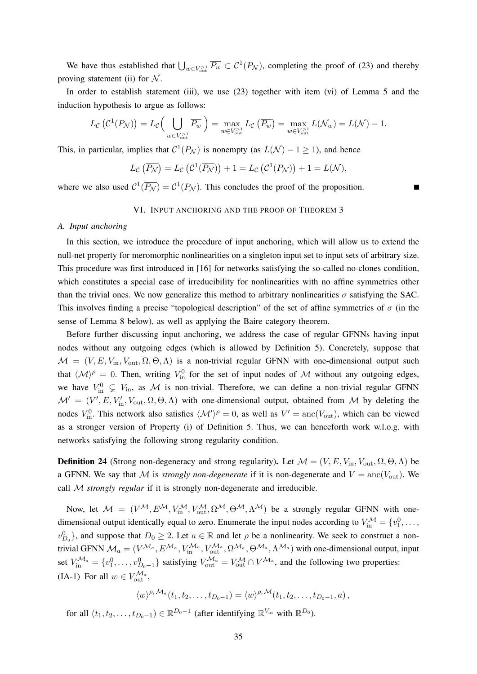We have thus established that  $\bigcup_{w \in V_{\text{out}} > 1} \overline{P_w} \subset C^1(P_{\mathcal{N}})$ , completing the proof of (23) and thereby proving statement (ii) for  $N$ .

In order to establish statement (iii), we use (23) together with item (vi) of Lemma 5 and the induction hypothesis to argue as follows:

$$
L_{\mathcal{C}}\left(\mathcal{C}^1(P_{\mathcal{N}})\right) = L_{\mathcal{C}}\left(\bigcup_{w \in V_{\text{out}}^{>1}} \overline{P_w}\right) = \max_{w \in V_{\text{out}}^{>1}} L_{\mathcal{C}}\left(\overline{P_w}\right) = \max_{w \in V_{\text{out}}^{>1}} L(\mathcal{N}_w) = L(\mathcal{N}) - 1.
$$

This, in particular, implies that  $C^1(P_{\mathcal{N}})$  is nonempty (as  $L(\mathcal{N}) - 1 \ge 1$ ), and hence

$$
L_{\mathcal{C}}\left(\overline{P_{\mathcal{N}}}\right) = L_{\mathcal{C}}\left(\mathcal{C}^1(\overline{P_{\mathcal{N}}})\right) + 1 = L_{\mathcal{C}}\left(\mathcal{C}^1(P_{\mathcal{N}})\right) + 1 = L(\mathcal{N}),
$$

where we also used  $C^1(\overline{P_{\mathcal{N}}}) = C^1(P_{\mathcal{N}})$ . This concludes the proof of the proposition.

## VI. INPUT ANCHORING AND THE PROOF OF THEOREM 3

## *A. Input anchoring*

In this section, we introduce the procedure of input anchoring, which will allow us to extend the null-net property for meromorphic nonlinearities on a singleton input set to input sets of arbitrary size. This procedure was first introduced in [16] for networks satisfying the so-called no-clones condition, which constitutes a special case of irreducibility for nonlinearities with no affine symmetries other than the trivial ones. We now generalize this method to arbitrary nonlinearities  $\sigma$  satisfying the SAC. This involves finding a precise "topological description" of the set of affine symmetries of  $\sigma$  (in the sense of Lemma 8 below), as well as applying the Baire category theorem.

Before further discussing input anchoring, we address the case of regular GFNNs having input nodes without any outgoing edges (which is allowed by Definition 5). Concretely, suppose that  $M = (V, E, V_{\text{in}}, V_{\text{out}}, \Omega, \Theta, \Lambda)$  is a non-trivial regular GFNN with one-dimensional output such that  $\langle \mathcal{M} \rangle^{\rho} = 0$ . Then, writing  $V_{\text{in}}^{0}$  for the set of input nodes of M without any outgoing edges, we have  $V_{\text{in}}^0 \subsetneq V_{\text{in}}$ , as M is non-trivial. Therefore, we can define a non-trivial regular GFNN  $\mathcal{M}' = (V', E, V'_{\text{in}}, V_{\text{out}}, \Omega, \Theta, \Lambda)$  with one-dimensional output, obtained from M by deleting the nodes  $V_{\text{in}}^0$ . This network also satisfies  $\langle \mathcal{M}' \rangle^{\rho} = 0$ , as well as  $V' = \text{anc}(V_{\text{out}})$ , which can be viewed as a stronger version of Property (i) of Definition 5. Thus, we can henceforth work w.l.o.g. with networks satisfying the following strong regularity condition.

**Definition 24** (Strong non-degeneracy and strong regularity). Let  $M = (V, E, V_{\text{in}}, V_{\text{out}}, \Omega, \Theta, \Lambda)$  be a GFNN. We say that M is *strongly non-degenerate* if it is non-degenerate and  $V = \text{anc}(V_{\text{out}})$ . We call M *strongly regular* if it is strongly non-degenerate and irreducible.

Now, let  $M = (V^{\mathcal{M}}, E^{\mathcal{M}}, V_{\text{in}}^{\mathcal{M}}, V_{\text{out}}^{\mathcal{M}}, \Omega^{\mathcal{M}}, \Theta^{\mathcal{M}}, \Lambda^{\mathcal{M}})$  be a strongly regular GFNN with onedimensional output identically equal to zero. Enumerate the input nodes according to  $V_{\text{in}}^{\mathcal{M}} = \{v_1^0, \dots, v_n^0\}$  $v_{D_0}^0$ , and suppose that  $D_0 \ge 2$ . Let  $a \in \mathbb{R}$  and let  $\rho$  be a nonlinearity. We seek to construct a nontrivial GFNN  $\mathcal{M}_a=(V^{\mathcal{M}_a}, E^{\mathcal{M}_a}, V_{\text{in}}^{\mathcal{M}_a}, V_{\text{out}}^{\mathcal{M}_a}, \Omega^{\mathcal{M}_a}, \Theta^{\mathcal{M}_a}, \Lambda^{\mathcal{M}_a})$  with one-dimensional output, input set  $V_{\text{in}}^{\mathcal{M}_a} = \{v_1^0, \dots, v_{D_0-1}^0\}$  satisfying  $V_{\text{out}}^{\mathcal{M}_a} = V_{\text{out}}^{\mathcal{M}} \cap V^{\mathcal{M}_a}$ , and the following two properties: (IA-1) For all  $w \in V_{\text{out}}^{\mathcal{M}_a}$ ,

$$
\langle w \rangle^{\rho, \mathcal{M}_a}(t_1, t_2, \ldots, t_{D_0-1}) = \langle w \rangle^{\rho, \mathcal{M}}(t_1, t_2, \ldots, t_{D_0-1}, a),
$$

for all  $(t_1, t_2, \ldots, t_{D_0-1}) \in \mathbb{R}^{D_0-1}$  (after identifying  $\mathbb{R}^{V_{\text{in}}}$  with  $\mathbb{R}^{D_0}$ ).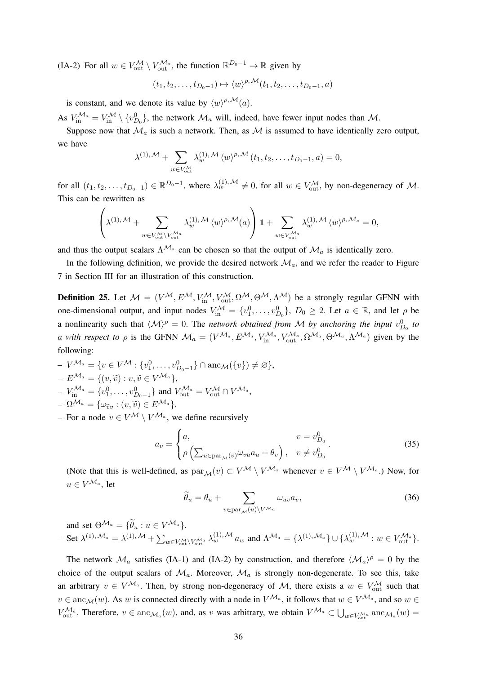(IA-2) For all  $w \in V_{\text{out}}^{\mathcal{M}} \setminus V_{\text{out}}^{\mathcal{M}_a}$ , the function  $\mathbb{R}^{D_0-1} \to \mathbb{R}$  given by

$$
(t_1, t_2, \ldots, t_{D_0-1}) \mapsto \langle w \rangle^{\rho, \mathcal{M}}(t_1, t_2, \ldots, t_{D_0-1}, a)
$$

is constant, and we denote its value by  $\langle w \rangle^{\rho, M}(a)$ .

As  $V_{\text{in}}^{\mathcal{M}_a} = V_{\text{in}}^{\mathcal{M}} \setminus \{v_{D_0}^0\}$ , the network  $\mathcal{M}_a$  will, indeed, have fewer input nodes than  $\mathcal{M}$ .

Suppose now that  $\mathcal{M}_a$  is such a network. Then, as  $\mathcal M$  is assumed to have identically zero output, we have

$$
\lambda^{(1),\mathcal{M}} + \sum_{w \in V_{\text{out}}^{\mathcal{M}}} \lambda_w^{(1),\mathcal{M}} \langle w \rangle^{\rho,\mathcal{M}} (t_1, t_2, \dots, t_{D_0 - 1}, a) = 0,
$$

for all  $(t_1, t_2, \ldots, t_{D_0-1}) \in \mathbb{R}^{D_0-1}$ , where  $\lambda_w^{(1),\mathcal{M}} \neq 0$ , for all  $w \in V_{\text{out}}^{\mathcal{M}}$ , by non-degeneracy of  $\mathcal{M}$ . This can be rewritten as

$$
\left(\lambda^{(1),\, \mathcal{M}} + \sum_{w \in V_{\text{out}}^{\mathcal{M}} \backslash V_{\text{out}}^{\mathcal{M}_a}} \lambda^{(1),\, \mathcal{M}}_w \, \langle w \rangle^{\rho,\, \mathcal{M}}(a)\right) \mathbf{1} + \sum_{w \in V_{\text{out}}^{\mathcal{M}_a}} \lambda^{(1),\, \mathcal{M}}_w \, \langle w \rangle^{\rho,\, \mathcal{M}_a} = 0,
$$

and thus the output scalars  $\Lambda^{\mathcal{M}_a}$  can be chosen so that the output of  $\mathcal{M}_a$  is identically zero.

In the following definition, we provide the desired network  $\mathcal{M}_a$ , and we refer the reader to Figure 7 in Section III for an illustration of this construction.

**Definition 25.** Let  $M = (V^{\mathcal{M}}, E^{\mathcal{M}}, V_{\text{in}}^{\mathcal{M}}, V_{\text{out}}^{\mathcal{M}}, \Omega^{\mathcal{M}}, \Theta^{\mathcal{M}}, \Lambda^{\mathcal{M}})$  be a strongly regular GFNN with one-dimensional output, and input nodes  $V_{\text{in}}^{\mathcal{M}} = \{v_1^0, \dots, v_{D_0}^0\}$ ,  $D_0 \geq 2$ . Let  $a \in \mathbb{R}$ , and let  $\rho$  be a nonlinearity such that  $\langle \mathcal{M} \rangle^{\rho} = 0$ . The *network obtained from* M *by anchoring the input*  $v_{D_0}^0$  to *a* with respect to  $\rho$  is the GFNN  $\mathcal{M}_a = (V^{\mathcal{M}_a}, E^{\mathcal{M}_a}, V_{\text{in}}^{\mathcal{M}_a}, V_{\text{out}}^{\mathcal{M}_a}, \Omega^{\mathcal{M}_a}, \Theta^{\mathcal{M}_a}, \Lambda^{\mathcal{M}_a})$  given by the following:

- $-V^{\mathcal{M}_a} = \{v \in V^{\mathcal{M}} : \{v_1^0, \ldots, v_{D_0-1}^0\} \cap \text{anc}_{\mathcal{M}}(\{v\}) \neq \emptyset\},\$  $-E^{\mathcal{M}_a} = \{(v, \widetilde{v}) : v, \widetilde{v} \in V^{\mathcal{M}_a}\},$
- $-V_{\text{in}}^{\mathcal{M}_a} = \{v_1^0, \dots, v_{D_0-1}^0\}$  and  $V_{\text{out}}^{\mathcal{M}_a} = V_{\text{out}}^{\mathcal{M}} \cap V^{\mathcal{M}_a}$ ,  $-\Omega^{\mathcal{M}_a} = \{\omega_{\widetilde{v}v} : (v, \widetilde{v}) \in E^{\mathcal{M}_a}\}.$
- 
- For a node  $v \in V^{\mathcal{M}} \setminus V^{\mathcal{M}_a}$ , we define recursively

$$
a_v = \begin{cases} a, & v = v_{D_0}^0 \\ \rho \left( \sum_{u \in \text{par}_{\mathcal{M}}(v)} \omega_{vu} a_u + \theta_v \right), & v \neq v_{D_0}^0 \end{cases} . \tag{35}
$$

(Note that this is well-defined, as  $par_{\mathcal{M}}(v) \subset V^{\mathcal{M}} \setminus V^{\mathcal{M}_a}$  whenever  $v \in V^{\mathcal{M}} \setminus V^{\mathcal{M}_a}$ .) Now, for  $u \in V^{{\mathcal{M}_a}},$  let

$$
\widetilde{\theta}_u = \theta_u + \sum_{v \in \text{par}_{\mathcal{M}}(u) \backslash V^{\mathcal{M}_a}} \omega_{uv} a_v,
$$
\n(36)

and set  $\Theta^{\mathcal{M}_a} = {\widetilde{\theta}_u : u \in V^{\mathcal{M}_a}}.$  $-$  Set  $\lambda^{(1),\mathcal{M}_a} = \lambda^{(1),\mathcal{M}} + \sum_{w \in V_{\text{out}}^{\mathcal{M}} \setminus V_{\text{out}}^{\mathcal{M}_a}} \lambda_w^{(1),\mathcal{M}} a_w$  and  $\Lambda^{\mathcal{M}_a} = {\lambda^{(1),\mathcal{M}_a}} \cup {\lambda_w^{(1),\mathcal{M}} : w \in V_{\text{out}}^{\mathcal{M}_a}}.$ 

The network  $\mathcal{M}_a$  satisfies (IA-1) and (IA-2) by construction, and therefore  $\langle \mathcal{M}_a \rangle^{\rho} = 0$  by the choice of the output scalars of  $\mathcal{M}_a$ . Moreover,  $\mathcal{M}_a$  is strongly non-degenerate. To see this, take an arbitrary  $v \in V^{\mathcal{M}_a}$ . Then, by strong non-degeneracy of M, there exists a  $w \in V^{\mathcal{M}}_{out}$  such that  $v \in \text{anc}_{\mathcal{M}}(w)$ . As w is connected directly with a node in  $V^{\mathcal{M}_a}$ , it follows that  $w \in V^{\mathcal{M}_a}$ , and so  $w \in$  $V_{\text{out}}^{\mathcal{M}_a}$ . Therefore,  $v \in \text{anc}_{\mathcal{M}_a}(w)$ , and, as v was arbitrary, we obtain  $V^{\mathcal{M}_a} \subset \bigcup_{w \in V_{\text{out}}^{\mathcal{M}_a}} \text{anc}_{\mathcal{M}_a}(w)$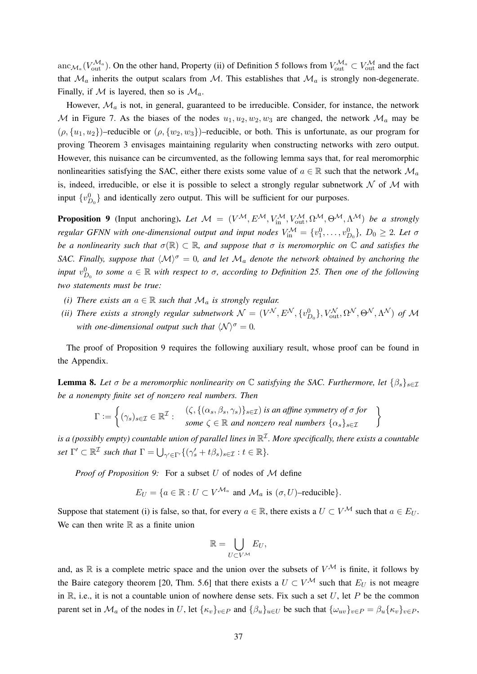anc $_{\mathcal{M}_a}(V_{\text{out}}^{\mathcal{M}_a})$ . On the other hand, Property (ii) of Definition 5 follows from  $V_{\text{out}}^{\mathcal{M}_a} \subset V_{\text{out}}^{\mathcal{M}}$  and the fact that  $\mathcal{M}_a$  inherits the output scalars from  $\mathcal{M}$ . This establishes that  $\mathcal{M}_a$  is strongly non-degenerate. Finally, if M is layered, then so is  $\mathcal{M}_a$ .

However,  $\mathcal{M}_a$  is not, in general, guaranteed to be irreducible. Consider, for instance, the network M in Figure 7. As the biases of the nodes  $u_1, u_2, w_2, w_3$  are changed, the network  $\mathcal{M}_a$  may be  $(\rho, \{u_1, u_2\})$ –reducible or  $(\rho, \{w_2, w_3\})$ –reducible, or both. This is unfortunate, as our program for proving Theorem 3 envisages maintaining regularity when constructing networks with zero output. However, this nuisance can be circumvented, as the following lemma says that, for real meromorphic nonlinearities satisfying the SAC, either there exists some value of  $a \in \mathbb{R}$  such that the network  $\mathcal{M}_a$ is, indeed, irreducible, or else it is possible to select a strongly regular subnetwork  $N$  of  $M$  with input  $\{v_{D_0}^0\}$  and identically zero output. This will be sufficient for our purposes.

**Proposition 9** (Input anchoring). Let  $M = (V^{\mathcal{M}}, E^{\mathcal{M}}, V_{\text{in}}^{\mathcal{M}}, V_{\text{out}}^{\mathcal{M}}, \Omega^{\mathcal{M}}, \Theta^{\mathcal{M}}, \Lambda^{\mathcal{M}})$  be a strongly *regular GFNN with one-dimensional output and input nodes*  $V_{\text{in}}^{\mathcal{M}} = \{v_1^0, \dots, v_{D_0}^0\}$ ,  $D_0 \geq 2$ . Let  $\sigma$ *be a nonlinearity such that*  $\sigma(\mathbb{R}) \subset \mathbb{R}$ *, and suppose that*  $\sigma$  *is meromorphic on*  $\mathbb C$  *and satisfies the SAC. Finally, suppose that*  $\langle \mathcal{M} \rangle^{\sigma} = 0$ *, and let*  $\mathcal{M}_a$  *denote the network obtained by anchoring the input*  $v_{D_0}^0$  to some  $a \in \mathbb{R}$  with respect to  $\sigma$ , according to Definition 25. Then one of the following *two statements must be true:*

- *(i) There exists an*  $a \in \mathbb{R}$  *such that*  $\mathcal{M}_a$  *is strongly regular.*
- *(ii) There exists a strongly regular subnetwork*  $\mathcal{N} = (V^{\mathcal{N}}, E^{\mathcal{N}}, \{v_{D_0}^0\}, V_{out}^{\mathcal{N}}, \Omega^{\mathcal{N}}, \Theta^{\mathcal{N}}, \Lambda^{\mathcal{N}})$  of  $\mathcal{M}$ *with one-dimensional output such that*  $\langle \mathcal{N} \rangle^{\sigma} = 0$ *.*

The proof of Proposition 9 requires the following auxiliary result, whose proof can be found in the Appendix.

**Lemma 8.** Let  $\sigma$  be a meromorphic nonlinearity on  $\mathbb C$  satisfying the SAC. Furthermore, let  $\{\beta_s\}_{s\in\mathcal I}$ *be a nonempty finite set of nonzero real numbers. Then*

$$
\Gamma := \left\{ (\gamma_s)_{s \in \mathcal{I}} \in \mathbb{R}^{\mathcal{I}} : \begin{array}{l} (\zeta, \{(\alpha_s, \beta_s, \gamma_s)\}_{s \in \mathcal{I}}) \text{ is an affine symmetry of } \sigma \text{ for} \\ \text{some } \zeta \in \mathbb{R} \text{ and nonzero real numbers } \{\alpha_s\}_{s \in \mathcal{I}} \end{array} \right\}
$$

is a (possibly empty) countable union of parallel lines in  $\mathbb{R}^{\mathcal{I}}$ . More specifically, there exists a countable *set*  $\Gamma' \subset \mathbb{R}^{\mathcal{I}}$  *such that*  $\Gamma = \bigcup_{\gamma' \in \Gamma'} \{ (\gamma_s' + t\beta_s)_{s \in \mathcal{I}} : t \in \mathbb{R} \}.$ 

*Proof of Proposition 9:* For a subset U of nodes of M define

$$
E_U = \{ a \in \mathbb{R} : U \subset V^{\mathcal{M}_a} \text{ and } \mathcal{M}_a \text{ is } (\sigma, U) \text{-reducible} \}.
$$

Suppose that statement (i) is false, so that, for every  $a \in \mathbb{R}$ , there exists a  $U \subset V^{\mathcal{M}}$  such that  $a \in E_U$ . We can then write  $\mathbb R$  as a finite union

$$
\mathbb{R}=\bigcup_{U\subset V^{\mathcal{M}}}E_U,
$$

and, as  $\mathbb R$  is a complete metric space and the union over the subsets of  $V^{\mathcal{M}}$  is finite, it follows by the Baire category theorem [20, Thm. 5.6] that there exists a  $U \subset V^{\mathcal{M}}$  such that  $E_U$  is not meagre in  $\mathbb{R}$ , i.e., it is not a countable union of nowhere dense sets. Fix such a set U, let P be the common parent set in  $\mathcal{M}_a$  of the nodes in U, let  $\{\kappa_v\}_{v\in P}$  and  $\{\beta_u\}_{u\in U}$  be such that  $\{\omega_{uv}\}_{v\in P} = \beta_u\{\kappa_v\}_{v\in P}$ ,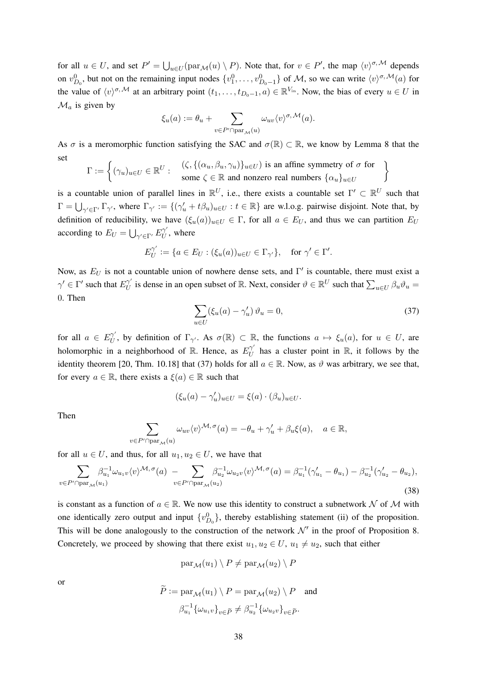for all  $u \in U$ , and set  $P' = \bigcup_{u \in U} (\text{par}_{\mathcal{M}}(u) \setminus P)$ . Note that, for  $v \in P'$ , the map  $\langle v \rangle^{\sigma, \mathcal{M}}$  depends on  $v_{D_0}^0$ , but not on the remaining input nodes  $\{v_1^0, \ldots, v_{D_0-1}^0\}$  of M, so we can write  $\langle v \rangle^{\sigma, \mathcal{M}}(a)$  for the value of  $\langle v \rangle^{\sigma, M}$  at an arbitrary point  $(t_1, \ldots, t_{D_0-1}, a) \in \mathbb{R}^{V_{in}}$ . Now, the bias of every  $u \in U$  in  $\mathcal{M}_a$  is given by

$$
\xi_u(a):=\theta_u+\sum_{v\in P'\cap\mathrm{par}_{\mathcal{M}}(u)}\omega_{uv}\langle v\rangle^{\sigma,\,\mathcal{M}}(a).
$$

As  $\sigma$  is a meromorphic function satisfying the SAC and  $\sigma(\mathbb{R}) \subset \mathbb{R}$ , we know by Lemma 8 that the set

$$
\Gamma := \left\{ (\gamma_u)_{u \in U} \in \mathbb{R}^U : \begin{array}{c} (\zeta, \{(\alpha_u, \beta_u, \gamma_u)\}_{u \in U}) \text{ is an affine symmetry of } \sigma \text{ for} \\ \text{some } \zeta \in \mathbb{R} \text{ and nonzero real numbers } \{\alpha_u\}_{u \in U} \end{array} \right\}
$$

is a countable union of parallel lines in  $\mathbb{R}^U$ , i.e., there exists a countable set  $\Gamma' \subset \mathbb{R}^U$  such that  $\Gamma = \bigcup_{\gamma' \in \Gamma'} \Gamma_{\gamma'}$ , where  $\Gamma_{\gamma'} := \{ (\gamma'_u + t\beta_u)_{u \in U} : t \in \mathbb{R} \}$  are w.l.o.g. pairwise disjoint. Note that, by definition of reducibility, we have  $(\xi_u(a))_{u\in U} \in \Gamma$ , for all  $a \in E_U$ , and thus we can partition  $E_U$ according to  $E_U = \bigcup_{\gamma' \in \Gamma'} E_U^{\gamma'}$  $U_U^{\gamma}$ , where

$$
E_U^{\gamma'} := \{ a \in E_U : (\xi_u(a))_{u \in U} \in \Gamma_{\gamma'} \}, \quad \text{for } \gamma' \in \Gamma'.
$$

Now, as  $E_U$  is not a countable union of nowhere dense sets, and  $\Gamma'$  is countable, there must exist a  $\gamma' \in \Gamma'$  such that  $E^{\gamma'}_{U}$  $U$  is dense in an open subset of R. Next, consider  $\theta \in \mathbb{R}^U$  such that  $\sum_{u \in U} \beta_u \theta_u =$ 0. Then

$$
\sum_{u \in U} (\xi_u(a) - \gamma'_u) \,\vartheta_u = 0,\tag{37}
$$

for all  $a \in E^{\gamma'}_{II}$  $U$ , by definition of Γ<sub>γ'</sub>. As  $\sigma(\mathbb{R}) \subset \mathbb{R}$ , the functions  $a \mapsto \xi_u(a)$ , for  $u \in U$ , are holomorphic in a neighborhood of R. Hence, as  $E_{U}^{\gamma'}$  $U$  has a cluster point in  $\mathbb{R}$ , it follows by the identity theorem [20, Thm. 10.18] that (37) holds for all  $a \in \mathbb{R}$ . Now, as  $\vartheta$  was arbitrary, we see that, for every  $a \in \mathbb{R}$ , there exists a  $\xi(a) \in \mathbb{R}$  such that

$$
(\xi_u(a) - \gamma'_u)_{u \in U} = \xi(a) \cdot (\beta_u)_{u \in U}.
$$

Then

$$
\sum_{v \in P' \cap \text{par}_{\mathcal{M}}(u)} \omega_{uv} \langle v \rangle^{\mathcal{M}, \sigma}(a) = -\theta_u + \gamma'_u + \beta_u \xi(a), \quad a \in \mathbb{R},
$$

for all  $u \in U$ , and thus, for all  $u_1, u_2 \in U$ , we have that

$$
\sum_{v \in P' \cap \text{par}_{\mathcal{M}}(u_1)} \beta_{u_1}^{-1} \omega_{u_1 v} \langle v \rangle^{\mathcal{M}, \sigma}(a) - \sum_{v \in P' \cap \text{par}_{\mathcal{M}}(u_2)} \beta_{u_2}^{-1} \omega_{u_2 v} \langle v \rangle^{\mathcal{M}, \sigma}(a) = \beta_{u_1}^{-1} (\gamma'_{u_1} - \theta_{u_1}) - \beta_{u_2}^{-1} (\gamma'_{u_2} - \theta_{u_2}),
$$
\n(38)

is constant as a function of  $a \in \mathbb{R}$ . We now use this identity to construct a subnetwork N of M with one identically zero output and input  $\{v_{D_0}^0\}$ , thereby establishing statement (ii) of the proposition. This will be done analogously to the construction of the network  $\mathcal{N}'$  in the proof of Proposition 8. Concretely, we proceed by showing that there exist  $u_1, u_2 \in U$ ,  $u_1 \neq u_2$ , such that either

$$
\mathrm{par}_{\mathcal{M}}(u_1) \setminus P \neq \mathrm{par}_{\mathcal{M}}(u_2) \setminus P
$$

or

$$
\widetilde{P} := \operatorname{par}_{\mathcal{M}}(u_1) \setminus P = \operatorname{par}_{\mathcal{M}}(u_2) \setminus P \quad \text{and}
$$

$$
\beta_{u_1}^{-1} \{\omega_{u_1 v}\}_{v \in \widetilde{P}} \neq \beta_{u_2}^{-1} \{\omega_{u_2 v}\}_{v \in \widetilde{P}}.
$$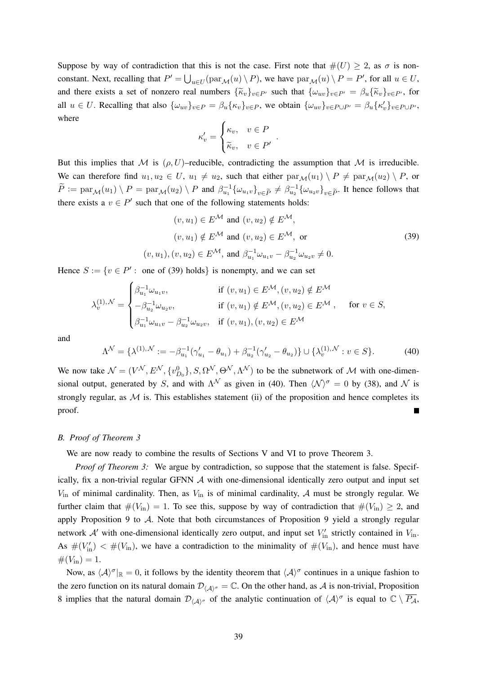Suppose by way of contradiction that this is not the case. First note that  $\#(U) \geq 2$ , as  $\sigma$  is nonconstant. Next, recalling that  $P' = \bigcup_{u \in U} (\text{par}_{\mathcal{M}}(u) \setminus P)$ , we have  $\text{par}_{\mathcal{M}}(u) \setminus P = P'$ , for all  $u \in U$ , and there exists a set of nonzero real numbers  $\{\widetilde{\kappa}_v\}_{v\in P}$  such that  $\{\omega_{uv}\}_{v\in P'} = \beta_u \{\widetilde{\kappa}_v\}_{v\in P'}$ , for all  $u \in U$ . Recalling that also  $\{\omega_{uv}\}_{v \in P} = \beta_u \{\kappa_v\}_{v \in P}$ , we obtain  $\{\omega_{uv}\}_{v \in P \cup P'} = \beta_u \{\kappa_v'\}_{v \in P \cup P'}$ , where

$$
\kappa'_v = \begin{cases} \kappa_v, & v \in P \\ \tilde{\kappa}_v, & v \in P' \end{cases}
$$

But this implies that M is  $(\rho, U)$ –reducible, contradicting the assumption that M is irreducible. We can therefore find  $u_1, u_2 \in U$ ,  $u_1 \neq u_2$ , such that either  $\text{par}_{\mathcal{M}}(u_1) \setminus P \neq \text{par}_{\mathcal{M}}(u_2) \setminus P$ , or  $\widetilde{P} := \text{par}_{\mathcal{M}}(u_1) \setminus P = \text{par}_{\mathcal{M}}(u_2) \setminus P$  and  $\beta_{u_1}^{-1} {\{\omega_{u_1v}\}}_{v \in \widetilde{P}} \neq \beta_{u_2}^{-1} {\{\omega_{u_2v}\}}_{v \in \widetilde{P}}$ . It hence follows that there exists a  $v \in P'$  such that one of the following statements holds:

$$
(v, u_1) \in E^{\mathcal{M}} \text{ and } (v, u_2) \notin E^{\mathcal{M}},
$$
  
\n
$$
(v, u_1) \notin E^{\mathcal{M}} \text{ and } (v, u_2) \in E^{\mathcal{M}}, \text{ or}
$$
  
\n
$$
(v, u_1), (v, u_2) \in E^{\mathcal{M}}, \text{ and } \beta_{u_1}^{-1} \omega_{u_1 v} - \beta_{u_2}^{-1} \omega_{u_2 v} \neq 0.
$$
\n(39)

.

Hence  $S := \{v \in P' : \text{ one of (39) holds} \}$  is nonempty, and we can set

$$
\lambda_v^{(1),\mathcal{N}} = \begin{cases} \beta_{u_1}^{-1} \omega_{u_1 v}, & \text{if } (v, u_1) \in E^{\mathcal{M}}, (v, u_2) \notin E^{\mathcal{M}} \\ -\beta_{u_2}^{-1} \omega_{u_2 v}, & \text{if } (v, u_1) \notin E^{\mathcal{M}}, (v, u_2) \in E^{\mathcal{M}} , \quad \text{for } v \in S, \\ \beta_{u_1}^{-1} \omega_{u_1 v} - \beta_{u_2}^{-1} \omega_{u_2 v}, & \text{if } (v, u_1), (v, u_2) \in E^{\mathcal{M}} \end{cases}
$$

and

$$
\Lambda^{\mathcal{N}} = \{ \lambda^{(1), \mathcal{N}} := -\beta_{u_1}^{-1} (\gamma_{u_1}^{\prime} - \theta_{u_1}) + \beta_{u_2}^{-1} (\gamma_{u_2}^{\prime} - \theta_{u_2}) \} \cup \{ \lambda_v^{(1), \mathcal{N}} : v \in S \}.
$$
 (40)

We now take  $\mathcal{N} = (V^{\mathcal{N}}, E^{\mathcal{N}}, \{v_{D_0}^0\}, S, \Omega^{\mathcal{N}}, \Theta^{\mathcal{N}}, \Lambda^{\mathcal{N}})$  to be the subnetwork of  $\mathcal{M}$  with one-dimensional output, generated by S, and with  $\Lambda^{\mathcal{N}}$  as given in (40). Then  $\langle \mathcal{N} \rangle^{\sigma} = 0$  by (38), and  $\mathcal{N}$  is strongly regular, as  $M$  is. This establishes statement (ii) of the proposition and hence completes its proof.

#### *B. Proof of Theorem 3*

We are now ready to combine the results of Sections V and VI to prove Theorem 3.

*Proof of Theorem 3:* We argue by contradiction, so suppose that the statement is false. Specifically, fix a non-trivial regular GFNN A with one-dimensional identically zero output and input set  $V_{\text{in}}$  of minimal cardinality. Then, as  $V_{\text{in}}$  is of minimal cardinality, A must be strongly regular. We further claim that  $\#(V_{\text{in}}) = 1$ . To see this, suppose by way of contradiction that  $\#(V_{\text{in}}) \geq 2$ , and apply Proposition 9 to A. Note that both circumstances of Proposition 9 yield a strongly regular network  $A'$  with one-dimensional identically zero output, and input set  $V'_{in}$  strictly contained in  $V_{in}$ . As  $\#(V'_{\text{in}})$   $\lt \#(V_{\text{in}})$ , we have a contradiction to the minimality of  $\#(V_{\text{in}})$ , and hence must have  $#(V_{\text{in}}) = 1.$ 

Now, as  $\langle A \rangle^{\sigma}|_{\mathbb{R}} = 0$ , it follows by the identity theorem that  $\langle A \rangle^{\sigma}$  continues in a unique fashion to the zero function on its natural domain  $\mathcal{D}_{(A)\sigma} = \mathbb{C}$ . On the other hand, as A is non-trivial, Proposition 8 implies that the natural domain  $\mathcal{D}_{\langle A \rangle^{\sigma}}$  of the analytic continuation of  $\langle A \rangle^{\sigma}$  is equal to  $\mathbb{C} \setminus \overline{P_A}$ ,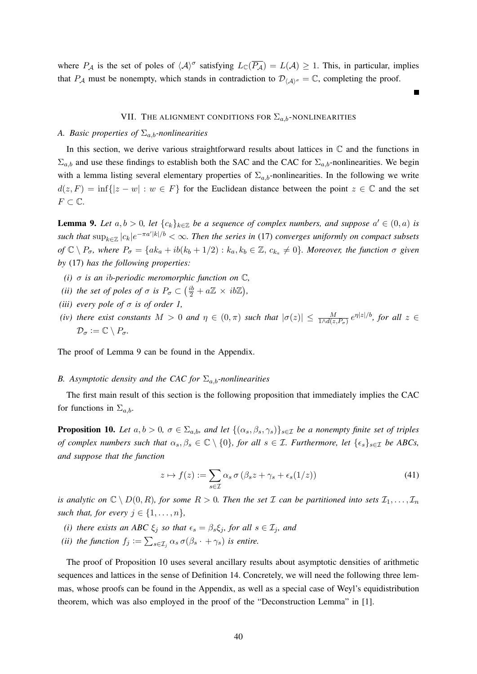where  $P_A$  is the set of poles of  $\langle A \rangle^{\sigma}$  satisfying  $L_{\mathbb{C}}(\overline{P_A}) = L(A) \geq 1$ . This, in particular, implies that P<sub>A</sub> must be nonempty, which stands in contradiction to  $\mathcal{D}_{(A)^\sigma} = \mathbb{C}$ , completing the proof.

## VII. THE ALIGNMENT CONDITIONS FOR  $\Sigma_{a,b}$ -NONLINEARITIES

## *A. Basic properties of*  $\Sigma_{a,b}$ *-nonlinearities*

In this section, we derive various straightforward results about lattices in  $\mathbb C$  and the functions in  $\Sigma_{a,b}$  and use these findings to establish both the SAC and the CAC for  $\Sigma_{a,b}$ -nonlinearities. We begin with a lemma listing several elementary properties of  $\Sigma_{a,b}$ -nonlinearities. In the following we write  $d(z, F) = \inf\{|z - w| : w \in F\}$  for the Euclidean distance between the point  $z \in \mathbb{C}$  and the set  $F \subset \mathbb{C}$ .

**Lemma 9.** Let  $a, b > 0$ , let  ${c_k}_{k \in \mathbb{Z}}$  be a sequence of complex numbers, and suppose  $a' \in (0, a)$  is  $\sup_{k\in\mathbb{Z}}|c_k|e^{-\pi a' |k|/b}<\infty$ . Then the series in (17) converges uniformly on compact subsets  $of \mathbb{C} \setminus P_{\sigma}$ , where  $P_{\sigma} = \{ak_a + ib(k_b + 1/2) : k_a, k_b \in \mathbb{Z}, c_{k_a} \neq 0\}$ . Moreover, the function  $\sigma$  given *by* (17) *has the following properties:*

- *(i)* σ *is an* ib*-periodic meromorphic function on* C*,*
- *(ii) the set of poles of*  $\sigma$  *is*  $P_{\sigma} \subset (\frac{ib}{2} + a\mathbb{Z} \times ib\mathbb{Z})$ ,
- *(iii) every pole of*  $\sigma$  *is of order 1,*
- *(iv) there exist constants*  $M > 0$  *and*  $\eta \in (0, \pi)$  *such that*  $|\sigma(z)| \leq \frac{M}{1 \wedge d(z, P_{\sigma})} e^{\eta |z|/b}$ , for all  $z \in$  $\mathcal{D}_{\sigma} := \mathbb{C} \setminus P_{\sigma}.$

The proof of Lemma 9 can be found in the Appendix.

#### *B.* Asymptotic density and the CAC for  $\Sigma_{a,b}$ -nonlinearities

The first main result of this section is the following proposition that immediately implies the CAC for functions in  $\Sigma_{a,b}$ .

**Proposition 10.** *Let*  $a, b > 0$ ,  $\sigma \in \Sigma_{a,b}$ , and let  $\{(\alpha_s, \beta_s, \gamma_s)\}_{s \in \mathcal{I}}$  *be a nonempty finite set of triples of complex numbers such that*  $\alpha_s, \beta_s \in \mathbb{C} \setminus \{0\}$ , for all  $s \in \mathcal{I}$ . Furthermore, let  $\{\epsilon_s\}_{s \in \mathcal{I}}$  be ABCs, *and suppose that the function*

$$
z \mapsto f(z) := \sum_{s \in \mathcal{I}} \alpha_s \sigma \left( \beta_s z + \gamma_s + \epsilon_s (1/z) \right) \tag{41}
$$

*is analytic on*  $\mathbb{C} \setminus D(0,R)$ *, for some*  $R > 0$ *. Then the set*  $\mathcal I$  *can be partitioned into sets*  $\mathcal I_1, \ldots, \mathcal I_n$ *such that, for every*  $j \in \{1, \ldots, n\}$ ,

- *(i) there exists an ABC*  $\xi_j$  *so that*  $\epsilon_s = \beta_s \xi_j$ *, for all*  $s \in \mathcal{I}_j$ *, and*
- (*ii*) the function  $f_j := \sum_{s \in \mathcal{I}_j} \alpha_s \, \sigma(\beta_s \cdot + \gamma_s)$  is entire.

The proof of Proposition 10 uses several ancillary results about asymptotic densities of arithmetic sequences and lattices in the sense of Definition 14. Concretely, we will need the following three lemmas, whose proofs can be found in the Appendix, as well as a special case of Weyl's equidistribution theorem, which was also employed in the proof of the "Deconstruction Lemma" in [1].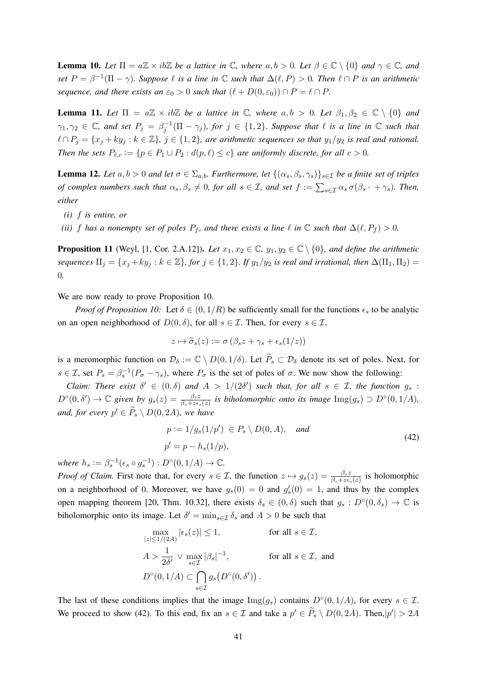**Lemma 10.** Let  $\Pi = a\mathbb{Z} \times ib\mathbb{Z}$  be a lattice in  $\mathbb{C}$ , where  $a, b > 0$ . Let  $\beta \in \mathbb{C} \setminus \{0\}$  and  $\gamma \in \mathbb{C}$ , and *set*  $P = \beta^{-1}(\Pi - \gamma)$ *. Suppose*  $\ell$  *is a line in*  $\mathbb C$  *such that*  $\Delta(\ell, P) > 0$ *. Then*  $\ell \cap P$  *is an arithmetic sequence, and there exists an*  $\varepsilon_0 > 0$  *such that*  $(\ell + D(0, \varepsilon_0)) \cap P = \ell \cap P$ *.* 

**Lemma 11.** Let  $\Pi = a\mathbb{Z} \times ib\mathbb{Z}$  be a lattice in  $\mathbb{C}$ , where  $a, b > 0$ . Let  $\beta_1, \beta_2 \in \mathbb{C} \setminus \{0\}$  and  $\gamma_1, \gamma_2 \in \mathbb{C}$ , and set  $P_j = \beta_j^{-1}(\Pi - \gamma_j)$ , for  $j \in \{1,2\}$ . Suppose that  $\ell$  is a line in  $\mathbb C$  such that  $\ell \cap P_j = \{x_j + ky_j : k \in \mathbb{Z}\}, j \in \{1, 2\},\$ are arithmetic sequences so that  $y_1/y_2$  is real and rational. *Then the sets*  $P_{\ell,c} := \{p \in P_1 \cup P_2 : d(p,\ell) \leq c\}$  *are uniformly discrete, for all*  $c > 0$ *.* 

**Lemma 12.** *Let*  $a, b > 0$  *and let*  $\sigma \in \Sigma_{a,b}$ *. Furthermore, let*  $\{(\alpha_s, \beta_s, \gamma_s)\}_{s \in \mathcal{I}}$  *be a finite set of triples of complex numbers such that*  $\alpha_s$ ,  $\beta_s \neq 0$ , for all  $s \in I$ , and set  $f := \sum_{s \in I} \alpha_s \sigma(\beta_s \cdot + \gamma_s)$ . Then, *either*

- *(i)* f *is entire, or*
- *(ii)* f has a nonempty set of poles  $P_f$ , and there exists a line  $\ell$  in  $\mathbb C$  *such that*  $\Delta(\ell, P_f) > 0$ *.*

**Proposition 11** (Weyl, [1, Cor. 2.A.12]). Let  $x_1, x_2 \in \mathbb{C}$ ,  $y_1, y_2 \in \mathbb{C} \setminus \{0\}$ , and define the arithmetic *sequences*  $\Pi_j = \{x_j + ky_j : k \in \mathbb{Z}\}$ , for  $j \in \{1, 2\}$ . If  $y_1/y_2$  is real and irrational, then  $\Delta(\Pi_1, \Pi_2)$  = 0*.*

We are now ready to prove Proposition 10.

*Proof of Proposition 10:* Let  $\delta \in (0, 1/R)$  be sufficiently small for the functions  $\epsilon_s$  to be analytic on an open neighborhood of  $D(0, \delta)$ , for all  $s \in \mathcal{I}$ . Then, for every  $s \in \mathcal{I}$ ,

$$
z \mapsto \widetilde{\sigma}_s(z) := \sigma \left( \beta_s z + \gamma_s + \epsilon_s(1/z) \right)
$$

is a meromorphic function on  $\mathcal{D}_{\delta} := \mathbb{C} \setminus D(0, 1/\delta)$ . Let  $\widetilde{P}_{s} \subset \mathcal{D}_{\delta}$  denote its set of poles. Next, for  $s \in \mathcal{I}$ , set  $P_s = \beta_s^{-1}(P_\sigma - \gamma_s)$ , where  $P_\sigma$  is the set of poles of  $\sigma$ . We now show the following:

*Claim: There exist*  $\delta' \in (0,\delta)$  *and*  $A > 1/(2\delta')$  *such that, for all*  $s \in \mathcal{I}$ *, the function*  $g_s$ :  $D^{\circ}(0, \delta') \to \mathbb{C}$  given by  $g_s(z) = \frac{\beta_s z}{\beta_s + z \epsilon_s(z)}$  is biholomorphic onto its image  $\text{Img}(g_s) \supset D^{\circ}(0, 1/A)$ , and, for every  $p' \in \widetilde{P}_s \setminus D(0, 2A)$ , we have

$$
p := 1/g_s(1/p') \in P_s \setminus D(0, A), \quad \text{and}
$$
  
\n
$$
p' = p - h_s(1/p),
$$
\n(42)

*where*  $h_s := \beta_s^{-1}(\epsilon_s \circ g_s^{-1}) : D^{\circ}(0, 1/A) \to \mathbb{C}$ *.* 

*Proof of Claim.* First note that, for every  $s \in \mathcal{I}$ , the function  $z \mapsto g_s(z) = \frac{\beta_s z}{\beta_s + z \epsilon_s(z)}$  is holomorphic on a neighborhood of 0. Moreover, we have  $g_s(0) = 0$  and  $g'_s(0) = 1$ , and thus by the complex open mapping theorem [20, Thm. 10.32], there exists  $\delta_s \in (0,\delta)$  such that  $g_s : D^{\circ}(0,\delta_s) \to \mathbb{C}$  is biholomorphic onto its image. Let  $\delta' = \min_{s \in \mathcal{I}} \delta_s$  and  $A > 0$  be such that

$$
\max_{|z| \le 1/(2A)} |\epsilon_s(z)| \le 1,
$$
 for all  $s \in \mathcal{I}$ ,  
\n
$$
A > \frac{1}{2\delta'} \vee \max_{s \in \mathcal{I}} |\beta_s|^{-1},
$$
 for all  $s \in \mathcal{I}$ , and  
\n
$$
D^{\circ}(0, 1/A) \subset \bigcap_{s \in \mathcal{I}} g_s(D^{\circ}(0, \delta')).
$$

The last of these conditions implies that the image  $\text{Img}(g_s)$  contains  $D^{\circ}(0,1/A)$ , for every  $s \in \mathcal{I}$ . We proceed to show (42). To this end, fix an  $s \in \mathcal{I}$  and take a  $p' \in \widetilde{P}_s \setminus D(0, 2A)$ . Then,  $|p'| > 2A$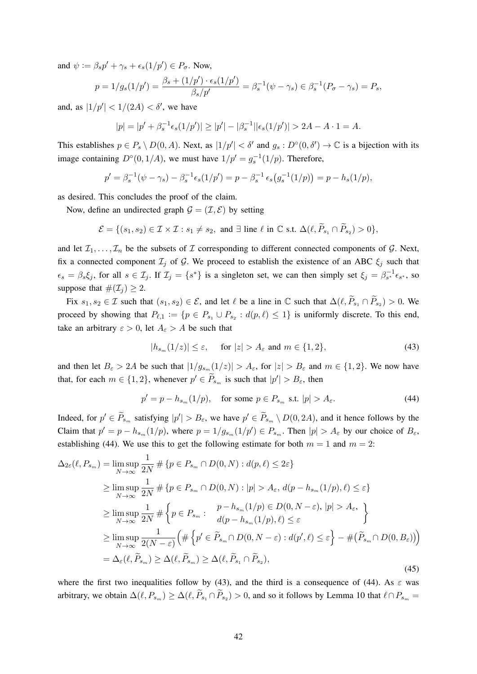and  $\psi := \beta_s p' + \gamma_s + \epsilon_s(1/p') \in P_{\sigma}$ . Now,

$$
p = 1/g_s(1/p') = \frac{\beta_s + (1/p') \cdot \epsilon_s(1/p')}{\beta_s/p'} = \beta_s^{-1}(\psi - \gamma_s) \in \beta_s^{-1}(P_\sigma - \gamma_s) = P_s,
$$

and, as  $|1/p'| < 1/(2A) < \delta'$ , we have

$$
|p| = |p' + \beta_s^{-1} \epsilon_s(1/p')| \ge |p'| - |\beta_s^{-1}| |\epsilon_s(1/p')| > 2A - A \cdot 1 = A.
$$

This establishes  $p \in P_s \setminus D(0, A)$ . Next, as  $|1/p'| < \delta'$  and  $g_s : D^{\circ}(0, \delta') \to \mathbb{C}$  is a bijection with its image containing  $D^{\circ}(0,1/A)$ , we must have  $1/p' = g_s^{-1}(1/p)$ . Therefore,

$$
p' = \beta_s^{-1}(\psi - \gamma_s) - \beta_s^{-1} \epsilon_s(1/p') = p - \beta_s^{-1} \epsilon_s(g_s^{-1}(1/p)) = p - h_s(1/p),
$$

as desired. This concludes the proof of the claim.

Now, define an undirected graph  $\mathcal{G} = (\mathcal{I}, \mathcal{E})$  by setting

$$
\mathcal{E} = \{ (s_1, s_2) \in \mathcal{I} \times \mathcal{I} : s_1 \neq s_2, \text{ and } \exists \text{ line } \ell \text{ in } \mathbb{C} \text{ s.t. } \Delta(\ell, \widetilde{P}_{s_1} \cap \widetilde{P}_{s_2}) > 0 \},
$$

and let  $\mathcal{I}_1, \ldots, \mathcal{I}_n$  be the subsets of  $\mathcal I$  corresponding to different connected components of  $\mathcal G$ . Next, fix a connected component  $\mathcal{I}_j$  of  $\mathcal{G}$ . We proceed to establish the existence of an ABC  $\xi_j$  such that  $\epsilon_s = \beta_s \xi_j$ , for all  $s \in \mathcal{I}_j$ . If  $\mathcal{I}_j = \{s^*\}$  is a singleton set, we can then simply set  $\xi_j = \beta_{s^*}^{-1} \epsilon_{s^*}$ , so suppose that  $\#(\mathcal{I}_i) \geq 2$ .

Fix  $s_1, s_2 \in \mathcal{I}$  such that  $(s_1, s_2) \in \mathcal{E}$ , and let  $\ell$  be a line in  $\mathbb C$  such that  $\Delta(\ell, \widetilde{P}_{s_1} \cap \widetilde{P}_{s_2}) > 0$ . We proceed by showing that  $P_{\ell,1} := \{p \in P_{s_1} \cup P_{s_2} : d(p,\ell) \leq 1\}$  is uniformly discrete. To this end, take an arbitrary  $\varepsilon > 0$ , let  $A_{\varepsilon} > A$  be such that

$$
|h_{s_m}(1/z)| \le \varepsilon, \quad \text{ for } |z| > A_{\varepsilon} \text{ and } m \in \{1, 2\},\tag{43}
$$

and then let  $B_{\varepsilon} > 2A$  be such that  $|1/g_{s_m}(1/z)| > A_{\varepsilon}$ , for  $|z| > B_{\varepsilon}$  and  $m \in \{1,2\}$ . We now have that, for each  $m \in \{1, 2\}$ , whenever  $p' \in \widetilde{P}_{s_m}$  is such that  $|p'| > B_{\varepsilon}$ , then

$$
p' = p - h_{s_m}(1/p), \quad \text{for some } p \in P_{s_m} \text{ s.t. } |p| > A_{\varepsilon}.
$$
 (44)

Indeed, for  $p' \in \tilde{P}_{s_m}$  satisfying  $|p'| > B_{\varepsilon}$ , we have  $p' \in \tilde{P}_{s_m} \setminus D(0, 2A)$ , and it hence follows by the Claim that  $p' = p - h_{s_m}(1/p)$ , where  $p = 1/g_{s_m}(1/p') \in P_{s_m}$ . Then  $|p| > A_{\varepsilon}$  by our choice of  $B_{\varepsilon}$ , establishing (44). We use this to get the following estimate for both  $m = 1$  and  $m = 2$ :

$$
\Delta_{2\varepsilon}(\ell, P_{s_m}) = \limsup_{N \to \infty} \frac{1}{2N} \# \{ p \in P_{s_m} \cap D(0, N) : d(p, \ell) \le 2\varepsilon \}
$$
  
\n
$$
\ge \limsup_{N \to \infty} \frac{1}{2N} \# \{ p \in P_{s_m} \cap D(0, N) : |p| > A_{\varepsilon}, d(p - h_{s_m}(1/p), \ell) \le \varepsilon \}
$$
  
\n
$$
\ge \limsup_{N \to \infty} \frac{1}{2N} \# \{ p \in P_{s_m} : \begin{cases} p - h_{s_m}(1/p) \in D(0, N - \varepsilon), |p| > A_{\varepsilon}, \\ d(p - h_{s_m}(1/p), \ell) \le \varepsilon \end{cases} \}
$$
  
\n
$$
\ge \limsup_{N \to \infty} \frac{1}{2(N - \varepsilon)} \Big( \# \{ p' \in \widetilde{P}_{s_m} \cap D(0, N - \varepsilon) : d(p', \ell) \le \varepsilon \} - \# (\widetilde{P}_{s_m} \cap D(0, B_{\varepsilon})) \Big)
$$
  
\n
$$
= \Delta_{\varepsilon}(\ell, \widetilde{P}_{s_m}) \ge \Delta(\ell, \widetilde{P}_{s_m}) \ge \Delta(\ell, \widetilde{P}_{s_1} \cap \widetilde{P}_{s_2}), \tag{45}
$$

where the first two inequalities follow by (43), and the third is a consequence of (44). As  $\varepsilon$  was arbitrary, we obtain  $\Delta(\ell, P_{s_m}) \ge \Delta(\ell, P_{s_1} \cap P_{s_2}) > 0$ , and so it follows by Lemma 10 that  $\ell \cap P_{s_m} =$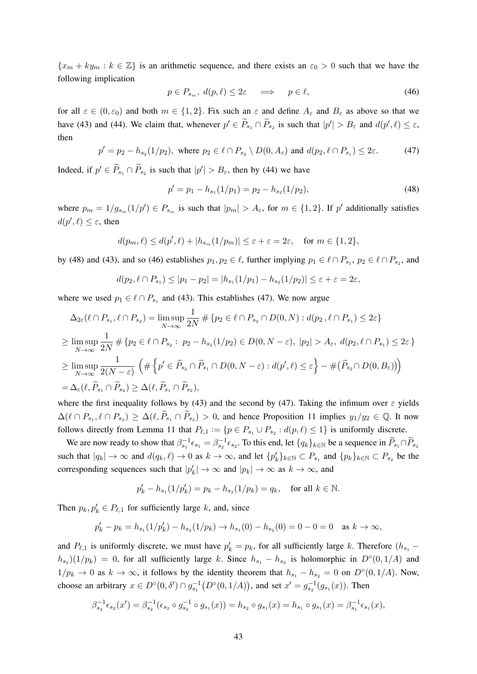${x_m + k y_m : k \in \mathbb{Z}}$  is an arithmetic sequence, and there exists an  $\varepsilon_0 > 0$  such that we have the following implication

$$
p \in P_{s_m}, \ d(p,\ell) \le 2\varepsilon \quad \implies \quad p \in \ell,\tag{46}
$$

for all  $\varepsilon \in (0, \varepsilon_0)$  and both  $m \in \{1, 2\}$ . Fix such an  $\varepsilon$  and define  $A_\varepsilon$  and  $B_\varepsilon$  as above so that we have (43) and (44). We claim that, whenever  $p' \in \widetilde{P}_{s_1} \cap \widetilde{P}_{s_2}$  is such that  $|p'| > B_{\varepsilon}$  and  $d(p', \ell) \leq \varepsilon$ , then

$$
p' = p_2 - h_{s_2}(1/p_2), \text{ where } p_2 \in \ell \cap P_{s_2} \setminus D(0, A_{\varepsilon}) \text{ and } d(p_2, \ell \cap P_{s_1}) \le 2\varepsilon. \tag{47}
$$

Indeed, if  $p' \in \widetilde{P}_{s_1} \cap \widetilde{P}_{s_2}$  is such that  $|p'| > B_{\varepsilon}$ , then by (44) we have

$$
p' = p_1 - h_{s_1}(1/p_1) = p_2 - h_{s_2}(1/p_2),
$$
\n(48)

where  $p_m = 1/g_{s_m}(1/p') \in P_{s_m}$  is such that  $|p_m| > A_{\varepsilon}$ , for  $m \in \{1,2\}$ . If  $p'$  additionally satisfies  $d(p', \ell) \leq \varepsilon$ , then

$$
d(p_m, \ell) \le d(p', \ell) + |h_{s_m}(1/p_m)| \le \varepsilon + \varepsilon = 2\varepsilon, \quad \text{for } m \in \{1, 2\},\
$$

by (48) and (43), and so (46) establishes  $p_1, p_2 \in \ell$ , further implying  $p_1 \in \ell \cap P_{s_1}, p_2 \in \ell \cap P_{s_2}$ , and

$$
d(p_2, \ell \cap P_{s_1}) \le |p_1 - p_2| = |h_{s_1}(1/p_1) - h_{s_2}(1/p_2)| \le \varepsilon + \varepsilon = 2\varepsilon,
$$

where we used  $p_1 \in \ell \cap P_{s_1}$  and (43). This establishes (47). We now argue

$$
\Delta_{2\varepsilon}(\ell \cap P_{s_1}, \ell \cap P_{s_2}) = \limsup_{N \to \infty} \frac{1}{2N} \# \{p_2 \in \ell \cap P_{s_2} \cap D(0, N) : d(p_2, \ell \cap P_{s_1}) \le 2\varepsilon\}
$$
  
\n
$$
\ge \limsup_{N \to \infty} \frac{1}{2N} \# \{p_2 \in \ell \cap P_{s_2} : p_2 - h_{s_2}(1/p_2) \in D(0, N - \varepsilon), |p_2| > A_{\varepsilon}, d(p_2, \ell \cap P_{s_1}) \le 2\varepsilon\}
$$
  
\n
$$
\ge \limsup_{N \to \infty} \frac{1}{2(N - \varepsilon)} \left( \# \left\{p' \in \widetilde{P}_{s_2} \cap \widetilde{P}_{s_1} \cap D(0, N - \varepsilon) : d(p', \ell) \le \varepsilon\right\} - \#(\widetilde{P}_{s_2} \cap D(0, B_{\varepsilon}))\right)
$$
  
\n
$$
= \Delta_{\varepsilon}(\ell, \widetilde{P}_{s_1} \cap \widetilde{P}_{s_2}) \ge \Delta(\ell, \widetilde{P}_{s_1} \cap \widetilde{P}_{s_2}),
$$

where the first inequality follows by (43) and the second by (47). Taking the infimum over  $\varepsilon$  yields  $\Delta(\ell \cap P_{s_1}, \ell \cap P_{s_2}) \geq \Delta(\ell, \widetilde{P}_{s_1} \cap \widetilde{P}_{s_2}) > 0$ , and hence Proposition 11 implies  $y_1/y_2 \in \mathbb{Q}$ . It now follows directly from Lemma 11 that  $P_{\ell,1} := \{p \in P_{s_1} \cup P_{s_2} : d(p,\ell) \leq 1\}$  is uniformly discrete.

We are now ready to show that  $\beta_{s_1}^{-1} \epsilon_{s_1} = \beta_{s_2}^{-1} \epsilon_{s_2}$ . To this end, let  $\{q_k\}_{k \in \mathbb{N}}$  be a sequence in  $\widetilde{P}_{s_1} \cap \widetilde{P}_{s_2}$ such that  $|q_k| \to \infty$  and  $d(q_k, \ell) \to 0$  as  $k \to \infty$ , and let  $\{p_k'\}_{k \in \mathbb{N}} \subset P_{s_1}$  and  $\{p_k\}_{k \in \mathbb{N}} \subset P_{s_2}$  be the corresponding sequences such that  $|p'_k| \to \infty$  and  $|p_k| \to \infty$  as  $k \to \infty$ , and

$$
p'_k - h_{s_1}(1/p'_k) = p_k - h_{s_2}(1/p_k) = q_k, \text{ for all } k \in \mathbb{N}.
$$

Then  $p_k, p'_k \in P_{\ell,1}$  for sufficiently large k, and, since

$$
p'_{k} - p_{k} = h_{s_1}(1/p'_{k}) - h_{s_2}(1/p_{k}) \to h_{s_1}(0) - h_{s_2}(0) = 0 - 0 = 0 \text{ as } k \to \infty,
$$

and  $P_{\ell,1}$  is uniformly discrete, we must have  $p'_k = p_k$ , for all sufficiently large k. Therefore  $(h_{s_1} - h_{s_2})$  $(h_{s_2})(1/p_k) = 0$ , for all sufficiently large k. Since  $h_{s_1} - h_{s_2}$  is holomorphic in  $D^{\circ}(0,1/A)$  and  $1/p_k \to 0$  as  $k \to \infty$ , it follows by the identity theorem that  $h_{s_1} - h_{s_2} = 0$  on  $D°(0, 1/A)$ . Now, choose an arbitrary  $x \in D^{\circ}(0, \delta') \cap g_{s_1}^{-1}(D^{\circ}(0, 1/A))$ , and set  $x' = g_{s_2}^{-1}(g_{s_1}(x))$ . Then

$$
\beta_{s_2}^{-1}\epsilon_{s_2}(x') = \beta_{s_2}^{-1}(\epsilon_{s_2} \circ g_{s_2}^{-1} \circ g_{s_1}(x)) = h_{s_2} \circ g_{s_1}(x) = h_{s_1} \circ g_{s_1}(x) = \beta_{s_1}^{-1}\epsilon_{s_1}(x),
$$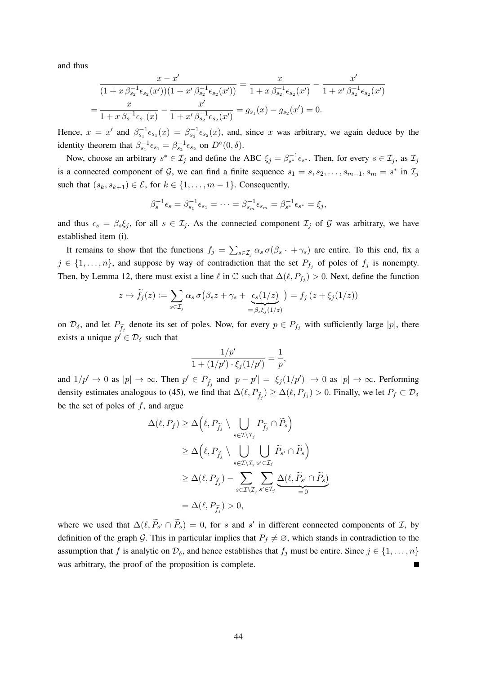and thus

$$
\frac{x - x'}{(1 + x \beta_{s_2}^{-1} \epsilon_{s_2}(x'))(1 + x' \beta_{s_2}^{-1} \epsilon_{s_2}(x'))} = \frac{x}{1 + x \beta_{s_2}^{-1} \epsilon_{s_2}(x')} - \frac{x'}{1 + x' \beta_{s_2}^{-1} \epsilon_{s_2}(x')}
$$

$$
= \frac{x}{1 + x \beta_{s_1}^{-1} \epsilon_{s_1}(x)} - \frac{x'}{1 + x' \beta_{s_2}^{-1} \epsilon_{s_2}(x')} = g_{s_1}(x) - g_{s_2}(x') = 0.
$$

Hence,  $x = x'$  and  $\beta_{s_1}^{-1} \epsilon_{s_1}(x) = \beta_{s_2}^{-1} \epsilon_{s_2}(x)$ , and, since x was arbitrary, we again deduce by the identity theorem that  $\beta_{s_1}^{-1} \epsilon_{s_1} = \beta_{s_2}^{-1} \epsilon_{s_2}$  on  $D^{\circ}(0, \delta)$ .

Now, choose an arbitrary  $s^* \in \mathcal{I}_j$  and define the ABC  $\xi_j = \beta_{s^*}^{-1} \epsilon_{s^*}$ . Then, for every  $s \in \mathcal{I}_j$ , as  $\mathcal{I}_j$ is a connected component of G, we can find a finite sequence  $s_1 = s, s_2, \ldots, s_{m-1}, s_m = s^*$  in  $\mathcal{I}_j$ such that  $(s_k, s_{k+1}) \in \mathcal{E}$ , for  $k \in \{1, \ldots, m-1\}$ . Consequently,

$$
\beta_s^{-1} \epsilon_s = \beta_{s_1}^{-1} \epsilon_{s_1} = \cdots = \beta_{s_m}^{-1} \epsilon_{s_m} = \beta_{s^*}^{-1} \epsilon_{s^*} = \xi_j,
$$

and thus  $\epsilon_s = \beta_s \xi_j$ , for all  $s \in \mathcal{I}_j$ . As the connected component  $\mathcal{I}_j$  of G was arbitrary, we have established item (i).

It remains to show that the functions  $f_j = \sum_{s \in \mathcal{I}_j} \alpha_s \sigma(\beta_s \cdot + \gamma_s)$  are entire. To this end, fix a  $j \in \{1, \ldots, n\}$ , and suppose by way of contradiction that the set  $P_{f_j}$  of poles of  $f_j$  is nonempty. Then, by Lemma 12, there must exist a line  $\ell$  in  $\mathbb C$  such that  $\Delta(\ell, P_{f_j}) > 0$ . Next, define the function

$$
z \mapsto \widetilde{f}_j(z) := \sum_{s \in \mathcal{I}_j} \alpha_s \, \sigma\big(\beta_s z + \gamma_s + \underbrace{\epsilon_s(1/z)}_{=\beta_s \xi_j(1/z)}\big) = f_j\left(z + \xi_j(1/z)\right)
$$

on  $\mathcal{D}_{\delta}$ , and let  $P_{\tilde{f}_j}$  denote its set of poles. Now, for every  $p \in P_{f_j}$  with sufficiently large  $|p|$ , there exists a unique  $p' \in \mathcal{D}_\delta$  such that

$$
\frac{1/p'}{1+(1/p')\cdot\xi_j(1/p')}=\frac{1}{p},
$$

and  $1/p' \to 0$  as  $|p| \to \infty$ . Then  $p' \in P_{\tilde{f}_j}$  and  $|p - p'| = |\xi_j(1/p')| \to 0$  as  $|p| \to \infty$ . Performing density estimates analogous to (45), we find that  $\Delta(\ell, P_{\tilde{f}_j}) \geq \Delta(\ell, P_{f_j}) > 0$ . Finally, we let  $P_f \subset \mathcal{D}_{\delta}$ be the set of poles of  $f$ , and argue

$$
\Delta(\ell, P_f) \geq \Delta\left(\ell, P_{\widetilde{f}_j} \setminus \bigcup_{s \in \mathcal{I} \setminus \mathcal{I}_j} P_{\widetilde{f}_j} \cap \widetilde{P}_s\right)
$$
  
\n
$$
\geq \Delta\left(\ell, P_{\widetilde{f}_j} \setminus \bigcup_{s \in \mathcal{I} \setminus \mathcal{I}_j} \bigcup_{s' \in \mathcal{I}_j} \widetilde{P}_{s'} \cap \widetilde{P}_s\right)
$$
  
\n
$$
\geq \Delta(\ell, P_{\widetilde{f}_j}) - \sum_{s \in \mathcal{I} \setminus \mathcal{I}_j} \sum_{s' \in \mathcal{I}_j} \Delta(\ell, \widetilde{P}_{s'} \cap \widetilde{P}_s)
$$
  
\n
$$
= \Delta(\ell, P_{\widetilde{f}_j}) > 0,
$$

where we used that  $\Delta(\ell, \widetilde{P}_{s'} \cap \widetilde{P}_s) = 0$ , for s and s' in different connected components of  $\mathcal{I}$ , by definition of the graph G. This in particular implies that  $P_f \neq \emptyset$ , which stands in contradiction to the assumption that f is analytic on  $\mathcal{D}_\delta$ , and hence establishes that  $f_j$  must be entire. Since  $j \in \{1, \ldots, n\}$ was arbitrary, the proof of the proposition is complete.  $\overline{\phantom{a}}$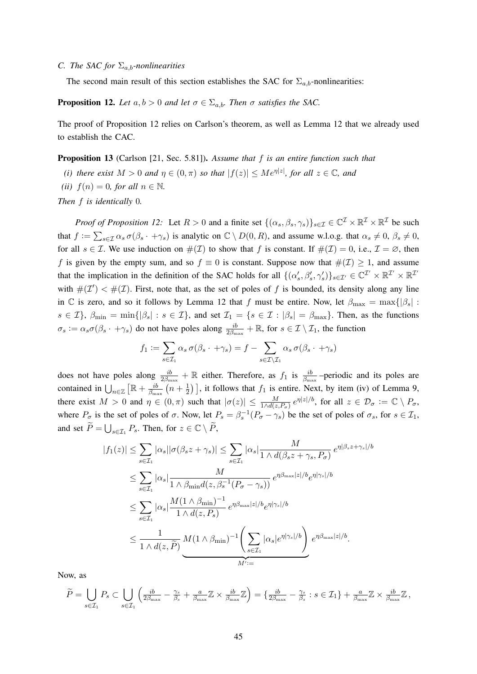## *C. The SAC for*  $\Sigma_{a,b}$ *-nonlinearities*

The second main result of this section establishes the SAC for  $\Sigma_{a,b}$ -nonlinearities:

**Proposition 12.** *Let*  $a, b > 0$  *and let*  $\sigma \in \Sigma_{a,b}$ *. Then*  $\sigma$  *satisfies the SAC.* 

The proof of Proposition 12 relies on Carlson's theorem, as well as Lemma 12 that we already used to establish the CAC.

Proposition 13 (Carlson [21, Sec. 5.81]). *Assume that* f *is an entire function such that*

- *(i) there exist*  $M > 0$  *and*  $\eta \in (0, \pi)$  *so that*  $|f(z)| \le Me^{\eta |z|}$ *, for all*  $z \in \mathbb{C}$ *, and*
- *(ii)*  $f(n) = 0$ *, for all*  $n \in \mathbb{N}$ *.*

*Then* f *is identically* 0*.*

*Proof of Proposition 12:* Let  $R > 0$  and a finite set  $\{(\alpha_s, \beta_s, \gamma_s)\}_{s \in \mathcal{I}} \in \mathbb{C}^{\mathcal{I}} \times \mathbb{R}^{\mathcal{I}} \times \mathbb{R}^{\mathcal{I}}$  be such that  $f := \sum_{s \in \mathcal{I}} \alpha_s \sigma(\beta_s \cdot + \gamma_s)$  is analytic on  $\mathbb{C} \setminus D(0, R)$ , and assume w.l.o.g. that  $\alpha_s \neq 0$ ,  $\beta_s \neq 0$ , for all  $s \in \mathcal{I}$ . We use induction on  $\#(\mathcal{I})$  to show that f is constant. If  $\#(\mathcal{I}) = 0$ , i.e.,  $\mathcal{I} = \emptyset$ , then f is given by the empty sum, and so  $f \equiv 0$  is constant. Suppose now that  $\#(\mathcal{I}) \geq 1$ , and assume that the implication in the definition of the SAC holds for all  $\{(\alpha_s', \beta_s', \gamma_s')\}_{s\in\mathcal{I}'}\in\mathbb{C}^{\mathcal{I}'}\times\mathbb{R}^{\mathcal{I}'}\times\mathbb{R}^{\mathcal{I}'}$ with  $\#(\mathcal{I}') < \#(\mathcal{I})$ . First, note that, as the set of poles of f is bounded, its density along any line in C is zero, and so it follows by Lemma 12 that f must be entire. Now, let  $\beta_{\text{max}} = \max\{|\beta_s| :$  $s \in \mathcal{I}$ ,  $\beta_{\min} = \min\{|\beta_s| : s \in \mathcal{I}\}$ , and set  $\mathcal{I}_1 = \{s \in \mathcal{I} : |\beta_s| = \beta_{\max}\}$ . Then, as the functions  $\sigma_s := \alpha_s \sigma(\beta_s \cdot + \gamma_s)$  do not have poles along  $\frac{ib}{2\beta_{\text{max}}} + \mathbb{R}$ , for  $s \in \mathcal{I} \setminus \mathcal{I}_1$ , the function

$$
f_1 := \sum_{s \in \mathcal{I}_1} \alpha_s \, \sigma(\beta_s \cdot + \gamma_s) = f - \sum_{s \in \mathcal{I} \setminus \mathcal{I}_1} \alpha_s \, \sigma(\beta_s \cdot + \gamma_s)
$$

does not have poles along  $\frac{ib}{2\beta_{\text{max}}} + \mathbb{R}$  either. Therefore, as  $f_1$  is  $\frac{ib}{\beta_{\text{max}}}$ -periodic and its poles are contained in  $\bigcup_{n\in\mathbb{Z}}\left[\mathbb{R}+\frac{ib}{\beta_{\min}}\right]$  $\frac{ib}{\beta_{\max}}\left(n+\frac{1}{2}\right)$  $\frac{1}{2}$ ), it follows that  $f_1$  is entire. Next, by item (iv) of Lemma 9, there exist  $M > 0$  and  $\eta \in (0, \pi)$  such that  $|\sigma(z)| \leq \frac{M}{1 \wedge d(z, P_\sigma)} e^{\eta |z|/b}$ , for all  $z \in \mathcal{D}_{\sigma} := \mathbb{C} \setminus P_\sigma$ , where  $P_{\sigma}$  is the set of poles of  $\sigma$ . Now, let  $P_s = \beta_s^{-1}(P_{\sigma} - \gamma_s)$  be the set of poles of  $\sigma_s$ , for  $s \in \mathcal{I}_1$ , and set  $\widetilde{P} = \bigcup_{s \in \mathcal{I}_1} P_s$ . Then, for  $z \in \mathbb{C} \setminus \widetilde{P}$ ,

$$
|f_1(z)| \leq \sum_{s \in \mathcal{I}_1} |\alpha_s| |\sigma(\beta_s z + \gamma_s)| \leq \sum_{s \in \mathcal{I}_1} |\alpha_s| \frac{M}{1 \wedge d(\beta_s z + \gamma_s, P_\sigma)} e^{\eta |\beta_s z + \gamma_s|/b}
$$
  

$$
\leq \sum_{s \in \mathcal{I}_1} |\alpha_s| \frac{M}{1 \wedge \beta_{\min} d(z, \beta_s^{-1}(P_\sigma - \gamma_s))} e^{\eta \beta_{\max} |z|/b} e^{\eta |\gamma_s|/b}
$$
  

$$
\leq \sum_{s \in \mathcal{I}_1} |\alpha_s| \frac{M(1 \wedge \beta_{\min})^{-1}}{1 \wedge d(z, P_s)} e^{\eta \beta_{\max} |z|/b} e^{\eta |\gamma_s|/b}
$$
  

$$
\leq \frac{1}{1 \wedge d(z, \widetilde{P})} \underbrace{M(1 \wedge \beta_{\min})^{-1} \left( \sum_{s \in \mathcal{I}_1} |\alpha_s| e^{\eta |\gamma_s|/b} \right)}_{M' :=} e^{\eta \beta_{\max} |z|/b}.
$$

Now, as

$$
\widetilde{P} = \bigcup_{s \in \mathcal{I}_1} P_s \subset \bigcup_{s \in \mathcal{I}_1} \left( \frac{ib}{2\beta_{\max}} - \frac{\gamma_s}{\beta_s} + \frac{a}{\beta_{\max}} \mathbb{Z} \times \frac{ib}{\beta_{\max}} \mathbb{Z} \right) = \left\{ \frac{ib}{2\beta_{\max}} - \frac{\gamma_s}{\beta_s} : s \in \mathcal{I}_1 \right\} + \frac{a}{\beta_{\max}} \mathbb{Z} \times \frac{ib}{\beta_{\max}} \mathbb{Z} \,,
$$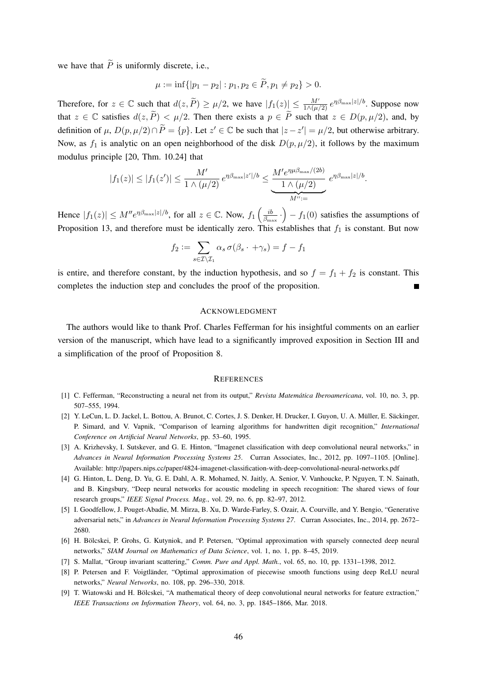we have that  $\widetilde{P}$  is uniformly discrete, i.e.,

$$
\mu \coloneqq \inf\{|p_1 - p_2| : p_1, p_2 \in \widetilde{P}, p_1 \neq p_2\} > 0.
$$

Therefore, for  $z \in \mathbb{C}$  such that  $d(z, \widetilde{P}) \ge \mu/2$ , we have  $|f_1(z)| \le \frac{M'}{1 \wedge (\mu/2)} e^{\eta \beta_{\text{max}} |z|/b}$ . Suppose now that  $z \in \mathbb{C}$  satisfies  $d(z, \tilde{P}) < \mu/2$ . Then there exists a  $p \in \tilde{P}$  such that  $z \in D(p, \mu/2)$ , and, by definition of  $\mu$ ,  $D(p, \mu/2) \cap \tilde{P} = \{p\}$ . Let  $z' \in \mathbb{C}$  be such that  $|z - z'| = \mu/2$ , but otherwise arbitrary. Now, as  $f_1$  is analytic on an open neighborhood of the disk  $D(p, \mu/2)$ , it follows by the maximum modulus principle [20, Thm. 10.24] that

$$
|f_1(z)| \le |f_1(z')| \le \frac{M'}{1 \wedge (\mu/2)} e^{\eta \beta_{\max}|z'|/b} \le \frac{M' e^{\eta \mu \beta_{\max}/(2b)}}{1 \wedge (\mu/2)} e^{\eta \beta_{\max}|z|/b}.
$$

Hence  $|f_1(z)| \leq M'' e^{\eta \beta_{\text{max}} |z|/b}$ , for all  $z \in \mathbb{C}$ . Now,  $f_1\left(\frac{ib}{\beta_{\text{max}}} \right)$  $\left(\frac{ib}{\beta_{\text{max}}}\right) - f_1(0)$  satisfies the assumptions of Proposition 13, and therefore must be identically zero. This establishes that  $f_1$  is constant. But now

$$
f_2 := \sum_{s \in \mathcal{I} \setminus \mathcal{I}_1} \alpha_s \sigma(\beta_s \cdot + \gamma_s) = f - f_1
$$

is entire, and therefore constant, by the induction hypothesis, and so  $f = f_1 + f_2$  is constant. This completes the induction step and concludes the proof of the proposition. П

## ACKNOWLEDGMENT

The authors would like to thank Prof. Charles Fefferman for his insightful comments on an earlier version of the manuscript, which have lead to a significantly improved exposition in Section III and a simplification of the proof of Proposition 8.

#### **REFERENCES**

- [1] C. Fefferman, "Reconstructing a neural net from its output," *Revista Matemática Iberoamericana*, vol. 10, no. 3, pp. 507–555, 1994.
- [2] Y. LeCun, L. D. Jackel, L. Bottou, A. Brunot, C. Cortes, J. S. Denker, H. Drucker, I. Guyon, U. A. Müller, E. Säckinger, P. Simard, and V. Vapnik, "Comparison of learning algorithms for handwritten digit recognition," *International Conference on Artificial Neural Networks*, pp. 53–60, 1995.
- [3] A. Krizhevsky, I. Sutskever, and G. E. Hinton, "Imagenet classification with deep convolutional neural networks," in *Advances in Neural Information Processing Systems 25*. Curran Associates, Inc., 2012, pp. 1097–1105. [Online]. Available: http://papers.nips.cc/paper/4824-imagenet-classification-with-deep-convolutional-neural-networks.pdf
- [4] G. Hinton, L. Deng, D. Yu, G. E. Dahl, A. R. Mohamed, N. Jaitly, A. Senior, V. Vanhoucke, P. Nguyen, T. N. Sainath, and B. Kingsbury, "Deep neural networks for acoustic modeling in speech recognition: The shared views of four research groups," *IEEE Signal Process. Mag.*, vol. 29, no. 6, pp. 82–97, 2012.
- [5] I. Goodfellow, J. Pouget-Abadie, M. Mirza, B. Xu, D. Warde-Farley, S. Ozair, A. Courville, and Y. Bengio, "Generative adversarial nets," in *Advances in Neural Information Processing Systems 27*. Curran Associates, Inc., 2014, pp. 2672– 2680.
- [6] H. Bölcskei, P. Grohs, G. Kutyniok, and P. Petersen, "Optimal approximation with sparsely connected deep neural networks," *SIAM Journal on Mathematics of Data Science*, vol. 1, no. 1, pp. 8–45, 2019.
- [7] S. Mallat, "Group invariant scattering," *Comm. Pure and Appl. Math.*, vol. 65, no. 10, pp. 1331–1398, 2012.
- [8] P. Petersen and F. Voigtländer, "Optimal approximation of piecewise smooth functions using deep ReLU neural networks," *Neural Networks*, no. 108, pp. 296–330, 2018.
- [9] T. Wiatowski and H. Bölcskei, "A mathematical theory of deep convolutional neural networks for feature extraction," *IEEE Transactions on Information Theory*, vol. 64, no. 3, pp. 1845–1866, Mar. 2018.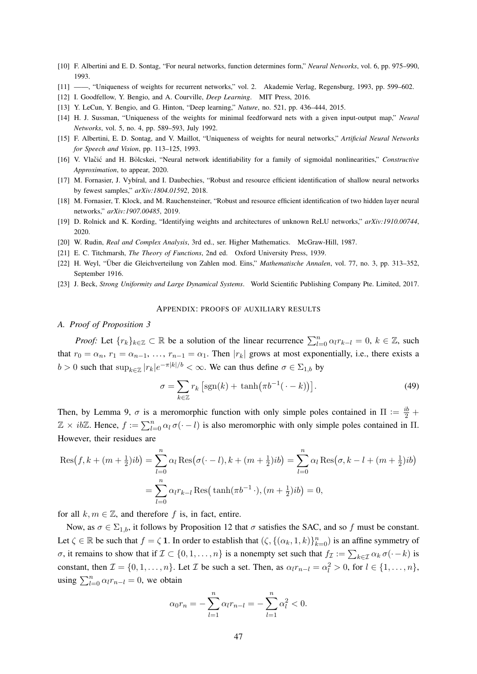- [10] F. Albertini and E. D. Sontag, "For neural networks, function determines form," *Neural Networks*, vol. 6, pp. 975–990, 1993.
- [11] ——, "Uniqueness of weights for recurrent networks," vol. 2. Akademie Verlag, Regensburg, 1993, pp. 599–602.
- [12] I. Goodfellow, Y. Bengio, and A. Courville, *Deep Learning*. MIT Press, 2016.
- [13] Y. LeCun, Y. Bengio, and G. Hinton, "Deep learning," *Nature*, no. 521, pp. 436–444, 2015.
- [14] H. J. Sussman, "Uniqueness of the weights for minimal feedforward nets with a given input-output map," *Neural Networks*, vol. 5, no. 4, pp. 589–593, July 1992.
- [15] F. Albertini, E. D. Sontag, and V. Maillot, "Uniqueness of weights for neural networks," *Artificial Neural Networks for Speech and Vision*, pp. 113–125, 1993.
- [16] V. Vlačić and H. Bölcskei, "Neural network identifiability for a family of sigmoidal nonlinearities," *Constructive Approximation*, to appear, 2020.
- [17] M. Fornasier, J. Vybíral, and I. Daubechies, "Robust and resource efficient identification of shallow neural networks by fewest samples," *arXiv:1804.01592*, 2018.
- [18] M. Fornasier, T. Klock, and M. Rauchensteiner, "Robust and resource efficient identification of two hidden layer neural networks," *arXiv:1907.00485*, 2019.
- [19] D. Rolnick and K. Kording, "Identifying weights and architectures of unknown ReLU networks," *arXiv:1910.00744*, 2020.
- [20] W. Rudin, *Real and Complex Analysis*, 3rd ed., ser. Higher Mathematics. McGraw-Hill, 1987.
- [21] E. C. Titchmarsh, *The Theory of Functions*, 2nd ed. Oxford University Press, 1939.
- [22] H. Weyl, "Über die Gleichverteilung von Zahlen mod. Eins," *Mathematische Annalen*, vol. 77, no. 3, pp. 313–352, September 1916.
- [23] J. Beck, *Strong Uniformity and Large Dynamical Systems*. World Scientific Publishing Company Pte. Limited, 2017.

#### APPENDIX: PROOFS OF AUXILIARY RESULTS

#### *A. Proof of Proposition 3*

*Proof:* Let  $\{r_k\}_{k\in\mathbb{Z}}\subset\mathbb{R}$  be a solution of the linear recurrence  $\sum_{l=0}^n \alpha_l r_{k-l} = 0, k \in \mathbb{Z}$ , such that  $r_0 = \alpha_n$ ,  $r_1 = \alpha_{n-1}$ , ...,  $r_{n-1} = \alpha_1$ . Then  $|r_k|$  grows at most exponentially, i.e., there exists a  $b > 0$  such that  $\sup_{k \in \mathbb{Z}} |r_k| e^{-\pi |k|/b} < \infty$ . We can thus define  $\sigma \in \Sigma_{1,b}$  by

$$
\sigma = \sum_{k \in \mathbb{Z}} r_k \left[ \text{sgn}(k) + \tanh\left(\pi b^{-1}(\cdot - k)\right) \right]. \tag{49}
$$

Then, by Lemma 9,  $\sigma$  is a meromorphic function with only simple poles contained in  $\Pi := \frac{ib}{2} +$  $\mathbb{Z} \times ib\mathbb{Z}$ . Hence,  $f := \sum_{l=0}^{n} \alpha_l \sigma(\cdot - l)$  is also meromorphic with only simple poles contained in  $\Pi$ . However, their residues are

$$
\operatorname{Res}(f, k + (m + \frac{1}{2})ib) = \sum_{l=0}^{n} \alpha_l \operatorname{Res}(\sigma(\cdot - l), k + (m + \frac{1}{2})ib) = \sum_{l=0}^{n} \alpha_l \operatorname{Res}(\sigma, k - l + (m + \frac{1}{2})ib)
$$

$$
= \sum_{l=0}^{n} \alpha_l r_{k-l} \operatorname{Res}(\tanh(\pi b^{-1} \cdot), (m + \frac{1}{2})ib) = 0,
$$

for all  $k, m \in \mathbb{Z}$ , and therefore f is, in fact, entire.

Now, as  $\sigma \in \Sigma_{1,b}$ , it follows by Proposition 12 that  $\sigma$  satisfies the SAC, and so f must be constant. Let  $\zeta \in \mathbb{R}$  be such that  $f = \zeta \mathbf{1}$ . In order to establish that  $(\zeta, \{(\alpha_k, 1, k)\}_{k=0}^n)$  is an affine symmetry of *σ*, it remains to show that if  $\mathcal{I} \subset \{0, 1, \ldots, n\}$  is a nonempty set such that  $f_{\mathcal{I}} := \sum_{k \in \mathcal{I}} \alpha_k \sigma(\cdot - k)$  is constant, then  $\mathcal{I} = \{0, 1, \dots, n\}$ . Let  $\mathcal{I}$  be such a set. Then, as  $\alpha_l r_{n-l} = \alpha_l^2 > 0$ , for  $l \in \{1, \dots, n\}$ , using  $\sum_{l=0}^{n} \alpha_l r_{n-l} = 0$ , we obtain

$$
\alpha_0 r_n = -\sum_{l=1}^n \alpha_l r_{n-l} = -\sum_{l=1}^n \alpha_l^2 < 0.
$$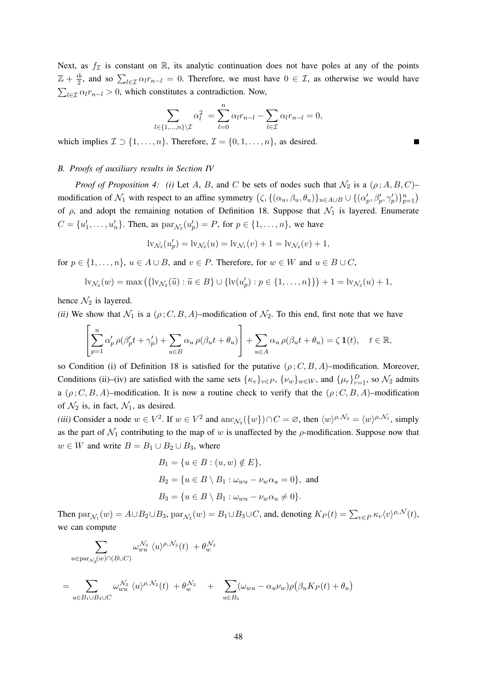Next, as  $f_{\mathcal{I}}$  is constant on R, its analytic continuation does not have poles at any of the points  $\mathbb{Z}+\frac{ib}{2}$  $\frac{1}{2}$ , and so  $\sum_{l \in \mathcal{I}} \alpha_l r_{n-l} = 0$ . Therefore, we must have  $0 \in \mathcal{I}$ , as otherwise we would have  $\sum_{l \in \mathcal{I}} \alpha_l r_{n-l} > 0$ , which constitutes a contradiction. Now,

$$
\sum_{l \in \{1,\dots,n\} \setminus \mathcal{I}} \alpha_l^2 = \sum_{l=0}^n \alpha_l r_{n-l} - \sum_{l \in \mathcal{I}} \alpha_l r_{n-l} = 0,
$$

which implies  $\mathcal{I} \supset \{1, \ldots, n\}$ . Therefore,  $\mathcal{I} = \{0, 1, \ldots, n\}$ , as desired.

#### *B. Proofs of auxiliary results in Section IV*

*Proof of Proposition 4: (i)* Let A, B, and C be sets of nodes such that  $\mathcal{N}_2$  is a  $(\rho; A, B, C)$ – modification of  $\mathcal{N}_1$  with respect to an affine symmetry  $(\zeta, \{(\alpha_u, \beta_u, \theta_u)\}_{u \in A\cup B} \cup \{(\alpha_p', \beta_p', \gamma_p')\}_{p=1}^n)$ of  $\rho$ , and adopt the remaining notation of Definition 18. Suppose that  $\mathcal{N}_1$  is layered. Enumerate  $C = \{u'_1, \ldots, u'_n\}$ . Then, as  $\text{par}_{\mathcal{N}_2}(u'_p) = P$ , for  $p \in \{1, \ldots, n\}$ , we have

$$
lv_{\mathcal{N}_2}(u'_p) = lv_{\mathcal{N}_2}(u) = lv_{\mathcal{N}_1}(v) + 1 = lv_{\mathcal{N}_2}(v) + 1,
$$

for  $p \in \{1, \ldots, n\}$ ,  $u \in A \cup B$ , and  $v \in P$ . Therefore, for  $w \in W$  and  $u \in B \cup C$ ,

$$
\mathrm{lv}_{\mathcal{N}_2}(w)=\max\left(\{\mathrm{lv}_{\mathcal{N}_2}(\widetilde{u}): \widetilde{u}\in B\}\cup \{\mathrm{lv}(u'_p): p\in\{1,\ldots,n\}\}\right)+1=\mathrm{lv}_{\mathcal{N}_2}(u)+1,
$$

hence  $\mathcal{N}_2$  is layered.

*(ii)* We show that  $\mathcal{N}_1$  is a  $(\rho; C, B, A)$ –modification of  $\mathcal{N}_2$ . To this end, first note that we have

$$
\left[\sum_{p=1}^n \alpha'_p \,\rho(\beta'_p t + \gamma'_p) + \sum_{u \in B} \alpha_u \,\rho(\beta_u t + \theta_u)\right] + \sum_{u \in A} \alpha_u \,\rho(\beta_u t + \theta_u) = \zeta \,\mathbf{1}(t), \quad t \in \mathbb{R},
$$

so Condition (i) of Definition 18 is satisfied for the putative  $(\rho; C, B, A)$ –modification. Moreover, Conditions (ii)–(iv) are satisfied with the same sets  $\{\kappa_v\}_{v \in P}$ ,  $\{\nu_w\}_{w \in W}$ , and  $\{\mu_r\}_{r=1}^D$ , so  $\mathcal{N}_2$  admits a  $(\rho; C, B, A)$ –modification. It is now a routine check to verify that the  $(\rho; C, B, A)$ –modification of  $\mathcal{N}_2$  is, in fact,  $\mathcal{N}_1$ , as desired.

(*iii*) Consider a node  $w \in V^2$ . If  $w \in V^2$  and  $\text{anc}_{\mathcal{N}_2}(\{w\}) \cap C = \emptyset$ , then  $\langle w \rangle^{\rho, \mathcal{N}_2} = \langle w \rangle^{\rho, \mathcal{N}_1}$ , simply as the part of  $\mathcal{N}_1$  contributing to the map of w is unaffected by the  $\rho$ -modification. Suppose now that  $w \in W$  and write  $B = B_1 \cup B_2 \cup B_3$ , where

$$
B_1 = \{u \in B : (u, w) \notin E\},
$$
  
\n
$$
B_2 = \{u \in B \setminus B_1 : \omega_{wu} - \nu_w \alpha_u = 0\},
$$
 and  
\n
$$
B_3 = \{u \in B \setminus B_1 : \omega_{wu} - \nu_w \alpha_u \neq 0\}.
$$

Then  $\text{par}_{\mathcal{N}_1}(w) = A \cup B_2 \cup B_3$ ,  $\text{par}_{\mathcal{N}_2}(w) = B_1 \cup B_3 \cup C$ , and, denoting  $K_P(t) = \sum_{v \in P} \kappa_v \langle v \rangle^{\rho, \mathcal{N}}(t)$ , we can compute

$$
\sum_{u \in \text{par}_{\mathcal{N}_2}(w) \cap (B \cup C)} \omega_{wu}^{\mathcal{N}_2} \langle u \rangle^{\rho, \mathcal{N}_2}(t) + \theta_w^{\mathcal{N}_2}
$$

$$
= \sum_{u \in B_1 \cup B_3 \cup C} \omega_{wu}^{\mathcal{N}_2} \langle u \rangle^{\rho, \mathcal{N}_2}(t) + \theta_w^{\mathcal{N}_2} + \sum_{u \in B_2} (\omega_{wu} - \alpha_u \nu_w) \rho \big(\beta_u K_P(t) + \theta_u\big)
$$

п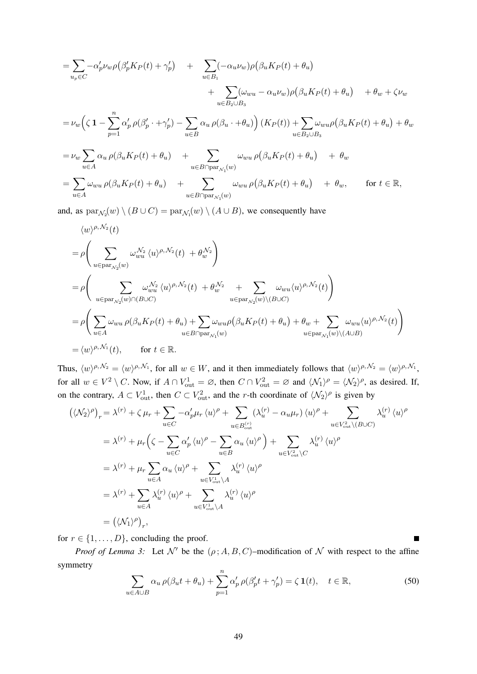$$
= \sum_{u_p \in C} -\alpha'_p \nu_w \rho \left(\beta'_p K_P(t) + \gamma'_p\right) + \sum_{u \in B_1} (-\alpha_u \nu_w) \rho \left(\beta_u K_P(t) + \theta_u\right) + \sum_{u \in B_2 \cup B_3} (\omega_{wu} - \alpha_u \nu_w) \rho \left(\beta_u K_P(t) + \theta_u\right) + \theta_w + \zeta \nu_w = \nu_w \left(\zeta \mathbf{1} - \sum_{p=1}^n \alpha'_p \rho \left(\beta'_p \cdot + \gamma'_p\right) - \sum_{u \in B} \alpha_u \rho \left(\beta_u \cdot + \theta_u\right)\right) (K_P(t)) + \sum_{u \in B_2 \cup B_3} \omega_{wu} \rho \left(\beta_u K_P(t) + \theta_u\right) + \theta_w = \nu_w \sum_{u \in A} \alpha_u \rho \left(\beta_u K_P(t) + \theta_u\right) + \sum_{u \in B \cap \text{par}_{\mathcal{N}_1}(w)} \omega_{wu} \rho \left(\beta_u K_P(t) + \theta_u\right) + \theta_w = \sum_{u \in A} \omega_{wu} \rho \left(\beta_u K_P(t) + \theta_u\right) + \sum_{u \in B \cap \text{par}_{\mathcal{N}_1}(w)} \omega_{wu} \rho \left(\beta_u K_P(t) + \theta_u\right) + \theta_w, \quad \text{for } t \in \mathbb{R},
$$

and, as  $\text{par}_{\mathcal{N}_2}(w) \setminus (B \cup C) = \text{par}_{\mathcal{N}_1}(w) \setminus (A \cup B)$ , we consequently have

$$
\langle w \rangle^{\rho, N_2}(t)
$$
\n
$$
= \rho \Bigg( \sum_{u \in \text{par}_{N_2}(w)} \omega_{wu}^{N_2} \langle u \rangle^{\rho, N_2}(t) + \theta_w^{N_2} \Bigg)
$$
\n
$$
= \rho \Bigg( \sum_{u \in \text{par}_{N_2}(w) \cap (B \cup C)} \omega_{wu}^{N_2} \langle u \rangle^{\rho, N_2}(t) + \theta_w^{N_2} + \sum_{u \in \text{par}_{N_2}(w) \setminus (B \cup C)} \omega_{wu} \langle u \rangle^{\rho, N_2}(t) \Bigg)
$$
\n
$$
= \rho \Bigg( \sum_{u \in A} \omega_{wu} \rho(\beta_u K_P(t) + \theta_u) + \sum_{u \in B \cap \text{par}_{N_1}(w)} \omega_{wu} \rho(\beta_u K_P(t) + \theta_u) + \theta_w + \sum_{u \in \text{par}_{N_1}(w) \setminus (A \cup B)} \omega_{wu} \langle u \rangle^{\rho, N_2}(t) \Bigg)
$$
\n
$$
= \langle w \rangle^{\rho, N_1}(t), \qquad \text{for } t \in \mathbb{R}.
$$

Thus,  $\langle w \rangle^{\rho, \mathcal{N}_2} = \langle w \rangle^{\rho, \mathcal{N}_1}$ , for all  $w \in W$ , and it then immediately follows that  $\langle w \rangle^{\rho, \mathcal{N}_2} = \langle w \rangle^{\rho, \mathcal{N}_1}$ , for all  $w \in V^2 \setminus C$ . Now, if  $A \cap V_{out}^1 = \emptyset$ , then  $C \cap V_{out}^2 = \emptyset$  and  $\langle \mathcal{N}_1 \rangle^{\rho} = \langle \mathcal{N}_2 \rangle^{\rho}$ , as desired. If, on the contrary,  $A \subset V_{\text{out}}^1$ , then  $C \subset V_{\text{out}}^2$ , and the r-th coordinate of  $\langle \mathcal{N}_2 \rangle^{\rho}$  is given by

$$
(\langle \mathcal{N}_2 \rangle^{\rho})_r = \lambda^{(r)} + \zeta \mu_r + \sum_{u \in C} -\alpha'_p \mu_r \langle u \rangle^{\rho} + \sum_{u \in B_{\text{out}}^{(r)}} (\lambda_u^{(r)} - \alpha_u \mu_r) \langle u \rangle^{\rho} + \sum_{u \in V_{\text{out}}^{2} \setminus (B \cup C)} \lambda_u^{(r)} \langle u \rangle^{\rho}
$$
  
\n
$$
= \lambda^{(r)} + \mu_r \left( \zeta - \sum_{u \in C} \alpha'_p \langle u \rangle^{\rho} - \sum_{u \in B} \alpha_u \langle u \rangle^{\rho} \right) + \sum_{u \in V_{\text{out}}^{2} \setminus C} \lambda_u^{(r)} \langle u \rangle^{\rho}
$$
  
\n
$$
= \lambda^{(r)} + \mu_r \sum_{u \in A} \alpha_u \langle u \rangle^{\rho} + \sum_{u \in V_{\text{out}}^{1} \setminus A} \lambda_u^{(r)} \langle u \rangle^{\rho}
$$
  
\n
$$
= \lambda^{(r)} + \sum_{u \in A} \lambda_u^{(r)} \langle u \rangle^{\rho} + \sum_{u \in V_{\text{out}}^{1} \setminus A} \lambda_u^{(r)} \langle u \rangle^{\rho}
$$
  
\n
$$
= (\langle \mathcal{N}_1 \rangle^{\rho})_r,
$$

for  $r \in \{1, \ldots, D\}$ , concluding the proof.

*Proof of Lemma 3:* Let  $\mathcal{N}'$  be the  $(\rho; A, B, C)$ –modification of  $\mathcal N$  with respect to the affine symmetry

$$
\sum_{u \in A \cup B} \alpha_u \rho(\beta_u t + \theta_u) + \sum_{p=1}^n \alpha'_p \rho(\beta'_p t + \gamma'_p) = \zeta \mathbf{1}(t), \quad t \in \mathbb{R},
$$
\n(50)

 $\blacksquare$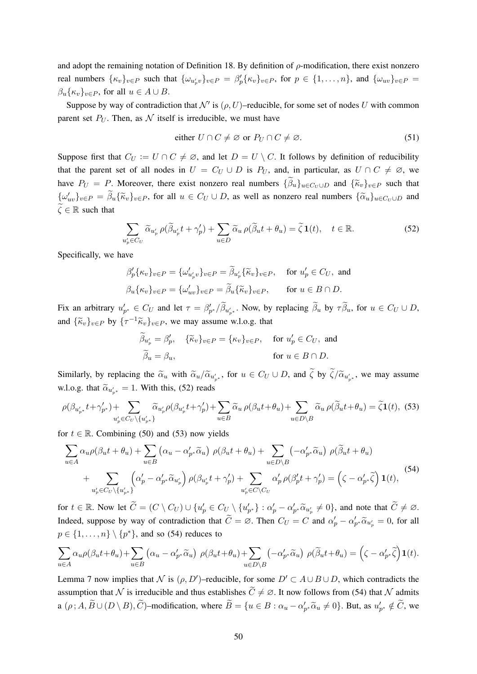and adopt the remaining notation of Definition 18. By definition of  $\rho$ -modification, there exist nonzero real numbers  $\{\kappa_v\}_{v \in P}$  such that  $\{\omega_{u_p^j v}\}_{v \in P} = \beta'_p \{\kappa_v\}_{v \in P}$ , for  $p \in \{1, \ldots, n\}$ , and  $\{\omega_{uv}\}_{v \in P} =$  $\beta_u\{\kappa_v\}_{v\in P}$ , for all  $u \in A \cup B$ .

Suppose by way of contradiction that  $\mathcal{N}'$  is  $(\rho, U)$ –reducible, for some set of nodes U with common parent set  $P_U$ . Then, as N itself is irreducible, we must have

either 
$$
U \cap C \neq \emptyset
$$
 or  $P_U \cap C \neq \emptyset$ . (51)

Suppose first that  $C_U := U \cap C \neq \emptyset$ , and let  $D = U \setminus C$ . It follows by definition of reducibility that the parent set of all nodes in  $U = C_U \cup D$  is  $P_U$ , and, in particular, as  $U \cap C \neq \emptyset$ , we have  $P_U = P$ . Moreover, there exist nonzero real numbers  $\{\hat{\beta}_u\}_{u \in C_U \cup D}$  and  $\{\hat{\kappa}_v\}_{v \in P}$  such that  $\{\omega'_{uv}\}_{v \in P} = \widetilde{\beta}_u {\{\widetilde{\kappa}_v\}}_{v \in P}$ , for all  $u \in C_U \cup D$ , as well as nonzero real numbers  $\{\widetilde{\alpha}_u\}_{u \in C_U \cup D}$  and  $\widetilde{\zeta} \in \mathbb{R}$  such that

$$
\sum_{u'_p \in C_U} \widetilde{\alpha}_{u'_p} \rho(\widetilde{\beta}_{u'_p} t + \gamma'_p) + \sum_{u \in D} \widetilde{\alpha}_u \rho(\widetilde{\beta}_u t + \theta_u) = \widetilde{\zeta} \mathbf{1}(t), \quad t \in \mathbb{R}.
$$
 (52)

Specifically, we have

$$
\beta_p' \{\kappa_v\}_{v \in P} = \{\omega'_{u'_p v}\}_{v \in P} = \tilde{\beta}_{u'_p} \{\tilde{\kappa}_v\}_{v \in P}, \quad \text{for } u'_p \in C_U, \text{ and}
$$

$$
\beta_u \{\kappa_v\}_{v \in P} = \{\omega'_{uv}\}_{v \in P} = \tilde{\beta}_u \{\tilde{\kappa}_v\}_{v \in P}, \quad \text{for } u \in B \cap D.
$$

Fix an arbitrary  $u'_{p^*} \in C_U$  and let  $\tau = \beta'_{p^*}/\tilde{\beta}_{u'_{p^*}}$ . Now, by replacing  $\tilde{\beta}_u$  by  $\tau \tilde{\beta}_u$ , for  $u \in C_U \cup D$ , and  $\{\widetilde{\kappa}_v\}_{v \in P}$  by  $\{\tau^{-1}\widetilde{\kappa}_v\}_{v \in P}$ , we may assume w.l.o.g. that

$$
\widetilde{\beta}_{u'_p} = \beta'_p, \quad \{\widetilde{\kappa}_v\}_{v \in P} = \{\kappa_v\}_{v \in P}, \quad \text{for } u'_p \in C_U, \text{ and}
$$
\n
$$
\widetilde{\beta}_u = \beta_u, \qquad \text{for } u \in B \cap D.
$$

Similarly, by replacing the  $\tilde{\alpha}_u$  with  $\tilde{\alpha}_u/\tilde{\alpha}_{u'_{p^*}}$ , for  $u \in C_U \cup D$ , and  $\zeta$  by  $\zeta/\tilde{\alpha}_{u'_{p^*}}$ , we may assume w.l.o.g. that  $\tilde{\alpha}_{u'_{p^*}} = 1$ . With this, (52) reads

$$
\rho(\beta_{u'_{p^*}}t + \gamma'_{p^*}) + \sum_{u'_{p} \in C_U \setminus \{u'_{p^*}\}} \widetilde{\alpha}_{u'_{p}} \rho(\beta_{u'_{p}}t + \gamma'_{p}) + \sum_{u \in B} \widetilde{\alpha}_{u} \rho(\beta_{u}t + \theta_{u}) + \sum_{u \in D \setminus B} \widetilde{\alpha}_{u} \rho(\widetilde{\beta}_{u}t + \theta_{u}) = \widetilde{\zeta} \mathbf{1}(t),
$$
(53)

for  $t \in \mathbb{R}$ . Combining (50) and (53) now yields

$$
\sum_{u \in A} \alpha_u \rho(\beta_u t + \theta_u) + \sum_{u \in B} (\alpha_u - \alpha'_{p^*} \widetilde{\alpha}_u) \rho(\beta_u t + \theta_u) + \sum_{u \in D \setminus B} (-\alpha'_{p^*} \widetilde{\alpha}_u) \rho(\widetilde{\beta}_u t + \theta_u)
$$
  
+ 
$$
\sum_{u'_p \in C_U \setminus \{u'_{p^*}\}} (\alpha'_p - \alpha'_{p^*} \widetilde{\alpha}_{u'_p}) \rho(\beta_{u'_p} t + \gamma'_p) + \sum_{u'_p \in C \setminus C_U} \alpha'_p \rho(\beta'_p t + \gamma'_p) = (\zeta - \alpha'_{p^*} \widetilde{\zeta}) \mathbf{1}(t),
$$
 (54)

for  $t \in \mathbb{R}$ . Now let  $\widetilde{C} = (C \setminus C_U) \cup \{u'_p \in C_U \setminus \{u'_{p^*}\} : \alpha'_p - \alpha'_{p^*} \widetilde{\alpha}_{u'_p} \neq 0\}$ , and note that  $\widetilde{C} \neq \emptyset$ . Indeed, suppose by way of contradiction that  $\tilde{C} = \emptyset$ . Then  $C_U = C$  and  $\alpha'_p - \alpha'_{p^*} \tilde{\alpha}_{u'_p} = 0$ , for all  $p \in \{1, \ldots, n\} \setminus \{p^*\}$ , and so (54) reduces to

$$
\sum_{u\in A} \alpha_u \rho(\beta_u t + \theta_u) + \sum_{u\in B} (\alpha_u - \alpha'_{p^*} \widetilde{\alpha}_u) \ \rho(\beta_u t + \theta_u) + \sum_{u\in D\setminus B} (-\alpha'_{p^*} \widetilde{\alpha}_u) \ \rho(\widetilde{\beta}_u t + \theta_u) = \left(\zeta - \alpha'_{p^*} \widetilde{\zeta}\right) \mathbf{1}(t).
$$

Lemma 7 now implies that N is  $(\rho, D')$ –reducible, for some  $D' \subset A \cup B \cup D$ , which contradicts the assumption that N is irreducible and thus establishes  $\tilde{C} \neq \emptyset$ . It now follows from (54) that N admits a  $(\rho; A, \widetilde{B} \cup (D \setminus B), \widetilde{C})$ -modification, where  $\widetilde{B} = \{u \in B : \alpha_u - \alpha'_{p^*}\widetilde{\alpha}_u \neq 0\}$ . But, as  $u'_{p^*} \notin \widetilde{C}$ , we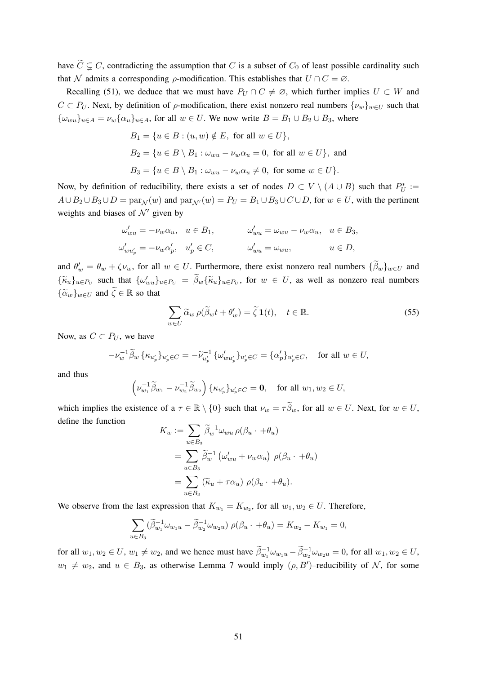have  $\tilde{C} \subsetneq C$ , contradicting the assumption that C is a subset of  $C_0$  of least possible cardinality such that N admits a corresponding  $\rho$ -modification. This establishes that  $U \cap C = \emptyset$ .

Recalling (51), we deduce that we must have  $P_U \cap C \neq \emptyset$ , which further implies  $U \subset W$  and  $C \subset P_U$ . Next, by definition of  $\rho$ -modification, there exist nonzero real numbers  $\{\nu_w\}_{w \in U}$  such that  ${\omega_{wu}}_{u \in A} = \nu_w{\alpha_u}_{u \in A}$ , for all  $w \in U$ . We now write  $B = B_1 \cup B_2 \cup B_3$ , where

$$
B_1 = \{u \in B : (u, w) \notin E, \text{ for all } w \in U\},\
$$
  
\n
$$
B_2 = \{u \in B \setminus B_1 : \omega_{wu} - \nu_w \alpha_u = 0, \text{ for all } w \in U\},\
$$
and  
\n
$$
B_3 = \{u \in B \setminus B_1 : \omega_{wu} - \nu_w \alpha_u \neq 0, \text{ for some } w \in U\}.
$$

Now, by definition of reducibility, there exists a set of nodes  $D \subset V \setminus (A \cup B)$  such that  $P_U^* :=$  $A\cup B_2\cup B_3\cup D = \text{par}_{\mathcal{N}}(w)$  and  $\text{par}_{\mathcal{N}'}(w) = P_U = B_1\cup B_3\cup C\cup D$ , for  $w \in U$ , with the pertinent weights and biases of  $\mathcal{N}'$  given by

$$
\omega'_{wu} = -\nu_w \alpha_u, \quad u \in B_1, \qquad \omega'_{wu} = \omega_{wu} - \nu_w \alpha_u, \quad u \in B_3,
$$
  

$$
\omega'_{wu'_p} = -\nu_w \alpha'_p, \quad u'_p \in C, \qquad \omega'_{wu} = \omega_{wu}, \qquad u \in D,
$$

and  $\theta'_w = \theta_w + \zeta \nu_w$ , for all  $w \in U$ . Furthermore, there exist nonzero real numbers  $\{\tilde{\beta}_w\}_{w \in U}$  and  ${\{\widetilde{\kappa}_u\}_{u \in P_U}}$  such that  ${\{\omega'_{wu}\}_{u \in P_U}} = \widetilde{\beta}_w {\{\widetilde{\kappa}_u\}_{u \in P_U}}$ , for  $w \in U$ , as well as nonzero real numbers  $\{\widetilde{\alpha}_w\}_{w\in U}$  and  $\zeta \in \mathbb{R}$  so that

$$
\sum_{w \in U} \widetilde{\alpha}_w \,\rho(\widetilde{\beta}_w t + \theta'_w) = \widetilde{\zeta} \,\mathbf{1}(t), \quad t \in \mathbb{R}.\tag{55}
$$

Now, as  $C \subset P_U$ , we have

$$
-\nu_w^{-1}\widetilde{\beta}_w \left\{\kappa_{u'_p}\right\}_{u'_p \in C} = -\widetilde{\nu}_{u'_p}^{-1} \left\{\omega'_{w u'_p}\right\}_{u'_p \in C} = \left\{\alpha'_p\right\}_{u'_p \in C}, \text{ for all } w \in U,
$$

and thus

$$
\left(\nu_{w_1}^{-1}\widetilde{\beta}_{w_1}-\nu_{w_2}^{-1}\widetilde{\beta}_{w_2}\right)\{\kappa_{u_p'}\}_{u_p'\in C}=\mathbf{0},\quad\text{for all }w_1,w_2\in U,
$$

which implies the existence of a  $\tau \in \mathbb{R} \setminus \{0\}$  such that  $\nu_w = \tau \widetilde{\beta}_w$ , for all  $w \in U$ . Next, for  $w \in U$ , define the function

$$
K_w := \sum_{u \in B_3} \widetilde{\beta}_w^{-1} \omega_{wu} \,\rho(\beta_u \cdot + \theta_u)
$$
  
= 
$$
\sum_{u \in B_3} \widetilde{\beta}_w^{-1} \left( \omega'_{wu} + \nu_w \alpha_u \right) \,\rho(\beta_u \cdot + \theta_u)
$$
  
= 
$$
\sum_{u \in B_3} (\widetilde{\kappa}_u + \tau \alpha_u) \,\rho(\beta_u \cdot + \theta_u).
$$

We observe from the last expression that  $K_{w_1} = K_{w_2}$ , for all  $w_1, w_2 \in U$ . Therefore,

$$
\sum_{u \in B_3} (\tilde{\beta}_{w_1}^{-1} \omega_{w_1 u} - \tilde{\beta}_{w_2}^{-1} \omega_{w_2 u}) \rho(\beta_u \cdot + \theta_u) = K_{w_2} - K_{w_1} = 0,
$$

for all  $w_1, w_2 \in U$ ,  $w_1 \neq w_2$ , and we hence must have  $\tilde{\beta}_{w_1}^{-1} \omega_{w_1 u} - \tilde{\beta}_{w_2}^{-1} \omega_{w_2 u} = 0$ , for all  $w_1, w_2 \in U$ ,  $w_1 \neq w_2$ , and  $u \in B_3$ , as otherwise Lemma 7 would imply  $(\rho, B')$ -reducibility of N, for some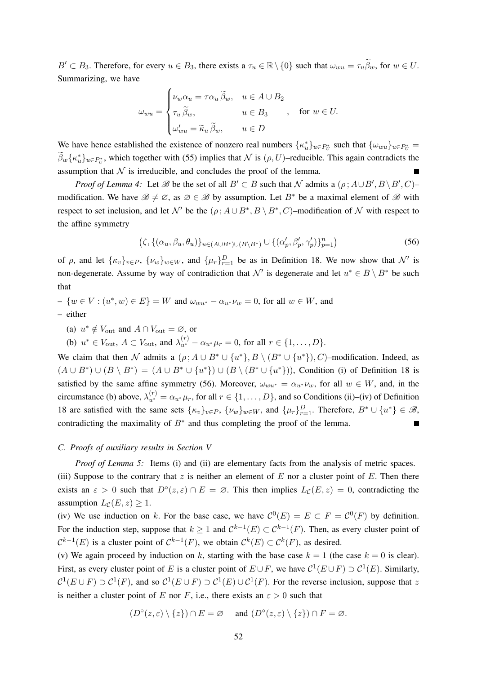$B' \subset B_3$ . Therefore, for every  $u \in B_3$ , there exists a  $\tau_u \in \mathbb{R} \setminus \{0\}$  such that  $\omega_{wu} = \tau_u \widetilde{\beta}_w$ , for  $w \in U$ . Summarizing, we have

$$
\omega_{wu} = \begin{cases} \nu_w \alpha_u = \tau \alpha_u \widetilde{\beta}_w, & u \in A \cup B_2 \\ \tau_u \widetilde{\beta}_w, & u \in B_3 \\ \omega'_{wu} = \widetilde{\kappa}_u \widetilde{\beta}_w, & u \in D \end{cases}, \text{ for } w \in U.
$$

We have hence established the existence of nonzero real numbers  $\{\kappa_u^*\}_{u \in P_U^*}$  such that  $\{\omega_{wu}\}_{u \in P_U^*}$  $\tilde{\beta}_w\{\kappa_u^*\}_{u\in P_U^*}$ , which together with (55) implies that  $\mathcal N$  is  $(\rho, U)$ –reducible. This again contradicts the assumption that  $N$  is irreducible, and concludes the proof of the lemma.

*Proof of Lemma 4:* Let  $\mathscr B$  be the set of all  $B' \subset B$  such that  $\mathcal N$  admits a  $(\rho; A \cup B', B \setminus B', C)$ modification. We have  $\mathscr{B} \neq \emptyset$ , as  $\emptyset \in \mathscr{B}$  by assumption. Let  $B^*$  be a maximal element of  $\mathscr{B}$  with respect to set inclusion, and let N' be the  $(\rho; A \cup B^*, B \setminus B^*, C)$ -modification of N with respect to the affine symmetry

$$
(\zeta, \{(\alpha_u, \beta_u, \theta_u)\}_{u \in (A \cup B^*) \cup (B \setminus B^*)} \cup \{(\alpha'_p, \beta'_p, \gamma'_p)\}_{p=1}^n)
$$
\n(56)

of  $\rho$ , and let  $\{\kappa_v\}_{v \in P}$ ,  $\{\nu_w\}_{w \in W}$ , and  $\{\mu_r\}_{r=1}^D$  be as in Definition 18. We now show that  $\mathcal{N}'$  is non-degenerate. Assume by way of contradiction that  $\mathcal{N}'$  is degenerate and let  $u^* \in B \setminus B^*$  be such that

 $- \{w \in V : (u^*, w) \in E\} = W$  and  $\omega_{wu^*} - \alpha_{u^*} \nu_w = 0$ , for all  $w \in W$ , and – either

(a)  $u^* \notin V_{\text{out}}$  and  $A \cap V_{\text{out}} = \emptyset$ , or

(b)  $u^* \in V_{\text{out}}$ ,  $A \subset V_{\text{out}}$ , and  $\lambda_{u^*}^{(r)} - \alpha_{u^*} \mu_r = 0$ , for all  $r \in \{1, ..., D\}$ .

We claim that then N admits a  $(\rho; A \cup B^* \cup \{u^*\}, B \setminus (B^* \cup \{u^*\}), C)$ -modification. Indeed, as  $(A \cup B^*) \cup (B \setminus B^*) = (A \cup B^* \cup \{u^*\}) \cup (B \setminus (B^* \cup \{u^*\}))$ , Condition (i) of Definition 18 is satisfied by the same affine symmetry (56). Moreover,  $\omega_{wu^*} = \alpha_{u^*} \nu_w$ , for all  $w \in W$ , and, in the circumstance (b) above,  $\lambda_{u^*}^{(r)} = \alpha_{u^*} \mu_r$ , for all  $r \in \{1, ..., D\}$ , and so Conditions (ii)–(iv) of Definition 18 are satisfied with the same sets  $\{\kappa_v\}_{v \in P}$ ,  $\{\nu_w\}_{w \in W}$ , and  $\{\mu_r\}_{r=1}^D$ . Therefore,  $B^* \cup \{u^*\} \in \mathcal{B}$ , contradicting the maximality of  $B^*$  and thus completing the proof of the lemma.

## *C. Proofs of auxiliary results in Section V*

*Proof of Lemma 5:* Items (i) and (ii) are elementary facts from the analysis of metric spaces.

(iii) Suppose to the contrary that  $z$  is neither an element of  $E$  nor a cluster point of  $E$ . Then there exists an  $\varepsilon > 0$  such that  $D^{\circ}(z, \varepsilon) \cap E = \emptyset$ . This then implies  $L_{\mathcal{C}}(E, z) = 0$ , contradicting the assumption  $L_{\mathcal{C}}(E, z) \geq 1$ .

(iv) We use induction on k. For the base case, we have  $\mathcal{C}^0(E) = E \subset F = \mathcal{C}^0(F)$  by definition. For the induction step, suppose that  $k \geq 1$  and  $C^{k-1}(E) \subset C^{k-1}(F)$ . Then, as every cluster point of  $\mathcal{C}^{k-1}(E)$  is a cluster point of  $\mathcal{C}^{k-1}(F)$ , we obtain  $\mathcal{C}^{k}(E) \subset \mathcal{C}^{k}(F)$ , as desired.

(v) We again proceed by induction on k, starting with the base case  $k = 1$  (the case  $k = 0$  is clear). First, as every cluster point of E is a cluster point of  $E \cup F$ , we have  $C^1(E \cup F) \supset C^1(E)$ . Similarly,  $C^1(E \cup F) \supset C^1(F)$ , and so  $C^1(E \cup F) \supset C^1(E) \cup C^1(F)$ . For the reverse inclusion, suppose that z is neither a cluster point of E nor F, i.e., there exists an  $\varepsilon > 0$  such that

$$
(D^{\circ}(z,\varepsilon) \setminus \{z\}) \cap E = \varnothing \quad \text{ and } (D^{\circ}(z,\varepsilon) \setminus \{z\}) \cap F = \varnothing.
$$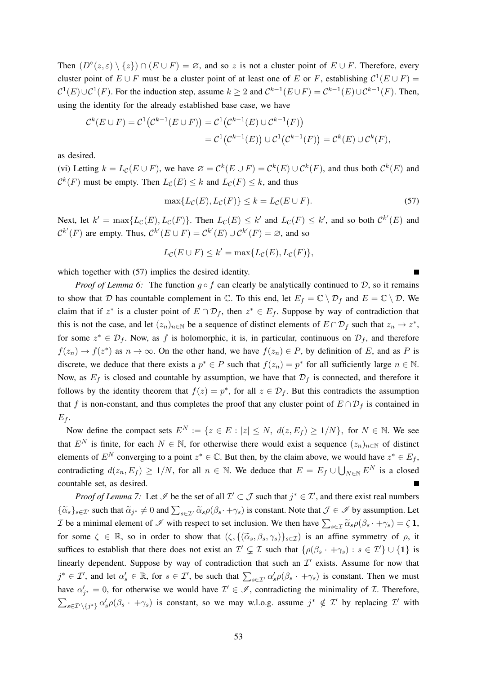Then  $(D^{\circ}(z, \varepsilon) \setminus \{z\}) \cap (E \cup F) = \emptyset$ , and so z is not a cluster point of  $E \cup F$ . Therefore, every cluster point of  $E \cup F$  must be a cluster point of at least one of E or F, establishing  $C^1(E \cup F)$  =  $C^1(E) \cup C^1(F)$ . For the induction step, assume  $k \geq 2$  and  $C^{k-1}(E \cup F) = C^{k-1}(E) \cup C^{k-1}(F)$ . Then, using the identity for the already established base case, we have

$$
C^{k}(E \cup F) = C^{1}(C^{k-1}(E \cup F)) = C^{1}(C^{k-1}(E) \cup C^{k-1}(F))
$$
  
= 
$$
C^{1}(C^{k-1}(E)) \cup C^{1}(C^{k-1}(F)) = C^{k}(E) \cup C^{k}(F),
$$

as desired.

(vi) Letting  $k = L_{\mathcal{C}}(E \cup F)$ , we have  $\emptyset = C^k(E \cup F) = C^k(E) \cup C^k(F)$ , and thus both  $C^k(E)$  and  $\mathcal{C}^{k}(F)$  must be empty. Then  $L_{\mathcal{C}}(E) \leq k$  and  $L_{\mathcal{C}}(F) \leq k$ , and thus

$$
\max\{L_{\mathcal{C}}(E), L_{\mathcal{C}}(F)\} \le k = L_{\mathcal{C}}(E \cup F). \tag{57}
$$

Next, let  $k' = \max\{L_{\mathcal{C}}(E), L_{\mathcal{C}}(F)\}\$ . Then  $L_{\mathcal{C}}(E) \leq k'$  and  $L_{\mathcal{C}}(F) \leq k'$ , and so both  $\mathcal{C}^{k'}(E)$  and  $\mathcal{C}^{k'}(F)$  are empty. Thus,  $\mathcal{C}^{k'}(E \cup F) = \mathcal{C}^{k'}(E) \cup \mathcal{C}^{k'}(F) = \varnothing$ , and so

$$
L_{\mathcal{C}}(E \cup F) \le k' = \max\{L_{\mathcal{C}}(E), L_{\mathcal{C}}(F)\},\
$$

which together with  $(57)$  implies the desired identity.

*Proof of Lemma 6:* The function  $g \circ f$  can clearly be analytically continued to D, so it remains to show that D has countable complement in  $\mathbb C$ . To this end, let  $E_f = \mathbb C \setminus \mathcal D_f$  and  $E = \mathbb C \setminus \mathcal D$ . We claim that if  $z^*$  is a cluster point of  $E \cap \mathcal{D}_f$ , then  $z^* \in E_f$ . Suppose by way of contradiction that this is not the case, and let  $(z_n)_{n \in \mathbb{N}}$  be a sequence of distinct elements of  $E \cap \mathcal{D}_f$  such that  $z_n \to z^*$ , for some  $z^* \in \mathcal{D}_f$ . Now, as f is holomorphic, it is, in particular, continuous on  $\mathcal{D}_f$ , and therefore  $f(z_n) \to f(z^*)$  as  $n \to \infty$ . On the other hand, we have  $f(z_n) \in P$ , by definition of E, and as P is discrete, we deduce that there exists a  $p^* \in P$  such that  $f(z_n) = p^*$  for all sufficiently large  $n \in \mathbb{N}$ . Now, as  $E_f$  is closed and countable by assumption, we have that  $\mathcal{D}_f$  is connected, and therefore it follows by the identity theorem that  $f(z) = p^*$ , for all  $z \in \mathcal{D}_f$ . But this contradicts the assumption that f is non-constant, and thus completes the proof that any cluster point of  $E \cap \mathcal{D}_f$  is contained in  $E_f$ .

Now define the compact sets  $E^N := \{z \in E : |z| \le N, d(z, E_f) \ge 1/N\}$ , for  $N \in \mathbb{N}$ . We see that  $E^N$  is finite, for each  $N \in \mathbb{N}$ , for otherwise there would exist a sequence  $(z_n)_{n \in \mathbb{N}}$  of distinct elements of  $E^N$  converging to a point  $z^* \in \mathbb{C}$ . But then, by the claim above, we would have  $z^* \in E_f$ , contradicting  $d(z_n, E_f) \ge 1/N$ , for all  $n \in \mathbb{N}$ . We deduce that  $E = E_f \cup \bigcup_{N \in \mathbb{N}} E^N$  is a closed countable set, as desired. П

*Proof of Lemma 7:* Let  $\mathscr I$  be the set of all  $\mathcal I' \subset \mathcal J$  such that  $j^* \in \mathcal I'$ , and there exist real numbers  ${\{\widetilde{\alpha}_s\}_{s\in\mathcal{I}'}}}$  such that  ${\widetilde{\alpha}}_{j^*} \neq 0$  and  $\sum_{s\in\mathcal{I}'} {\widetilde{\alpha}}_s \rho(\beta_s \cdot + \gamma_s)$  is constant. Note that  $\mathcal{J} \in \mathcal{I}$  by assumption. Let T be a minimal element of  $\mathcal I$  with respect to set inclusion. We then have  $\sum_{s\in\mathcal I}\widetilde{\alpha}_s\rho(\beta_s\cdot+\gamma_s)=\zeta\mathbf{1}$ , for some  $\zeta \in \mathbb{R}$ , so in order to show that  $(\zeta, \{(\tilde{\alpha}_s, \beta_s, \gamma_s)\}_{s \in \mathcal{I}})$  is an affine symmetry of  $\rho$ , it suffices to establish that there does not exist an  $\mathcal{I}' \subsetneq \mathcal{I}$  such that  $\{\rho(\beta_s \cdot + \gamma_s) : s \in \mathcal{I}'\} \cup \{1\}$  is linearly dependent. Suppose by way of contradiction that such an  $\mathcal{I}'$  exists. Assume for now that  $j^* \in \mathcal{I}'$ , and let  $\alpha_s' \in \mathbb{R}$ , for  $s \in \mathcal{I}'$ , be such that  $\sum_{s \in \mathcal{I}'} \alpha_s' \rho(\beta_s + \gamma_s)$  is constant. Then we must have  $\alpha'_{j^*} = 0$ , for otherwise we would have  $\mathcal{I}' \in \mathcal{I}$ , contradicting the minimality of  $\mathcal{I}$ . Therefore,  $\sum_{s\in\mathcal{I}'\backslash\{j^*\}} \alpha'_s \rho(\beta_s + \gamma_s)$  is constant, so we may w.l.o.g. assume  $j^* \notin \mathcal{I}'$  by replacing  $\mathcal{I}'$  with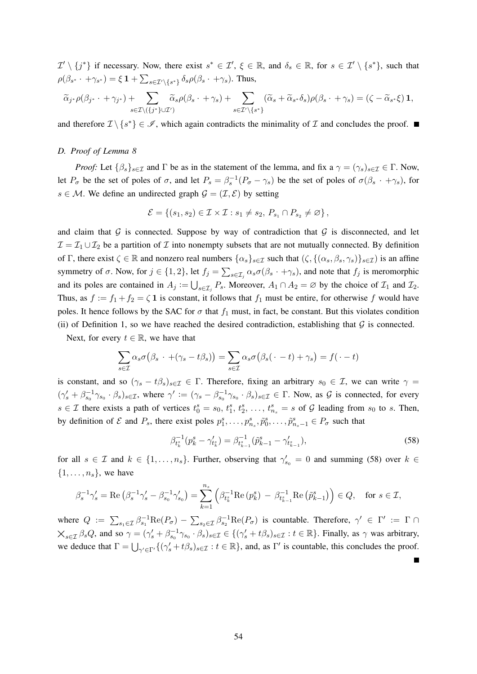$\mathcal{I}' \setminus \{j^*\}$  if necessary. Now, there exist  $s^* \in \mathcal{I}'$ ,  $\xi \in \mathbb{R}$ , and  $\delta_s \in \mathbb{R}$ , for  $s \in \mathcal{I}' \setminus \{s^*\}$ , such that  $\rho(\beta_{s^*}\cdot+\gamma_{s^*})=\xi\,\mathbf{1}+\sum_{s\in\mathcal{I}'\backslash\{s^*\}}\delta_s\rho(\beta_s\cdot+\gamma_s).$  Thus,

$$
\widetilde{\alpha}_{j^*} \rho(\beta_{j^*} \cdot + \gamma_{j^*}) + \sum_{s \in \mathcal{I} \setminus (\{j^*\} \cup \mathcal{I}')} \widetilde{\alpha}_s \rho(\beta_s \cdot + \gamma_s) + \sum_{s \in \mathcal{I}' \setminus \{s^*\}} (\widetilde{\alpha}_s + \widetilde{\alpha}_{s^*} \delta_s) \rho(\beta_s \cdot + \gamma_s) = (\zeta - \widetilde{\alpha}_{s^*} \xi) \mathbf{1},
$$

and therefore  $\mathcal{I} \setminus \{s^*\} \in \mathcal{I}$ , which again contradicts the minimality of  $\mathcal{I}$  and concludes the proof.

## *D. Proof of Lemma 8*

*Proof:* Let  $\{\beta_s\}_{s\in\mathcal{I}}$  and  $\Gamma$  be as in the statement of the lemma, and fix a  $\gamma = (\gamma_s)_{s\in\mathcal{I}} \in \Gamma$ . Now, let  $P_{\sigma}$  be the set of poles of  $\sigma$ , and let  $P_s = \beta_s^{-1}(P_{\sigma} - \gamma_s)$  be the set of poles of  $\sigma(\beta_s + \gamma_s)$ , for  $s \in \mathcal{M}$ . We define an undirected graph  $\mathcal{G} = (\mathcal{I}, \mathcal{E})$  by setting

$$
\mathcal{E} = \{ (s_1, s_2) \in \mathcal{I} \times \mathcal{I} : s_1 \neq s_2, P_{s_1} \cap P_{s_2} \neq \varnothing \},
$$

and claim that  $G$  is connected. Suppose by way of contradiction that  $G$  is disconnected, and let  $\mathcal{I} = \mathcal{I}_1 \cup \mathcal{I}_2$  be a partition of  $\mathcal I$  into nonempty subsets that are not mutually connected. By definition of Γ, there exist  $\zeta \in \mathbb{R}$  and nonzero real numbers  $\{\alpha_s\}_{s \in \mathcal{I}}$  such that  $(\zeta, \{(\alpha_s, \beta_s, \gamma_s)\}_{s \in \mathcal{I}})$  is an affine symmetry of  $\sigma$ . Now, for  $j \in \{1,2\}$ , let  $f_j = \sum_{s \in \mathcal{I}_j} \alpha_s \sigma(\beta_s \cdot + \gamma_s)$ , and note that  $f_j$  is meromorphic and its poles are contained in  $A_j := \bigcup_{s \in \mathcal{I}_j} P_s$ . Moreover,  $A_1 \cap A_2 = \emptyset$  by the choice of  $\mathcal{I}_1$  and  $\mathcal{I}_2$ . Thus, as  $f := f_1 + f_2 = \zeta \mathbf{1}$  is constant, it follows that  $f_1$  must be entire, for otherwise f would have poles. It hence follows by the SAC for  $\sigma$  that  $f_1$  must, in fact, be constant. But this violates condition (ii) of Definition 1, so we have reached the desired contradiction, establishing that  $G$  is connected.

Next, for every  $t \in \mathbb{R}$ , we have that

$$
\sum_{s \in \mathcal{I}} \alpha_s \sigma(\beta_s \cdot +(\gamma_s - t\beta_s)) = \sum_{s \in \mathcal{I}} \alpha_s \sigma(\beta_s(\cdot - t) + \gamma_s) = f(\cdot - t)
$$

is constant, and so  $(\gamma_s - t\beta_s)_{s \in \mathcal{I}} \in \Gamma$ . Therefore, fixing an arbitrary  $s_0 \in \mathcal{I}$ , we can write  $\gamma =$  $(\gamma_s' + \beta_{s_0}^{-1} \gamma_{s_0} \cdot \beta_s)_{s \in \mathcal{I}}$ , where  $\gamma' := (\gamma_s - \beta_{s_0}^{-1} \gamma_{s_0} \cdot \beta_s)_{s \in \mathcal{I}} \in \Gamma$ . Now, as  $\mathcal{G}$  is connected, for every  $s \in \mathcal{I}$  there exists a path of vertices  $t_0^s = s_0, t_1^s, t_2^s, \ldots, t_{n_s}^s = s$  of  $\mathcal{G}$  leading from  $s_0$  to s. Then, by definition of  $\mathcal E$  and  $P_s$ , there exist poles  $p_1^s, \ldots, p_{n_s}^s, \tilde{p}_0^s, \ldots, \tilde{p}_{n_s-1}^s \in P_{\sigma}$  such that

$$
\beta_{t_k}^{-1}(p_k^s - \gamma_{t_k^s}^t) = \beta_{t_{k-1}^s}^{-1}(\tilde{p}_{k-1}^s - \gamma_{t_{k-1}^s}^t),
$$
\n(58)

for all  $s \in \mathcal{I}$  and  $k \in \{1, \ldots, n_s\}$ . Further, observing that  $\gamma'_{s_0} = 0$  and summing (58) over  $k \in \mathcal{I}$  $\{1, \ldots, n_s\}$ , we have

$$
\beta_s^{-1}\gamma_s' = \text{Re}\left(\beta_s^{-1}\gamma_s' - \beta_{s_0}^{-1}\gamma_{s_0}'\right) = \sum_{k=1}^{n_s} \left(\beta_{t_k^s}^{-1}\text{Re}\left(p_k^s\right) - \beta_{t_{k-1}^s}^{-1}\text{Re}\left(\tilde{p}_{k-1}^s\right)\right) \in Q, \quad \text{for } s \in \mathcal{I},
$$

where  $Q := \sum_{s_1 \in \mathcal{I}} \beta_{s_1}^{-1} \text{Re}(P_{\sigma}) - \sum_{s_2 \in \mathcal{I}} \beta_{s_2}^{-1} \text{Re}(P_{\sigma})$  is countable. Therefore,  $\gamma' \in \Gamma' := \Gamma \cap$  $\mathsf{X}_{s\in\mathcal{I}}$   $\beta_s Q$ , and so  $\gamma = (\gamma'_s + \beta_{s_0}^{-1}\gamma_{s_0}\cdot\beta_s)_{s\in\mathcal{I}} \in \{(\gamma'_s + t\beta_s)_{s\in\mathcal{I}} : t \in \mathbb{R}\}.$  Finally, as  $\gamma$  was arbitrary, we deduce that  $\Gamma = \bigcup_{\gamma' \in \Gamma'} \{ (\gamma'_s + t\beta_s)_{s \in \mathcal{I}} : t \in \mathbb{R} \}$ , and, as  $\Gamma'$  is countable, this concludes the proof.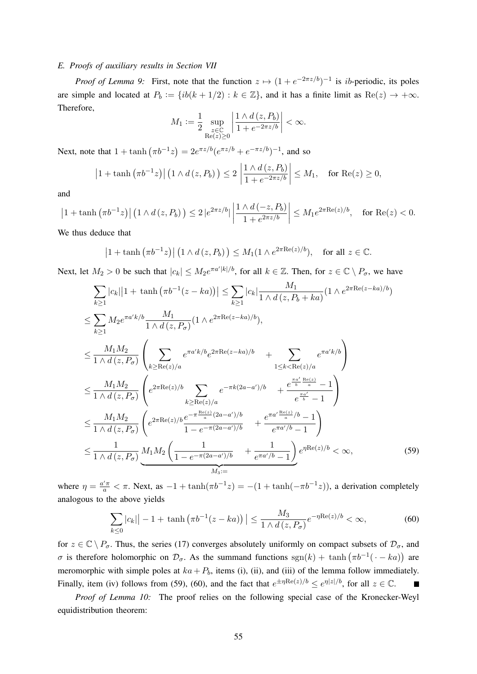## *E. Proofs of auxiliary results in Section VII*

*Proof of Lemma 9:* First, note that the function  $z \mapsto (1 + e^{-2\pi z/b})^{-1}$  is *ib*-periodic, its poles are simple and located at  $P_b := \{ib(k + 1/2) : k \in \mathbb{Z}\}\)$ , and it has a finite limit as  $\text{Re}(z) \to +\infty$ . Therefore,

$$
M_1 := \frac{1}{2} \sup_{\substack{z \in \mathbb{C} \\ \text{Re}(z) \ge 0}} \left| \frac{1 \wedge d(z, P_b)}{1 + e^{-2\pi z/b}} \right| < \infty.
$$

Next, note that  $1 + \tanh(\pi b^{-1}z) = 2e^{\pi z/b}(e^{\pi z/b} + e^{-\pi z/b})^{-1}$ , and so

$$
\left|1+\tanh\left(\pi b^{-1}z\right)\right|\left(1\wedge d\left(z,P_b\right)\right)\leq 2\left|\frac{1\wedge d\left(z,P_b\right)}{1+e^{-2\pi z/b}}\right|\leq M_1,\quad \text{for Re}(z)\geq 0,
$$

and

$$
\left|1+\tanh\left(\pi b^{-1}z\right)\right|\left(1\wedge d\left(z,P_b\right)\right) \le 2\left|e^{2\pi z/b}\right| \left|\frac{1\wedge d\left(-z,P_b\right)}{1+e^{2\pi z/b}}\right| \le M_1 e^{2\pi \text{Re}(z)/b}, \text{ for } \text{Re}(z) < 0.
$$

We thus deduce that

$$
\left|1+\tanh\left(\pi b^{-1}z\right)\right|\left(1\wedge d\left(z,P_b\right)\right)\leq M_1(1\wedge e^{2\pi \text{Re}(z)/b}), \text{ for all } z\in\mathbb{C}.
$$

Next, let  $M_2 > 0$  be such that  $|c_k| \leq M_2 e^{\pi a' |k|/b}$ , for all  $k \in \mathbb{Z}$ . Then, for  $z \in \mathbb{C} \setminus P_\sigma$ , we have

$$
\sum_{k\geq 1} |c_k||1 + \tanh(\pi b^{-1}(z - ka))| \leq \sum_{k\geq 1} |c_k|\frac{M_1}{1 \wedge d(z, P_b + ka)}(1 \wedge e^{2\pi \text{Re}(z - ka)/b})
$$
\n
$$
\leq \sum_{k\geq 1} M_2 e^{\pi a' k/b} \frac{M_1}{1 \wedge d(z, P_\sigma)} (1 \wedge e^{2\pi \text{Re}(z - ka)/b}),
$$
\n
$$
\leq \frac{M_1 M_2}{1 \wedge d(z, P_\sigma)} \left( \sum_{k\geq \text{Re}(z)/a} e^{\pi a' k/b} e^{2\pi \text{Re}(z - ka)/b} + \sum_{1 \leq k < \text{Re}(z)/a} e^{\pi a' k/b} \right)
$$
\n
$$
\leq \frac{M_1 M_2}{1 \wedge d(z, P_\sigma)} \left( e^{2\pi \text{Re}(z)/b} \sum_{k\geq \text{Re}(z)/a} e^{-\pi k(2a - a')/b} + \frac{e^{\frac{\pi a'}{b} \frac{\text{Re}(z)}{a}}}{e^{\frac{\pi a'}{b}} - 1} \right)
$$
\n
$$
\leq \frac{M_1 M_2}{1 \wedge d(z, P_\sigma)} \left( e^{2\pi \text{Re}(z)/b} \frac{e^{-\pi \frac{\text{Re}(z)}{a}(2a - a')/b}}{1 - e^{-\pi (2a - a')/b}} + \frac{e^{\pi a' \frac{\text{Re}(z)}{a}/b} - 1}{e^{\pi a'/b} - 1} \right)
$$
\n
$$
\leq \frac{1}{1 \wedge d(z, P_\sigma)} \underbrace{M_1 M_2 \left( \frac{1}{1 - e^{-\pi (2a - a')/b}} + \frac{1}{e^{\pi a'/b} - 1} \right)}_{M_3 :=} e^{\eta \text{Re}(z)/b} < \infty,
$$
\n(59)

where  $\eta = \frac{a'\pi}{a} < \pi$ . Next, as  $-1 + \tanh(\pi b^{-1}z) = -(1 + \tanh(-\pi b^{-1}z))$ , a derivation completely analogous to the above yields

$$
\sum_{k\leq 0} |c_k| - 1 + \tanh\left(\pi b^{-1}(z - ka)\right)| \leq \frac{M_3}{1 \wedge d(z, P_\sigma)} e^{-\eta \text{Re}(z)/b} < \infty,
$$
\n(60)

for  $z \in \mathbb{C} \setminus P_{\sigma}$ . Thus, the series (17) converges absolutely uniformly on compact subsets of  $\mathcal{D}_{\sigma}$ , and σ is therefore holomorphic on  $\mathcal{D}_{\sigma}$ . As the summand functions  $sgn(k) + tanh(\pi b^{-1}(\cdot - ka))$  are meromorphic with simple poles at  $ka + P_b$ , items (i), (ii), and (iii) of the lemma follow immediately. Finally, item (iv) follows from (59), (60), and the fact that  $e^{\pm \eta \text{Re}(z)/b} \leq e^{\eta |z|/b}$ , for all  $z \in \mathbb{C}$ .  $\blacksquare$ 

*Proof of Lemma 10:* The proof relies on the following special case of the Kronecker-Weyl equidistribution theorem: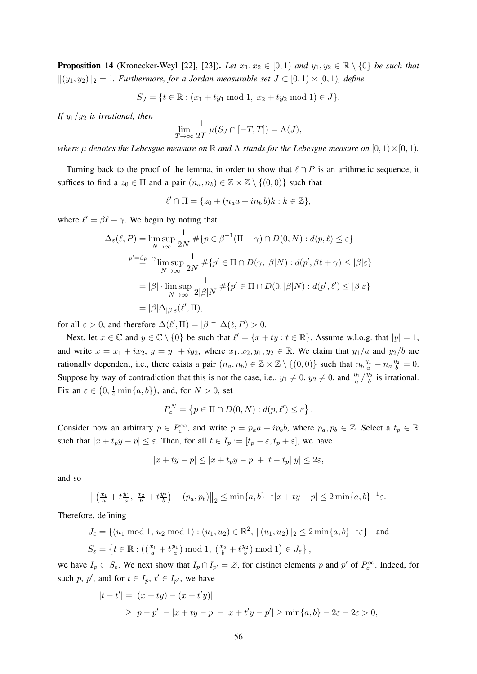**Proposition 14** (Kronecker-Weyl [22], [23]). *Let*  $x_1, x_2 \in [0, 1)$  *and*  $y_1, y_2 \in \mathbb{R} \setminus \{0\}$  *be such that*  $||(y_1, y_2)||_2 = 1$ *. Furthermore, for a Jordan measurable set*  $J ⊂ [0, 1) × [0, 1)$ *, define* 

$$
S_J = \{ t \in \mathbb{R} : (x_1 + ty_1 \bmod 1, x_2 + ty_2 \bmod 1) \in J \}.
$$

*If*  $y_1/y_2$  *is irrational, then* 

$$
\lim_{T \to \infty} \frac{1}{2T} \mu(S_J \cap [-T, T]) = A(J),
$$

*where*  $\mu$  *denotes the Lebesgue measure on*  $\mathbb R$  *and* A *stands for the Lebesgue measure on*  $[0, 1) \times [0, 1)$ *.* 

Turning back to the proof of the lemma, in order to show that  $\ell \cap P$  is an arithmetic sequence, it suffices to find a  $z_0 \in \Pi$  and a pair  $(n_a, n_b) \in \mathbb{Z} \times \mathbb{Z} \setminus \{(0, 0)\}\$  such that

$$
\ell' \cap \Pi = \{z_0 + (n_a a + i n_b b)k : k \in \mathbb{Z}\},\
$$

where  $\ell' = \beta \ell + \gamma$ . We begin by noting that

$$
\Delta_{\varepsilon}(\ell, P) = \limsup_{N \to \infty} \frac{1}{2N} \# \{ p \in \beta^{-1}(\Pi - \gamma) \cap D(0, N) : d(p, \ell) \le \varepsilon \}
$$
  

$$
p' = \frac{\beta p + \gamma}{\gamma} \limsup_{N \to \infty} \frac{1}{2N} \# \{ p' \in \Pi \cap D(\gamma, |\beta|N) : d(p', \beta \ell + \gamma) \le |\beta| \varepsilon \}
$$
  

$$
= |\beta| \cdot \limsup_{N \to \infty} \frac{1}{2|\beta|N} \# \{ p' \in \Pi \cap D(0, |\beta|N) : d(p', \ell') \le |\beta| \varepsilon \}
$$
  

$$
= |\beta| \Delta_{|\beta| \varepsilon}(\ell', \Pi),
$$

for all  $\varepsilon > 0$ , and therefore  $\Delta(\ell', \Pi) = |\beta|^{-1} \Delta(\ell, P) > 0$ .

Next, let  $x \in \mathbb{C}$  and  $y \in \mathbb{C} \setminus \{0\}$  be such that  $\ell' = \{x + ty : t \in \mathbb{R}\}$ . Assume w.l.o.g. that  $|y| = 1$ , and write  $x = x_1 + ix_2$ ,  $y = y_1 + iy_2$ , where  $x_1, x_2, y_1, y_2 \in \mathbb{R}$ . We claim that  $y_1/a$  and  $y_2/b$  are rationally dependent, i.e., there exists a pair  $(n_a, n_b) \in \mathbb{Z} \times \mathbb{Z} \setminus \{(0,0)\}\$  such that  $n_b \frac{y_1}{a} - n_a \frac{y_2}{b} = 0$ . Suppose by way of contradiction that this is not the case, i.e.,  $y_1 \neq 0$ ,  $y_2 \neq 0$ , and  $\frac{y_1}{a} / \frac{y_2}{b}$  $\frac{y_2}{b}$  is irrational. Fix an  $\varepsilon \in (0, \frac{1}{4} \min\{a, b\})$ , and, for  $N > 0$ , set

$$
P_{\varepsilon}^N = \left\{ p \in \Pi \cap D(0, N) : d(p, \ell') \leq \varepsilon \right\}.
$$

Consider now an arbitrary  $p \in P_{\varepsilon}^{\infty}$ , and write  $p = p_a a + i p_b b$ , where  $p_a, p_b \in \mathbb{Z}$ . Select a  $t_p \in \mathbb{R}$ such that  $|x + t_p y - p| \le \varepsilon$ . Then, for all  $t \in I_p := [t_p - \varepsilon, t_p + \varepsilon]$ , we have

$$
|x+ty-p| \le |x+t_py-p|+|t-t_p||y| \le 2\varepsilon,
$$

and so

$$
\left\| \left( \frac{x_1}{a} + t \frac{y_1}{a}, \frac{x_2}{b} + t \frac{y_2}{b} \right) - (p_a, p_b) \right\|_2 \le \min\{a, b\}^{-1} |x + ty - p| \le 2 \min\{a, b\}^{-1} \varepsilon.
$$

Therefore, defining

$$
J_{\varepsilon} = \{(u_1 \bmod 1, u_2 \bmod 1) : (u_1, u_2) \in \mathbb{R}^2, \|(u_1, u_2)\|_2 \le 2 \min\{a, b\}^{-1} \varepsilon\} \text{ and}
$$
  

$$
S_{\varepsilon} = \{t \in \mathbb{R} : \left( \left(\frac{x_1}{a} + t\frac{y_1}{a}\right) \bmod 1, \left(\frac{x_2}{b} + t\frac{y_2}{b}\right) \bmod 1\right) \in J_{\varepsilon}\},\
$$

we have  $I_p \subset S_{\varepsilon}$ . We next show that  $I_p \cap I_{p'} = \varnothing$ , for distinct elements p and p' of  $P_{\varepsilon}^{\infty}$ . Indeed, for such p, p', and for  $t \in I_p$ ,  $t' \in I_{p'}$ , we have

$$
|t - t'| = |(x + ty) - (x + t'y)|
$$
  
\n
$$
\ge |p - p'| - |x + ty - p| - |x + t'y - p'| \ge \min\{a, b\} - 2\varepsilon - 2\varepsilon > 0,
$$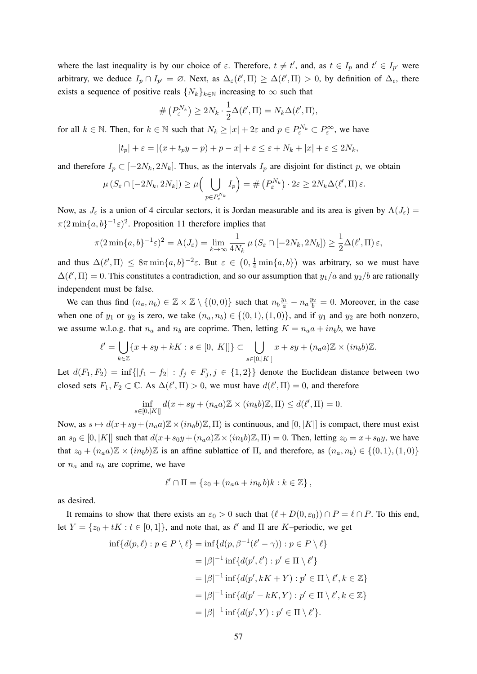where the last inequality is by our choice of  $\varepsilon$ . Therefore,  $t \neq t'$ , and, as  $t \in I_p$  and  $t' \in I_{p'}$  were arbitrary, we deduce  $I_p \cap I_{p'} = \emptyset$ . Next, as  $\Delta_{\varepsilon}(\ell', \Pi) \geq \Delta(\ell', \Pi) > 0$ , by definition of  $\Delta_{\varepsilon}$ , there exists a sequence of positive reals  $\{N_k\}_{k\in\mathbb{N}}$  increasing to  $\infty$  such that

$$
\# \left( P_{\varepsilon}^{N_k} \right) \geq 2N_k \cdot \frac{1}{2} \Delta(\ell', \Pi) = N_k \Delta(\ell', \Pi),
$$

for all  $k \in \mathbb{N}$ . Then, for  $k \in \mathbb{N}$  such that  $N_k \ge |x| + 2\varepsilon$  and  $p \in P_{\varepsilon}^{N_k} \subset P_{\varepsilon}^{\infty}$ , we have

$$
|t_p| + \varepsilon = |(x + t_p y - p) + p - x| + \varepsilon \le \varepsilon + N_k + |x| + \varepsilon \le 2N_k,
$$

and therefore  $I_p \,\subset [-2N_k, 2N_k]$ . Thus, as the intervals  $I_p$  are disjoint for distinct p, we obtain

$$
\mu\left(S_{\varepsilon}\cap[-2N_k,2N_k]\right)\geq\mu\left(\bigcup_{p\in P_{\varepsilon}^{N_k}}I_p\right)=\#\left(P_{\varepsilon}^{N_k}\right)\cdot2\varepsilon\geq2N_k\Delta(\ell',\Pi)\,\varepsilon.
$$

Now, as  $J_{\varepsilon}$  is a union of 4 circular sectors, it is Jordan measurable and its area is given by  $A(J_{\varepsilon}) =$  $\pi(2\min\{a,b\}^{-1}\varepsilon)^2$ . Proposition 11 therefore implies that

$$
\pi(2\min\{a,b\}^{-1}\varepsilon)^2 = A(J_{\varepsilon}) = \lim_{k \to \infty} \frac{1}{4N_k} \,\mu\left(S_{\varepsilon} \cap [-2N_k, 2N_k]\right) \ge \frac{1}{2}\Delta(\ell', \Pi)\,\varepsilon,
$$

and thus  $\Delta(\ell', \Pi) \leq 8\pi \min\{a, b\}^{-2} \varepsilon$ . But  $\varepsilon \in (0, \frac{1}{4} \min\{a, b\})$  was arbitrary, so we must have  $\Delta(\ell', \Pi) = 0$ . This constitutes a contradiction, and so our assumption that  $y_1/a$  and  $y_2/b$  are rationally independent must be false.

We can thus find  $(n_a, n_b) \in \mathbb{Z} \times \mathbb{Z} \setminus \{(0, 0)\}\$  such that  $n_b \frac{y_1}{a} - n_a \frac{y_2}{b} = 0$ . Moreover, in the case when one of  $y_1$  or  $y_2$  is zero, we take  $(n_a, n_b) \in \{(0, 1), (1, 0)\}$ , and if  $y_1$  and  $y_2$  are both nonzero, we assume w.l.o.g. that  $n_a$  and  $n_b$  are coprime. Then, letting  $K = n_a a + i n_b b$ , we have

$$
\ell' = \bigcup_{k \in \mathbb{Z}} \{x + sy + kK : s \in [0, |K|]\} \subset \bigcup_{s \in [0, |K|]} x + sy + (n_a a)\mathbb{Z} \times (in_b b)\mathbb{Z}.
$$

Let  $d(F_1, F_2) = \inf\{|f_1 - f_2| : f_i \in F_j, j \in \{1, 2\}\}\$  denote the Euclidean distance between two closed sets  $F_1, F_2 \subset \mathbb{C}$ . As  $\Delta(\ell', \Pi) > 0$ , we must have  $d(\ell', \Pi) = 0$ , and therefore

$$
\inf_{s \in [0,|K|]} d(x+sy+(n_a a)\mathbb{Z} \times (in_b b)\mathbb{Z},\Pi) \leq d(\ell',\Pi) = 0.
$$

Now, as  $s \mapsto d(x+sy+(n_a a)\mathbb{Z}\times(in_b b)\mathbb{Z}, \Pi)$  is continuous, and  $[0, |K|]$  is compact, there must exist an  $s_0 \in [0, |K|]$  such that  $d(x+s_0y + (n_a a) \mathbb{Z} \times (in_b b) \mathbb{Z}, \Pi) = 0$ . Then, letting  $z_0 = x+s_0y$ , we have that  $z_0 + (n_a a) \mathbb{Z} \times (in_b b) \mathbb{Z}$  is an affine sublattice of  $\Pi$ , and therefore, as  $(n_a, n_b) \in \{(0, 1), (1, 0)\}\$ or  $n_a$  and  $n_b$  are coprime, we have

$$
\ell' \cap \Pi = \{z_0 + (n_a a + i n_b b)k : k \in \mathbb{Z}\},\
$$

as desired.

It remains to show that there exists an  $\varepsilon_0 > 0$  such that  $(\ell + D(0, \varepsilon_0)) \cap P = \ell \cap P$ . To this end, let  $Y = \{z_0 + tK : t \in [0,1]\}$ , and note that, as  $\ell'$  and  $\Pi$  are K-periodic, we get

$$
\inf\{d(p,\ell):p\in P\setminus\ell\} = \inf\{d(p,\beta^{-1}(\ell'-\gamma)):p\in P\setminus\ell\}
$$

$$
= |\beta|^{-1}\inf\{d(p',\ell'):p'\in\Pi\setminus\ell'\}
$$

$$
= |\beta|^{-1}\inf\{d(p',kK+Y):p'\in\Pi\setminus\ell',k\in\mathbb{Z}\}
$$

$$
= |\beta|^{-1}\inf\{d(p'-kK,Y):p'\in\Pi\setminus\ell',k\in\mathbb{Z}\}
$$

$$
= |\beta|^{-1}\inf\{d(p',Y):p'\in\Pi\setminus\ell'\}.
$$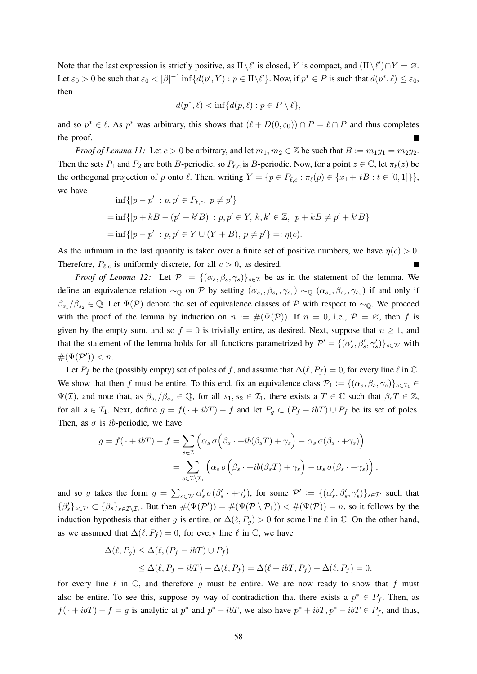Note that the last expression is strictly positive, as  $\Pi \backslash \ell'$  is closed, Y is compact, and  $(\Pi \backslash \ell') \cap Y = \emptyset$ . Let  $\varepsilon_0 > 0$  be such that  $\varepsilon_0 < |\beta|^{-1} \inf \{ d(p', Y) : p \in \Pi \setminus \ell' \}$ . Now, if  $p^* \in P$  is such that  $d(p^*, \ell) \le \varepsilon_0$ , then

$$
d(p^*, \ell) < \inf\{d(p, \ell) : p \in P \setminus \ell\},
$$

and so  $p^* \in \ell$ . As  $p^*$  was arbitrary, this shows that  $(\ell + D(0, \varepsilon_0)) \cap P = \ell \cap P$  and thus completes the proof.

*Proof of Lemma 11:* Let  $c > 0$  be arbitrary, and let  $m_1, m_2 \in \mathbb{Z}$  be such that  $B := m_1y_1 = m_2y_2$ . Then the sets  $P_1$  and  $P_2$  are both B-periodic, so  $P_{\ell,c}$  is B-periodic. Now, for a point  $z \in \mathbb{C}$ , let  $\pi_{\ell}(z)$  be the orthogonal projection of p onto  $\ell$ . Then, writing  $Y = \{p \in P_{\ell,c} : \pi_{\ell}(p) \in \{x_1 + tB : t \in [0, 1]\}\},\$ we have

$$
\inf\{|p - p'| : p, p' \in P_{\ell,c}, p \neq p'\}
$$
  
= 
$$
\inf\{|p + kB - (p' + k'B)| : p, p' \in Y, k, k' \in \mathbb{Z}, p + kB \neq p' + k'B\}
$$
  
= 
$$
\inf\{|p - p'| : p, p' \in Y \cup (Y + B), p \neq p'\} =: \eta(c).
$$

As the infimum in the last quantity is taken over a finite set of positive numbers, we have  $\eta(c) > 0$ . Therefore,  $P_{\ell,c}$  is uniformly discrete, for all  $c > 0$ , as desired.

*Proof of Lemma 12:* Let  $P := \{(\alpha_s, \beta_s, \gamma_s)\}_{s \in \mathcal{I}}$  be as in the statement of the lemma. We define an equivalence relation  $\sim_{\mathbb{Q}}$  on P by setting  $(\alpha_{s_1}, \beta_{s_1}, \gamma_{s_1}) \sim_{\mathbb{Q}} (\alpha_{s_2}, \beta_{s_2}, \gamma_{s_2})$  if and only if  $\beta_{s_1}/\beta_{s_2} \in \mathbb{Q}$ . Let  $\Psi(\mathcal{P})$  denote the set of equivalence classes of P with respect to ~ $\mathbb{Q}$ . We proceed with the proof of the lemma by induction on  $n := #(\Psi(\mathcal{P}))$ . If  $n = 0$ , i.e.,  $\mathcal{P} = \emptyset$ , then f is given by the empty sum, and so  $f = 0$  is trivially entire, as desired. Next, suppose that  $n \ge 1$ , and that the statement of the lemma holds for all functions parametrized by  $\mathcal{P}' = \{(\alpha'_s, \beta'_s, \gamma'_s)\}_{s \in \mathcal{I}}$  with  $\#(\Psi(\mathcal{P}')) < n.$ 

Let  $P_f$  be the (possibly empty) set of poles of f, and assume that  $\Delta(\ell, P_f) = 0$ , for every line  $\ell$  in  $\mathbb{C}$ . We show that then f must be entire. To this end, fix an equivalence class  $\mathcal{P}_1 := \{(\alpha_s, \beta_s, \gamma_s)\}_{s \in \mathcal{I}_1} \in$  $\Psi(\mathcal{I})$ , and note that, as  $\beta_{s_1}/\beta_{s_2} \in \mathbb{Q}$ , for all  $s_1, s_2 \in \mathcal{I}_1$ , there exists a  $T \in \mathbb{C}$  such that  $\beta_s T \in \mathbb{Z}$ , for all  $s \in \mathcal{I}_1$ . Next, define  $g = f(\cdot + ibT) - f$  and let  $P_g \subset (P_f - ibT) \cup P_f$  be its set of poles. Then, as  $\sigma$  is *ib*-periodic, we have

$$
g = f(\cdot + ibT) - f = \sum_{s \in \mathcal{I}} \left( \alpha_s \sigma \left( \beta_s \cdot + ib(\beta_s T) + \gamma_s \right) - \alpha_s \sigma(\beta_s \cdot + \gamma_s) \right)
$$

$$
= \sum_{s \in \mathcal{I} \setminus \mathcal{I}_1} \left( \alpha_s \sigma \left( \beta_s \cdot + ib(\beta_s T) + \gamma_s \right) - \alpha_s \sigma(\beta_s \cdot + \gamma_s) \right),
$$

and so g takes the form  $g = \sum_{s \in \mathcal{I}'} \alpha_s' \sigma(\beta_s' \cdot + \gamma_s')$ , for some  $\mathcal{P}' := \{(\alpha_s', \beta_s', \gamma_s')\}_{s \in \mathcal{I}'}$  such that  $\{\beta_s'\}_{s\in\mathcal{I}'}\subset\{\beta_s\}_{s\in\mathcal{I}\setminus\mathcal{I}_1}$ . But then  $\#(\Psi(\mathcal{P}'))=\#(\Psi(\mathcal{P}\setminus\mathcal{P}_1))<\#(\Psi(\mathcal{P}))=n$ , so it follows by the induction hypothesis that either g is entire, or  $\Delta(\ell, P_q) > 0$  for some line  $\ell$  in  $\mathbb C$ . On the other hand, as we assumed that  $\Delta(\ell, P_f) = 0$ , for every line  $\ell$  in  $\mathbb{C}$ , we have

$$
\Delta(\ell, P_g) \leq \Delta(\ell, (P_f - i b T) \cup P_f)
$$
  
 
$$
\leq \Delta(\ell, P_f - i b T) + \Delta(\ell, P_f) = \Delta(\ell + i b T, P_f) + \Delta(\ell, P_f) = 0,
$$

for every line  $\ell$  in  $\mathbb{C}$ , and therefore q must be entire. We are now ready to show that f must also be entire. To see this, suppose by way of contradiction that there exists a  $p^* \in P_f$ . Then, as  $f(\cdot + i bT) - f = g$  is analytic at  $p^*$  and  $p^* - i bT$ , we also have  $p^* + i bT$ ,  $p^* - i bT \in P_f$ , and thus,